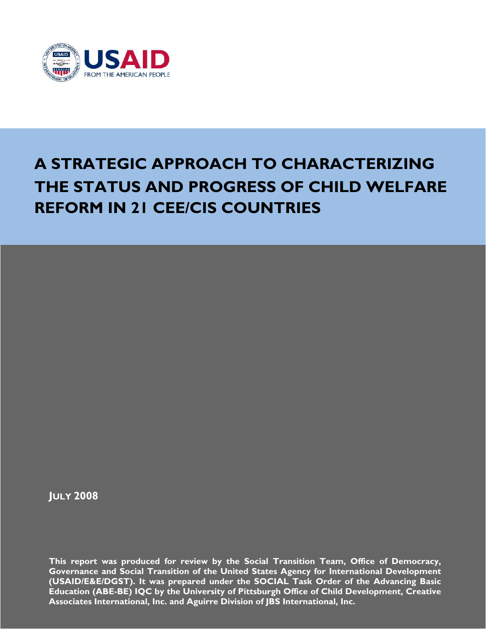

# **A STRATEGIC APPROACH TO CHARACTERIZING THE STATUS AND PROGRESS OF CHILD WELFARE REFORM IN 21 CEE/CIS COUNTRIES**

**JULY 2008** 

**This report was produced for review by the Social Transition Team, Office of Democracy, Governance and Social Transition of the United States Agency for International Development (USAID/E&E/DGST). It was prepared under the SOCIAL Task Order of the Advancing Basic Education (ABE-BE) IQC by the University of Pittsburgh Office of Child Development, Creative Associates International, Inc. and Aguirre Division of JBS International, Inc.**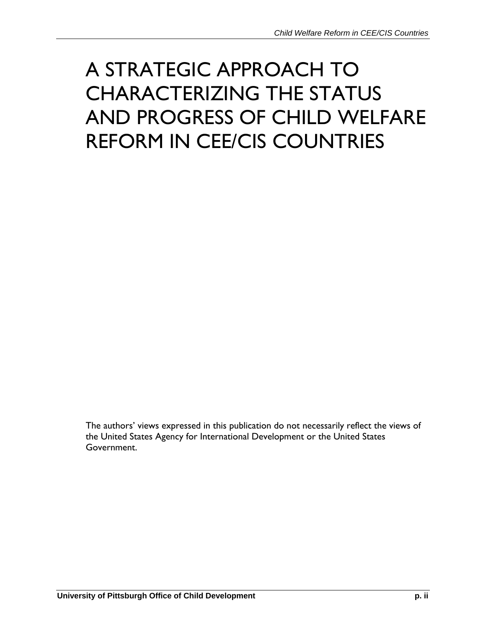# A STRATEGIC APPROACH TO CHARACTERIZING THE STATUS AND PROGRESS OF CHILD WELFARE REFORM IN CEE/CIS COUNTRIES

The authors' views expressed in this publication do not necessarily reflect the views of the United States Agency for International Development or the United States Government.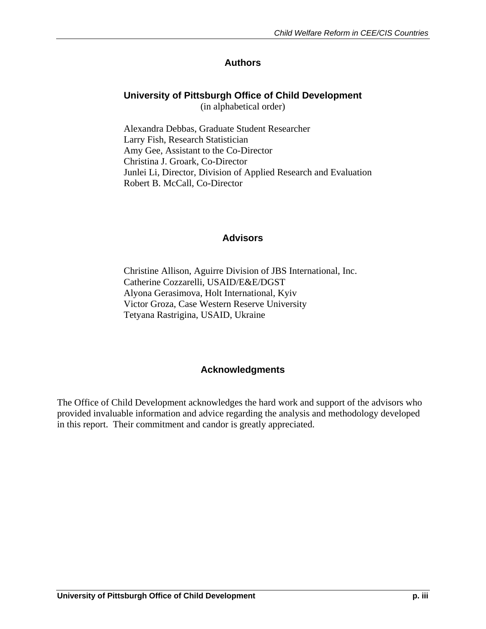## **Authors**

## **University of Pittsburgh Office of Child Development**

(in alphabetical order)

Alexandra Debbas, Graduate Student Researcher Larry Fish, Research Statistician Amy Gee, Assistant to the Co-Director Christina J. Groark, Co-Director Junlei Li, Director, Division of Applied Research and Evaluation Robert B. McCall, Co-Director

#### **Advisors**

Christine Allison, Aguirre Division of JBS International, Inc. Catherine Cozzarelli, USAID/E&E/DGST Alyona Gerasimova, Holt International, Kyiv Victor Groza, Case Western Reserve University Tetyana Rastrigina, USAID, Ukraine

#### **Acknowledgments**

The Office of Child Development acknowledges the hard work and support of the advisors who provided invaluable information and advice regarding the analysis and methodology developed in this report. Their commitment and candor is greatly appreciated.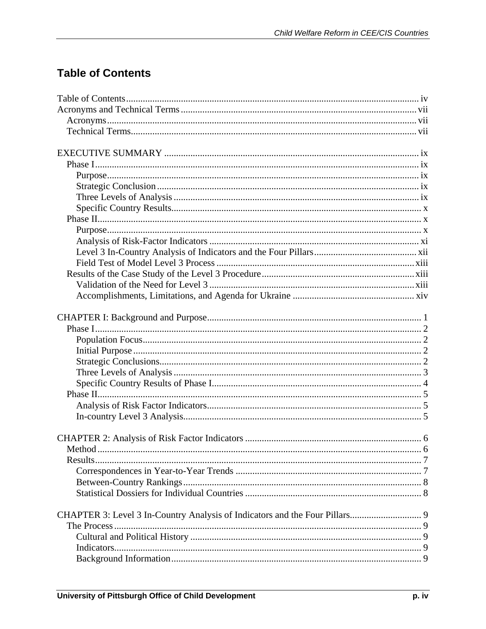# **Table of Contents**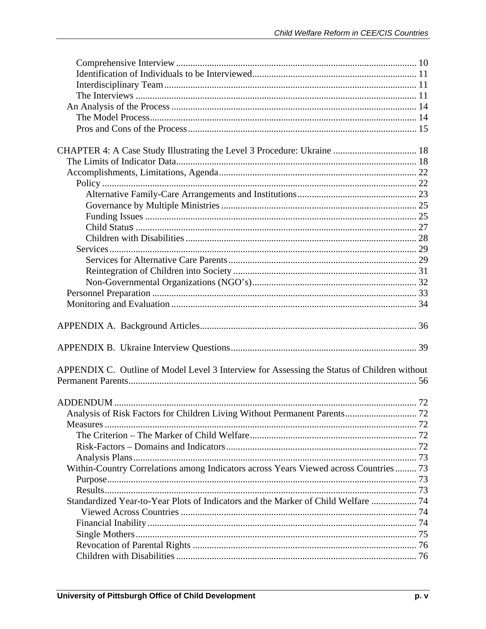| CHAPTER 4: A Case Study Illustrating the Level 3 Procedure: Ukraine  18                     |  |  |  |
|---------------------------------------------------------------------------------------------|--|--|--|
|                                                                                             |  |  |  |
|                                                                                             |  |  |  |
|                                                                                             |  |  |  |
|                                                                                             |  |  |  |
|                                                                                             |  |  |  |
|                                                                                             |  |  |  |
|                                                                                             |  |  |  |
|                                                                                             |  |  |  |
|                                                                                             |  |  |  |
|                                                                                             |  |  |  |
|                                                                                             |  |  |  |
|                                                                                             |  |  |  |
|                                                                                             |  |  |  |
|                                                                                             |  |  |  |
|                                                                                             |  |  |  |
|                                                                                             |  |  |  |
|                                                                                             |  |  |  |
| APPENDIX C. Outline of Model Level 3 Interview for Assessing the Status of Children without |  |  |  |
|                                                                                             |  |  |  |
|                                                                                             |  |  |  |
|                                                                                             |  |  |  |
| Analysis of Risk Factors for Children Living Without Permanent Parents 72                   |  |  |  |
|                                                                                             |  |  |  |
|                                                                                             |  |  |  |
|                                                                                             |  |  |  |
|                                                                                             |  |  |  |
| Within-Country Correlations among Indicators across Years Viewed across Countries 73        |  |  |  |
|                                                                                             |  |  |  |
|                                                                                             |  |  |  |
| Standardized Year-to-Year Plots of Indicators and the Marker of Child Welfare  74           |  |  |  |
|                                                                                             |  |  |  |
|                                                                                             |  |  |  |
|                                                                                             |  |  |  |
|                                                                                             |  |  |  |
|                                                                                             |  |  |  |
|                                                                                             |  |  |  |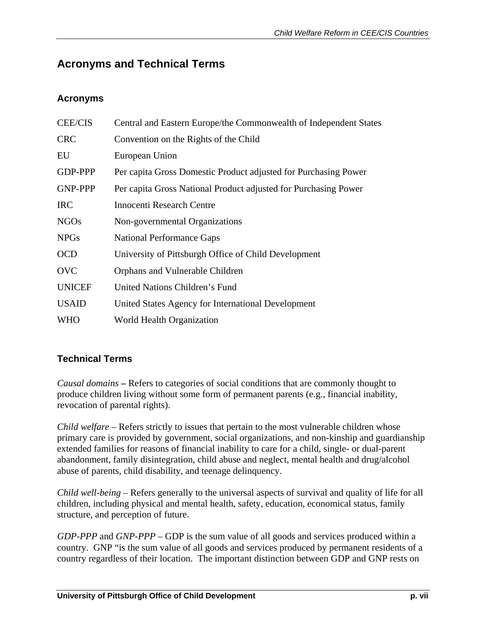# **Acronyms and Technical Terms**

#### **Acronyms**

| <b>CEE/CIS</b> | Central and Eastern Europe/the Commonwealth of Independent States |
|----------------|-------------------------------------------------------------------|
| <b>CRC</b>     | Convention on the Rights of the Child                             |
| EU             | European Union                                                    |
| <b>GDP-PPP</b> | Per capita Gross Domestic Product adjusted for Purchasing Power   |
| <b>GNP-PPP</b> | Per capita Gross National Product adjusted for Purchasing Power   |
| <b>IRC</b>     | <b>Innocenti Research Centre</b>                                  |
| <b>NGOs</b>    | Non-governmental Organizations                                    |
| <b>NPGs</b>    | <b>National Performance Gaps</b>                                  |
| <b>OCD</b>     | University of Pittsburgh Office of Child Development              |
| <b>OVC</b>     | Orphans and Vulnerable Children                                   |
| <b>UNICEF</b>  | United Nations Children's Fund                                    |
| <b>USAID</b>   | United States Agency for International Development                |
| WHO            | World Health Organization                                         |

## **Technical Terms**

*Causal domains* **–** Refers to categories of social conditions that are commonly thought to produce children living without some form of permanent parents (e.g., financial inability, revocation of parental rights).

*Child welfare* – Refers strictly to issues that pertain to the most vulnerable children whose primary care is provided by government, social organizations, and non-kinship and guardianship extended families for reasons of financial inability to care for a child, single- or dual-parent abandonment, family disintegration, child abuse and neglect, mental health and drug/alcohol abuse of parents, child disability, and teenage delinquency.

*Child well-being* – Refers generally to the universal aspects of survival and quality of life for all children, including physical and mental health, safety, education, economical status, family structure, and perception of future.

*GDP-PPP* and *GNP-PPP* – GDP is the sum value of all goods and services produced within a country. GNP "is the sum value of all goods and services produced by permanent residents of a country regardless of their location. The important distinction between GDP and GNP rests on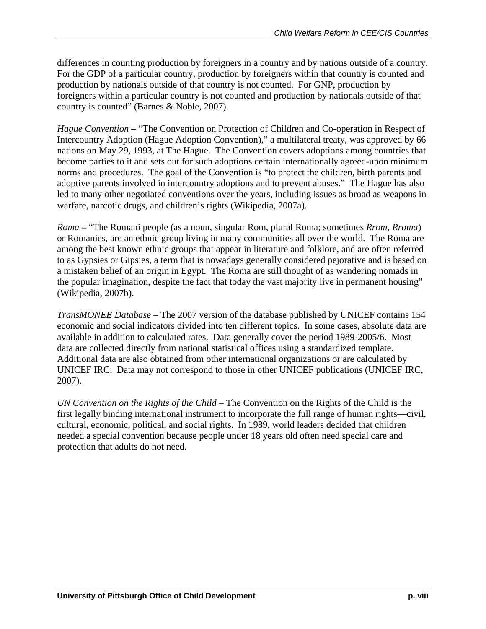differences in counting production by foreigners in a country and by nations outside of a country. For the GDP of a particular country, production by foreigners within that country is counted and production by nationals outside of that country is not counted. For GNP, production by foreigners within a particular country is not counted and production by nationals outside of that country is counted" (Barnes & Noble, 2007).

*Hague Convention* – "The Convention on Protection of Children and Co-operation in Respect of Intercountry Adoption (Hague Adoption Convention)," a multilateral treaty, was approved by 66 nations on May 29, 1993, at The Hague. The Convention covers adoptions among countries that become parties to it and sets out for such adoptions certain internationally agreed-upon minimum norms and procedures. The goal of the Convention is "to protect the children, birth parents and adoptive parents involved in intercountry adoptions and to prevent abuses." The Hague has also led to many other negotiated conventions over the years, including issues as broad as weapons in warfare, narcotic drugs, and children's rights (Wikipedia, 2007a).

*Roma* **–** "The Romani people (as a noun, singular Rom, plural Roma; sometimes *Rrom*, *Rroma*) or Romanies, are an ethnic group living in many communities all over the world. The Roma are among the best known ethnic groups that appear in literature and folklore, and are often referred to as Gypsies or Gipsies, a term that is nowadays generally considered pejorative and is based on a mistaken belief of an origin in Egypt. The Roma are still thought of as wandering nomads in the popular imagination, despite the fact that today the vast majority live in permanent housing" (Wikipedia, 2007b).

*TransMONEE Database –* The 2007 version of the database published by UNICEF contains 154 economic and social indicators divided into ten different topics. In some cases, absolute data are available in addition to calculated rates. Data generally cover the period 1989-2005/6. Most data are collected directly from national statistical offices using a standardized template. Additional data are also obtained from other international organizations or are calculated by UNICEF IRC. Data may not correspond to those in other UNICEF publications (UNICEF IRC, 2007).

*UN Convention on the Rights of the Child* – The Convention on the Rights of the Child is the first legally binding international instrument to incorporate the full range of human rights—civil, cultural, economic, political, and social rights. In 1989, world leaders decided that children needed a special convention because people under 18 years old often need special care and protection that adults do not need.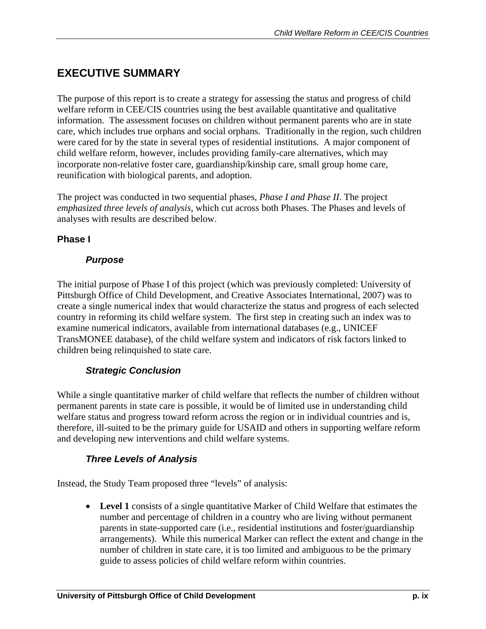# **EXECUTIVE SUMMARY**

The purpose of this report is to create a strategy for assessing the status and progress of child welfare reform in CEE/CIS countries using the best available quantitative and qualitative information. The assessment focuses on children without permanent parents who are in state care, which includes true orphans and social orphans. Traditionally in the region, such children were cared for by the state in several types of residential institutions. A major component of child welfare reform, however, includes providing family-care alternatives, which may incorporate non-relative foster care, guardianship/kinship care, small group home care, reunification with biological parents, and adoption.

The project was conducted in two sequential phases, *Phase I and Phase II*. The project *emphasized three levels of analysis*, which cut across both Phases. The Phases and levels of analyses with results are described below.

## **Phase I**

#### *Purpose*

The initial purpose of Phase I of this project (which was previously completed: University of Pittsburgh Office of Child Development, and Creative Associates International, 2007) was to create a single numerical index that would characterize the status and progress of each selected country in reforming its child welfare system. The first step in creating such an index was to examine numerical indicators, available from international databases (e.g., UNICEF TransMONEE database), of the child welfare system and indicators of risk factors linked to children being relinquished to state care.

## *Strategic Conclusion*

While a single quantitative marker of child welfare that reflects the number of children without permanent parents in state care is possible, it would be of limited use in understanding child welfare status and progress toward reform across the region or in individual countries and is, therefore, ill-suited to be the primary guide for USAID and others in supporting welfare reform and developing new interventions and child welfare systems.

## *Three Levels of Analysis*

Instead, the Study Team proposed three "levels" of analysis:

• **Level 1** consists of a single quantitative Marker of Child Welfare that estimates the number and percentage of children in a country who are living without permanent parents in state-supported care (i.e., residential institutions and foster/guardianship arrangements). While this numerical Marker can reflect the extent and change in the number of children in state care, it is too limited and ambiguous to be the primary guide to assess policies of child welfare reform within countries.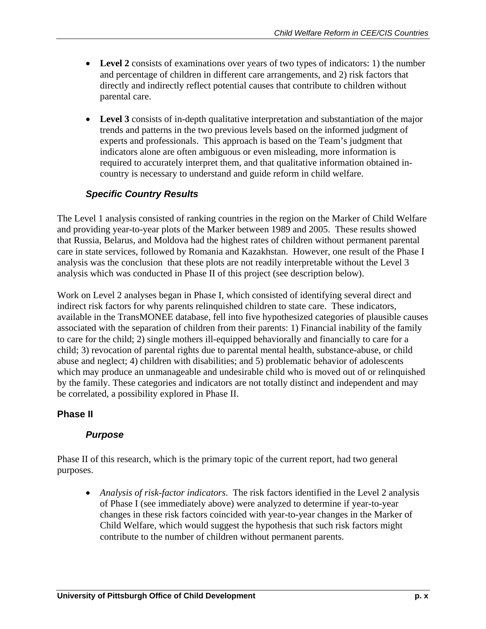- **Level 2** consists of examinations over years of two types of indicators: 1) the number and percentage of children in different care arrangements, and 2) risk factors that directly and indirectly reflect potential causes that contribute to children without parental care.
- Level 3 consists of in-depth qualitative interpretation and substantiation of the major trends and patterns in the two previous levels based on the informed judgment of experts and professionals. This approach is based on the Team's judgment that indicators alone are often ambiguous or even misleading, more information is required to accurately interpret them, and that qualitative information obtained incountry is necessary to understand and guide reform in child welfare.

## *Specific Country Results*

The Level 1 analysis consisted of ranking countries in the region on the Marker of Child Welfare and providing year-to-year plots of the Marker between 1989 and 2005. These results showed that Russia, Belarus, and Moldova had the highest rates of children without permanent parental care in state services, followed by Romania and Kazakhstan. However, one result of the Phase I analysis was the conclusion that these plots are not readily interpretable without the Level 3 analysis which was conducted in Phase II of this project (see description below).

Work on Level 2 analyses began in Phase I, which consisted of identifying several direct and indirect risk factors for why parents relinquished children to state care. These indicators, available in the TransMONEE database, fell into five hypothesized categories of plausible causes associated with the separation of children from their parents: 1) Financial inability of the family to care for the child; 2) single mothers ill-equipped behaviorally and financially to care for a child; 3) revocation of parental rights due to parental mental health, substance-abuse, or child abuse and neglect; 4) children with disabilities; and 5) problematic behavior of adolescents which may produce an unmanageable and undesirable child who is moved out of or relinquished by the family. These categories and indicators are not totally distinct and independent and may be correlated, a possibility explored in Phase II.

#### **Phase II**

#### *Purpose*

Phase II of this research, which is the primary topic of the current report, had two general purposes.

• *Analysis of risk-factor indicators*. The risk factors identified in the Level 2 analysis of Phase I (see immediately above) were analyzed to determine if year-to-year changes in these risk factors coincided with year-to-year changes in the Marker of Child Welfare, which would suggest the hypothesis that such risk factors might contribute to the number of children without permanent parents.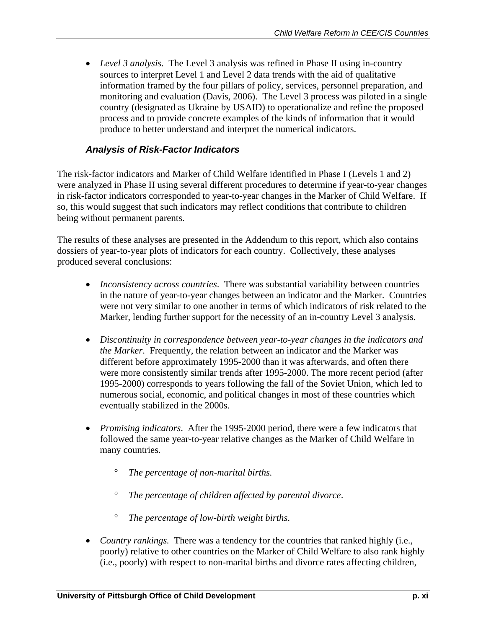• *Level 3 analysis*. The Level 3 analysis was refined in Phase II using in-country sources to interpret Level 1 and Level 2 data trends with the aid of qualitative information framed by the four pillars of policy, services, personnel preparation, and monitoring and evaluation (Davis, 2006). The Level 3 process was piloted in a single country (designated as Ukraine by USAID) to operationalize and refine the proposed process and to provide concrete examples of the kinds of information that it would produce to better understand and interpret the numerical indicators.

#### *Analysis of Risk-Factor Indicators*

The risk-factor indicators and Marker of Child Welfare identified in Phase I (Levels 1 and 2) were analyzed in Phase II using several different procedures to determine if year-to-year changes in risk-factor indicators corresponded to year-to-year changes in the Marker of Child Welfare. If so, this would suggest that such indicators may reflect conditions that contribute to children being without permanent parents.

The results of these analyses are presented in the Addendum to this report, which also contains dossiers of year-to-year plots of indicators for each country. Collectively, these analyses produced several conclusions:

- *Inconsistency across countries*. There was substantial variability between countries in the nature of year-to-year changes between an indicator and the Marker. Countries were not very similar to one another in terms of which indicators of risk related to the Marker, lending further support for the necessity of an in-country Level 3 analysis.
- *Discontinuity in correspondence between year-to-year changes in the indicators and the Marker*. Frequently, the relation between an indicator and the Marker was different before approximately 1995-2000 than it was afterwards, and often there were more consistently similar trends after 1995-2000. The more recent period (after 1995-2000) corresponds to years following the fall of the Soviet Union, which led to numerous social, economic, and political changes in most of these countries which eventually stabilized in the 2000s.
- *Promising indicators*. After the 1995-2000 period, there were a few indicators that followed the same year-to-year relative changes as the Marker of Child Welfare in many countries.
	- ° *The percentage of non-marital births.*
	- ° *The percentage of children affected by parental divorce*.
	- ° *The percentage of low-birth weight births*.
- *Country rankings.* There was a tendency for the countries that ranked highly (i.e., poorly) relative to other countries on the Marker of Child Welfare to also rank highly (i.e., poorly) with respect to non-marital births and divorce rates affecting children,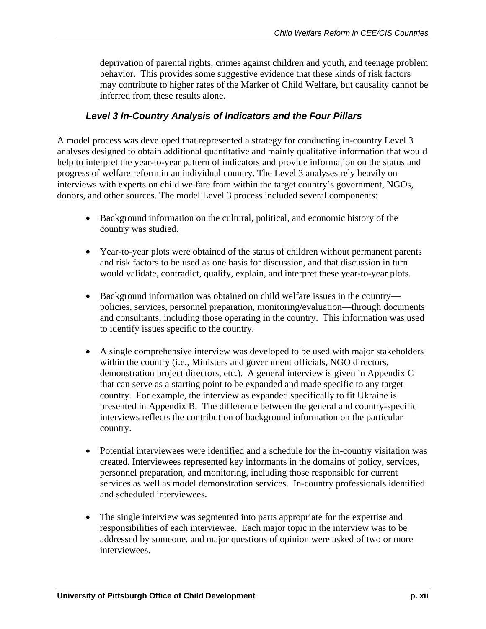deprivation of parental rights, crimes against children and youth, and teenage problem behavior. This provides some suggestive evidence that these kinds of risk factors may contribute to higher rates of the Marker of Child Welfare, but causality cannot be inferred from these results alone.

#### *Level 3 In-Country Analysis of Indicators and the Four Pillars*

A model process was developed that represented a strategy for conducting in-country Level 3 analyses designed to obtain additional quantitative and mainly qualitative information that would help to interpret the year-to-year pattern of indicators and provide information on the status and progress of welfare reform in an individual country. The Level 3 analyses rely heavily on interviews with experts on child welfare from within the target country's government, NGOs, donors, and other sources. The model Level 3 process included several components:

- Background information on the cultural, political, and economic history of the country was studied.
- Year-to-year plots were obtained of the status of children without permanent parents and risk factors to be used as one basis for discussion, and that discussion in turn would validate, contradict, qualify, explain, and interpret these year-to-year plots.
- Background information was obtained on child welfare issues in the country policies, services, personnel preparation, monitoring/evaluation—through documents and consultants, including those operating in the country. This information was used to identify issues specific to the country.
- A single comprehensive interview was developed to be used with major stakeholders within the country (i.e., Ministers and government officials, NGO directors, demonstration project directors, etc.). A general interview is given in Appendix C that can serve as a starting point to be expanded and made specific to any target country. For example, the interview as expanded specifically to fit Ukraine is presented in Appendix B. The difference between the general and country-specific interviews reflects the contribution of background information on the particular country.
- Potential interviewees were identified and a schedule for the in-country visitation was created. Interviewees represented key informants in the domains of policy, services, personnel preparation, and monitoring, including those responsible for current services as well as model demonstration services. In-country professionals identified and scheduled interviewees.
- The single interview was segmented into parts appropriate for the expertise and responsibilities of each interviewee. Each major topic in the interview was to be addressed by someone, and major questions of opinion were asked of two or more interviewees.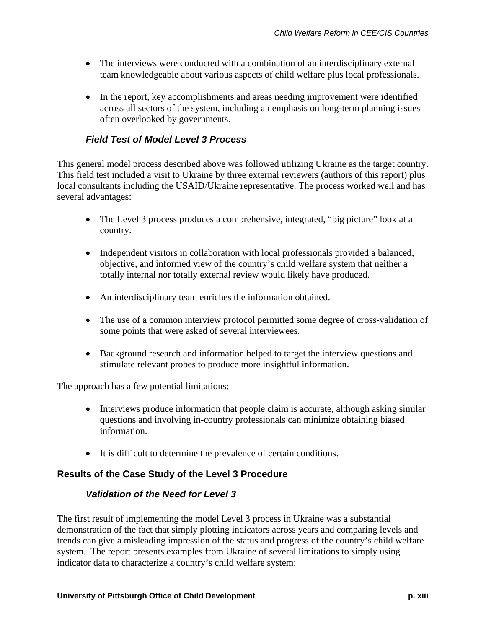- The interviews were conducted with a combination of an interdisciplinary external team knowledgeable about various aspects of child welfare plus local professionals.
- In the report, key accomplishments and areas needing improvement were identified across all sectors of the system, including an emphasis on long-term planning issues often overlooked by governments.

## *Field Test of Model Level 3 Process*

This general model process described above was followed utilizing Ukraine as the target country. This field test included a visit to Ukraine by three external reviewers (authors of this report) plus local consultants including the USAID/Ukraine representative. The process worked well and has several advantages:

- The Level 3 process produces a comprehensive, integrated, "big picture" look at a country.
- Independent visitors in collaboration with local professionals provided a balanced, objective, and informed view of the country's child welfare system that neither a totally internal nor totally external review would likely have produced.
- An interdisciplinary team enriches the information obtained.
- The use of a common interview protocol permitted some degree of cross-validation of some points that were asked of several interviewees.
- Background research and information helped to target the interview questions and stimulate relevant probes to produce more insightful information.

The approach has a few potential limitations:

- Interviews produce information that people claim is accurate, although asking similar questions and involving in-country professionals can minimize obtaining biased information.
- It is difficult to determine the prevalence of certain conditions.

## **Results of the Case Study of the Level 3 Procedure**

## *Validation of the Need for Level 3*

The first result of implementing the model Level 3 process in Ukraine was a substantial demonstration of the fact that simply plotting indicators across years and comparing levels and trends can give a misleading impression of the status and progress of the country's child welfare system. The report presents examples from Ukraine of several limitations to simply using indicator data to characterize a country's child welfare system: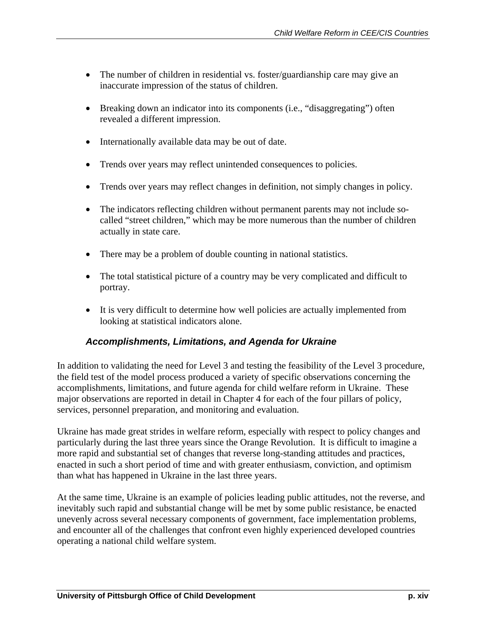- The number of children in residential vs. foster/guardianship care may give an inaccurate impression of the status of children.
- Breaking down an indicator into its components (i.e., "disaggregating") often revealed a different impression.
- Internationally available data may be out of date.
- Trends over years may reflect unintended consequences to policies.
- Trends over years may reflect changes in definition, not simply changes in policy.
- The indicators reflecting children without permanent parents may not include socalled "street children," which may be more numerous than the number of children actually in state care.
- There may be a problem of double counting in national statistics.
- The total statistical picture of a country may be very complicated and difficult to portray.
- It is very difficult to determine how well policies are actually implemented from looking at statistical indicators alone.

#### *Accomplishments, Limitations, and Agenda for Ukraine*

In addition to validating the need for Level 3 and testing the feasibility of the Level 3 procedure, the field test of the model process produced a variety of specific observations concerning the accomplishments, limitations, and future agenda for child welfare reform in Ukraine. These major observations are reported in detail in Chapter 4 for each of the four pillars of policy, services, personnel preparation, and monitoring and evaluation.

Ukraine has made great strides in welfare reform, especially with respect to policy changes and particularly during the last three years since the Orange Revolution. It is difficult to imagine a more rapid and substantial set of changes that reverse long-standing attitudes and practices, enacted in such a short period of time and with greater enthusiasm, conviction, and optimism than what has happened in Ukraine in the last three years.

At the same time, Ukraine is an example of policies leading public attitudes, not the reverse, and inevitably such rapid and substantial change will be met by some public resistance, be enacted unevenly across several necessary components of government, face implementation problems, and encounter all of the challenges that confront even highly experienced developed countries operating a national child welfare system.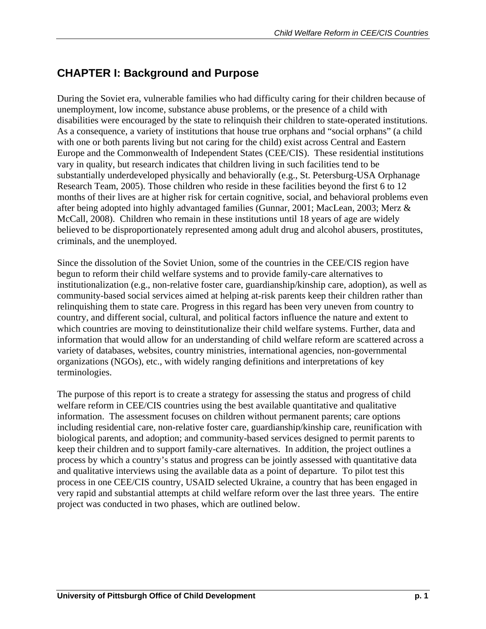# **CHAPTER I: Background and Purpose**

During the Soviet era, vulnerable families who had difficulty caring for their children because of unemployment, low income, substance abuse problems, or the presence of a child with disabilities were encouraged by the state to relinquish their children to state-operated institutions. As a consequence, a variety of institutions that house true orphans and "social orphans" (a child with one or both parents living but not caring for the child) exist across Central and Eastern Europe and the Commonwealth of Independent States (CEE/CIS). These residential institutions vary in quality, but research indicates that children living in such facilities tend to be substantially underdeveloped physically and behaviorally (e.g., St. Petersburg-USA Orphanage Research Team, 2005). Those children who reside in these facilities beyond the first 6 to 12 months of their lives are at higher risk for certain cognitive, social, and behavioral problems even after being adopted into highly advantaged families (Gunnar, 2001; MacLean, 2003; Merz & McCall, 2008). Children who remain in these institutions until 18 years of age are widely believed to be disproportionately represented among adult drug and alcohol abusers, prostitutes, criminals, and the unemployed.

Since the dissolution of the Soviet Union, some of the countries in the CEE/CIS region have begun to reform their child welfare systems and to provide family-care alternatives to institutionalization (e.g., non-relative foster care, guardianship/kinship care, adoption), as well as community-based social services aimed at helping at-risk parents keep their children rather than relinquishing them to state care. Progress in this regard has been very uneven from country to country, and different social, cultural, and political factors influence the nature and extent to which countries are moving to deinstitutionalize their child welfare systems. Further, data and information that would allow for an understanding of child welfare reform are scattered across a variety of databases, websites, country ministries, international agencies, non-governmental organizations (NGOs), etc., with widely ranging definitions and interpretations of key terminologies.

The purpose of this report is to create a strategy for assessing the status and progress of child welfare reform in CEE/CIS countries using the best available quantitative and qualitative information. The assessment focuses on children without permanent parents; care options including residential care, non-relative foster care, guardianship/kinship care, reunification with biological parents, and adoption; and community-based services designed to permit parents to keep their children and to support family-care alternatives. In addition, the project outlines a process by which a country's status and progress can be jointly assessed with quantitative data and qualitative interviews using the available data as a point of departure. To pilot test this process in one CEE/CIS country, USAID selected Ukraine, a country that has been engaged in very rapid and substantial attempts at child welfare reform over the last three years. The entire project was conducted in two phases, which are outlined below.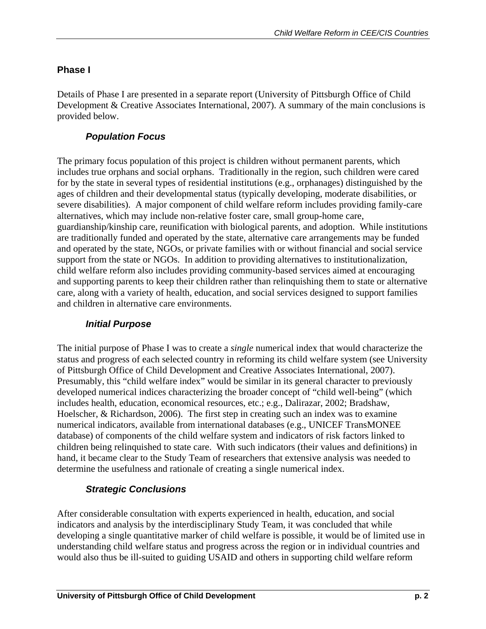## **Phase I**

Details of Phase I are presented in a separate report (University of Pittsburgh Office of Child Development & Creative Associates International, 2007). A summary of the main conclusions is provided below.

## *Population Focus*

The primary focus population of this project is children without permanent parents, which includes true orphans and social orphans. Traditionally in the region, such children were cared for by the state in several types of residential institutions (e.g., orphanages) distinguished by the ages of children and their developmental status (typically developing, moderate disabilities, or severe disabilities). A major component of child welfare reform includes providing family-care alternatives, which may include non-relative foster care, small group-home care, guardianship/kinship care, reunification with biological parents, and adoption. While institutions are traditionally funded and operated by the state, alternative care arrangements may be funded and operated by the state, NGOs, or private families with or without financial and social service support from the state or NGOs. In addition to providing alternatives to institutionalization, child welfare reform also includes providing community-based services aimed at encouraging and supporting parents to keep their children rather than relinquishing them to state or alternative care, along with a variety of health, education, and social services designed to support families and children in alternative care environments.

## *Initial Purpose*

The initial purpose of Phase I was to create a *single* numerical index that would characterize the status and progress of each selected country in reforming its child welfare system (see University of Pittsburgh Office of Child Development and Creative Associates International, 2007). Presumably, this "child welfare index" would be similar in its general character to previously developed numerical indices characterizing the broader concept of "child well-being" (which includes health, education, economical resources, etc.; e.g., Dalirazar, 2002; Bradshaw, Hoelscher, & Richardson, 2006). The first step in creating such an index was to examine numerical indicators, available from international databases (e.g., UNICEF TransMONEE database) of components of the child welfare system and indicators of risk factors linked to children being relinquished to state care. With such indicators (their values and definitions) in hand, it became clear to the Study Team of researchers that extensive analysis was needed to determine the usefulness and rationale of creating a single numerical index.

## *Strategic Conclusions*

After considerable consultation with experts experienced in health, education, and social indicators and analysis by the interdisciplinary Study Team, it was concluded that while developing a single quantitative marker of child welfare is possible, it would be of limited use in understanding child welfare status and progress across the region or in individual countries and would also thus be ill-suited to guiding USAID and others in supporting child welfare reform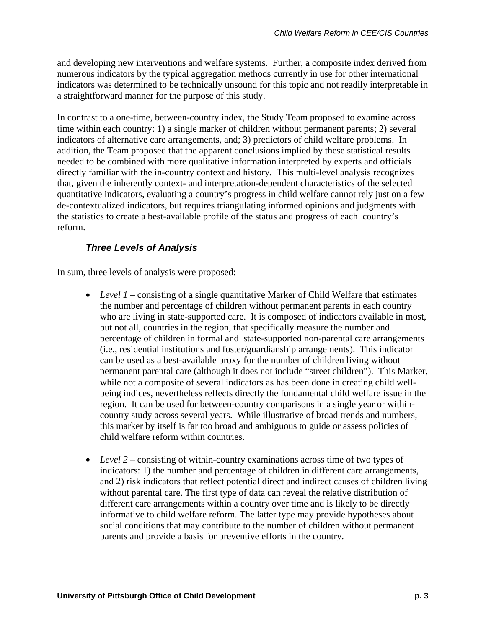and developing new interventions and welfare systems.Further, a composite index derived from numerous indicators by the typical aggregation methods currently in use for other international indicators was determined to be technically unsound for this topic and not readily interpretable in a straightforward manner for the purpose of this study.

In contrast to a one-time, between-country index, the Study Team proposed to examine across time within each country: 1) a single marker of children without permanent parents; 2) several indicators of alternative care arrangements, and; 3) predictors of child welfare problems. In addition, the Team proposed that the apparent conclusions implied by these statistical results needed to be combined with more qualitative information interpreted by experts and officials directly familiar with the in-country context and history. This multi-level analysis recognizes that, given the inherently context- and interpretation-dependent characteristics of the selected quantitative indicators, evaluating a country's progress in child welfare cannot rely just on a few de-contextualized indicators, but requires triangulating informed opinions and judgments with the statistics to create a best-available profile of the status and progress of each country's reform.

## *Three Levels of Analysis*

In sum, three levels of analysis were proposed:

- *Level 1* consisting of a single quantitative Marker of Child Welfare that estimates the number and percentage of children without permanent parents in each country who are living in state-supported care. It is composed of indicators available in most, but not all, countries in the region, that specifically measure the number and percentage of children in formal and state-supported non-parental care arrangements (i.e., residential institutions and foster/guardianship arrangements). This indicator can be used as a best-available proxy for the number of children living without permanent parental care (although it does not include "street children"). This Marker, while not a composite of several indicators as has been done in creating child wellbeing indices, nevertheless reflects directly the fundamental child welfare issue in the region. It can be used for between-country comparisons in a single year or withincountry study across several years. While illustrative of broad trends and numbers, this marker by itself is far too broad and ambiguous to guide or assess policies of child welfare reform within countries.
- *Level 2* consisting of within-country examinations across time of two types of indicators: 1) the number and percentage of children in different care arrangements, and 2) risk indicators that reflect potential direct and indirect causes of children living without parental care. The first type of data can reveal the relative distribution of different care arrangements within a country over time and is likely to be directly informative to child welfare reform. The latter type may provide hypotheses about social conditions that may contribute to the number of children without permanent parents and provide a basis for preventive efforts in the country.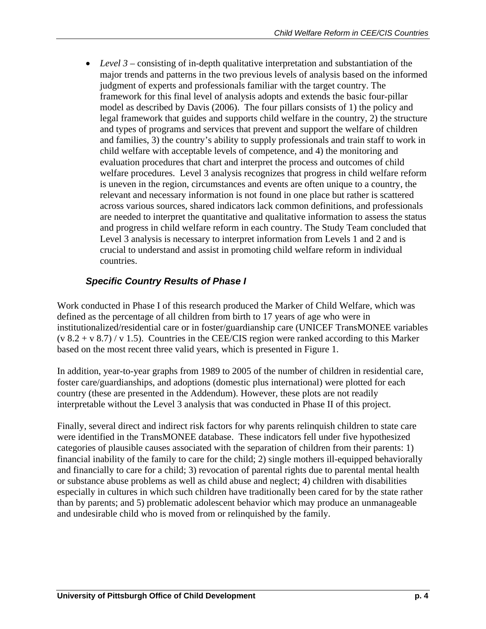• *Level 3* – consisting of in-depth qualitative interpretation and substantiation of the major trends and patterns in the two previous levels of analysis based on the informed judgment of experts and professionals familiar with the target country. The framework for this final level of analysis adopts and extends the basic four-pillar model as described by Davis (2006). The four pillars consists of 1) the policy and legal framework that guides and supports child welfare in the country, 2) the structure and types of programs and services that prevent and support the welfare of children and families, 3) the country's ability to supply professionals and train staff to work in child welfare with acceptable levels of competence, and 4) the monitoring and evaluation procedures that chart and interpret the process and outcomes of child welfare procedures. Level 3 analysis recognizes that progress in child welfare reform is uneven in the region, circumstances and events are often unique to a country, the relevant and necessary information is not found in one place but rather is scattered across various sources, shared indicators lack common definitions, and professionals are needed to interpret the quantitative and qualitative information to assess the status and progress in child welfare reform in each country. The Study Team concluded that Level 3 analysis is necessary to interpret information from Levels 1 and 2 and is crucial to understand and assist in promoting child welfare reform in individual countries.

## *Specific Country Results of Phase I*

Work conducted in Phase I of this research produced the Marker of Child Welfare, which was defined as the percentage of all children from birth to 17 years of age who were in institutionalized/residential care or in foster/guardianship care (UNICEF TransMONEE variables  $(v 8.2 + v 8.7) / v 1.5$ . Countries in the CEE/CIS region were ranked according to this Marker based on the most recent three valid years, which is presented in Figure 1.

In addition, year-to-year graphs from 1989 to 2005 of the number of children in residential care, foster care/guardianships, and adoptions (domestic plus international) were plotted for each country (these are presented in the Addendum). However, these plots are not readily interpretable without the Level 3 analysis that was conducted in Phase II of this project.

Finally, several direct and indirect risk factors for why parents relinquish children to state care were identified in the TransMONEE database. These indicators fell under five hypothesized categories of plausible causes associated with the separation of children from their parents: 1) financial inability of the family to care for the child; 2) single mothers ill-equipped behaviorally and financially to care for a child; 3) revocation of parental rights due to parental mental health or substance abuse problems as well as child abuse and neglect; 4) children with disabilities especially in cultures in which such children have traditionally been cared for by the state rather than by parents; and 5) problematic adolescent behavior which may produce an unmanageable and undesirable child who is moved from or relinquished by the family.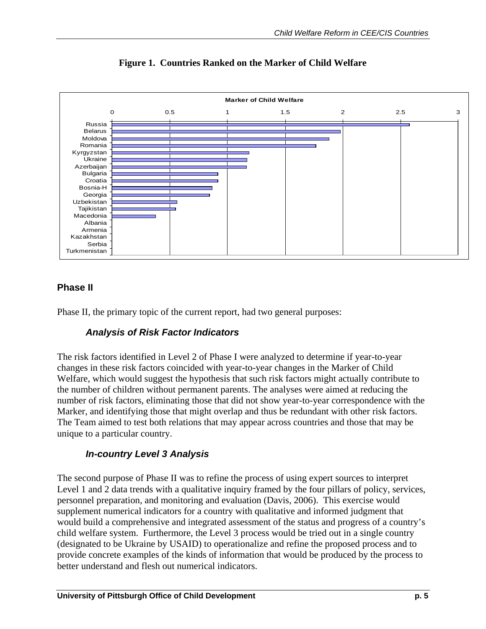

**Figure 1. Countries Ranked on the Marker of Child Welfare** 

## **Phase II**

Phase II, the primary topic of the current report, had two general purposes:

## *Analysis of Risk Factor Indicators*

The risk factors identified in Level 2 of Phase I were analyzed to determine if year-to-year changes in these risk factors coincided with year-to-year changes in the Marker of Child Welfare, which would suggest the hypothesis that such risk factors might actually contribute to the number of children without permanent parents. The analyses were aimed at reducing the number of risk factors, eliminating those that did not show year-to-year correspondence with the Marker, and identifying those that might overlap and thus be redundant with other risk factors. The Team aimed to test both relations that may appear across countries and those that may be unique to a particular country.

## *In-country Level 3 Analysis*

The second purpose of Phase II was to refine the process of using expert sources to interpret Level 1 and 2 data trends with a qualitative inquiry framed by the four pillars of policy, services, personnel preparation, and monitoring and evaluation (Davis, 2006). This exercise would supplement numerical indicators for a country with qualitative and informed judgment that would build a comprehensive and integrated assessment of the status and progress of a country's child welfare system. Furthermore, the Level 3 process would be tried out in a single country (designated to be Ukraine by USAID) to operationalize and refine the proposed process and to provide concrete examples of the kinds of information that would be produced by the process to better understand and flesh out numerical indicators.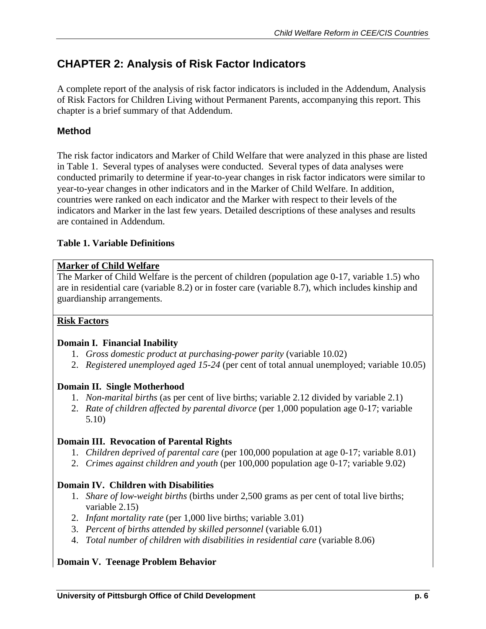# **CHAPTER 2: Analysis of Risk Factor Indicators**

A complete report of the analysis of risk factor indicators is included in the Addendum, Analysis of Risk Factors for Children Living without Permanent Parents, accompanying this report. This chapter is a brief summary of that Addendum.

## **Method**

The risk factor indicators and Marker of Child Welfare that were analyzed in this phase are listed in Table 1. Several types of analyses were conducted. Several types of data analyses were conducted primarily to determine if year-to-year changes in risk factor indicators were similar to year-to-year changes in other indicators and in the Marker of Child Welfare. In addition, countries were ranked on each indicator and the Marker with respect to their levels of the indicators and Marker in the last few years. Detailed descriptions of these analyses and results are contained in Addendum.

#### **Table 1. Variable Definitions**

#### **Marker of Child Welfare**

The Marker of Child Welfare is the percent of children (population age 0-17, variable 1.5) who are in residential care (variable 8.2) or in foster care (variable 8.7), which includes kinship and guardianship arrangements.

#### **Risk Factors**

#### **Domain I. Financial Inability**

- 1. *Gross domestic product at purchasing-power parity* (variable 10.02)
- 2. *Registered unemployed aged 15-24* (per cent of total annual unemployed; variable 10.05)

#### **Domain II. Single Motherhood**

- 1. *Non-marital births* (as per cent of live births; variable 2.12 divided by variable 2.1)
- 2. *Rate of children affected by parental divorce* (per 1,000 population age 0-17; variable 5.10)

#### **Domain III. Revocation of Parental Rights**

- 1. *Children deprived of parental care* (per 100,000 population at age 0-17; variable 8.01)
- 2. *Crimes against children and youth* (per 100,000 population age 0-17; variable 9.02)

#### **Domain IV. Children with Disabilities**

- 1. *Share of low-weight births* (births under 2,500 grams as per cent of total live births; variable 2.15)
- 2. *Infant mortality rate* (per 1,000 live births; variable 3.01)
- 3. *Percent of births attended by skilled personnel* (variable 6.01)
- 4. *Total number of children with disabilities in residential care* (variable 8.06)

#### **Domain V. Teenage Problem Behavior**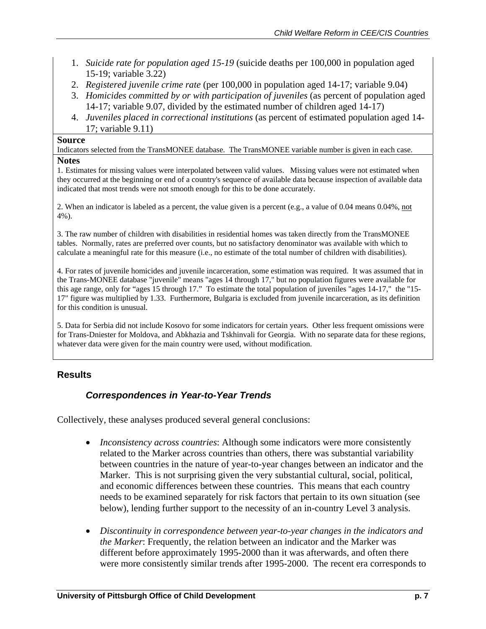- 1. *Suicide rate for population aged 15-19* (suicide deaths per 100,000 in population aged 15-19; variable 3.22)
- 2. *Registered juvenile crime rate* (per 100,000 in population aged 14-17; variable 9.04)
- 3. *Homicides committed by or with participation of juveniles* (as percent of population aged 14-17; variable 9.07, divided by the estimated number of children aged 14-17)
- 4. *Juveniles placed in correctional institutions* (as percent of estimated population aged 14- 17; variable 9.11)

#### **Source**

Indicators selected from the TransMONEE database. The TransMONEE variable number is given in each case.

#### **Notes**

1. Estimates for missing values were interpolated between valid values. Missing values were not estimated when they occurred at the beginning or end of a country's sequence of available data because inspection of available data indicated that most trends were not smooth enough for this to be done accurately.

2. When an indicator is labeled as a percent, the value given is a percent (e.g., a value of 0.04 means 0.04%, not 4%).

3. The raw number of children with disabilities in residential homes was taken directly from the TransMONEE tables. Normally, rates are preferred over counts, but no satisfactory denominator was available with which to calculate a meaningful rate for this measure (i.e., no estimate of the total number of children with disabilities).

4. For rates of juvenile homicides and juvenile incarceration, some estimation was required. It was assumed that in the Trans-MONEE database "juvenile" means "ages 14 through 17," but no population figures were available for this age range, only for "ages 15 through 17." To estimate the total population of juveniles "ages 14-17," the "15- 17" figure was multiplied by 1.33. Furthermore, Bulgaria is excluded from juvenile incarceration, as its definition for this condition is unusual.

5. Data for Serbia did not include Kosovo for some indicators for certain years. Other less frequent omissions were for Trans-Dniester for Moldova, and Abkhazia and Tskhinvali for Georgia. With no separate data for these regions, whatever data were given for the main country were used, without modification.

#### **Results**

#### *Correspondences in Year-to-Year Trends*

Collectively, these analyses produced several general conclusions:

- *Inconsistency across countries*: Although some indicators were more consistently related to the Marker across countries than others, there was substantial variability between countries in the nature of year-to-year changes between an indicator and the Marker. This is not surprising given the very substantial cultural, social, political, and economic differences between these countries. This means that each country needs to be examined separately for risk factors that pertain to its own situation (see below), lending further support to the necessity of an in-country Level 3 analysis.
- *Discontinuity in correspondence between year-to-year changes in the indicators and the Marker*: Frequently, the relation between an indicator and the Marker was different before approximately 1995-2000 than it was afterwards, and often there were more consistently similar trends after 1995-2000. The recent era corresponds to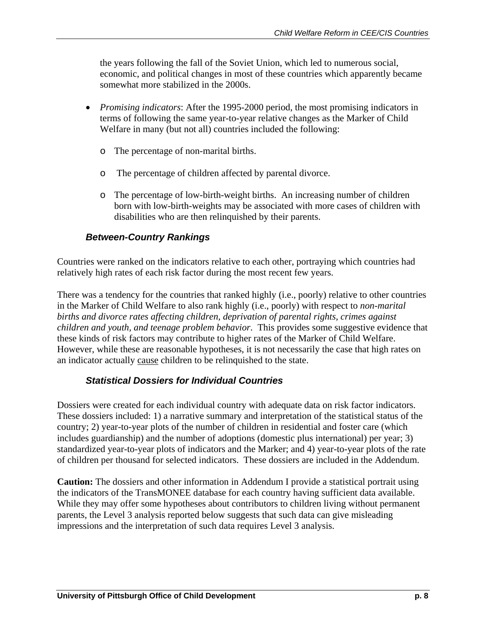the years following the fall of the Soviet Union, which led to numerous social, economic, and political changes in most of these countries which apparently became somewhat more stabilized in the 2000s.

- *Promising indicators*: After the 1995-2000 period, the most promising indicators in terms of following the same year-to-year relative changes as the Marker of Child Welfare in many (but not all) countries included the following:
	- o The percentage of non-marital births.
	- o The percentage of children affected by parental divorce.
	- o The percentage of low-birth-weight births. An increasing number of children born with low-birth-weights may be associated with more cases of children with disabilities who are then relinquished by their parents.

#### *Between-Country Rankings*

Countries were ranked on the indicators relative to each other, portraying which countries had relatively high rates of each risk factor during the most recent few years.

There was a tendency for the countries that ranked highly (i.e., poorly) relative to other countries in the Marker of Child Welfare to also rank highly (i.e., poorly) with respect to *non-marital births and divorce rates affecting children, deprivation of parental rights, crimes against children and youth, and teenage problem behavior*. This provides some suggestive evidence that these kinds of risk factors may contribute to higher rates of the Marker of Child Welfare. However, while these are reasonable hypotheses, it is not necessarily the case that high rates on an indicator actually cause children to be relinquished to the state.

#### *Statistical Dossiers for Individual Countries*

Dossiers were created for each individual country with adequate data on risk factor indicators. These dossiers included: 1) a narrative summary and interpretation of the statistical status of the country; 2) year-to-year plots of the number of children in residential and foster care (which includes guardianship) and the number of adoptions (domestic plus international) per year; 3) standardized year-to-year plots of indicators and the Marker; and 4) year-to-year plots of the rate of children per thousand for selected indicators. These dossiers are included in the Addendum.

**Caution:** The dossiers and other information in Addendum I provide a statistical portrait using the indicators of the TransMONEE database for each country having sufficient data available. While they may offer some hypotheses about contributors to children living without permanent parents, the Level 3 analysis reported below suggests that such data can give misleading impressions and the interpretation of such data requires Level 3 analysis.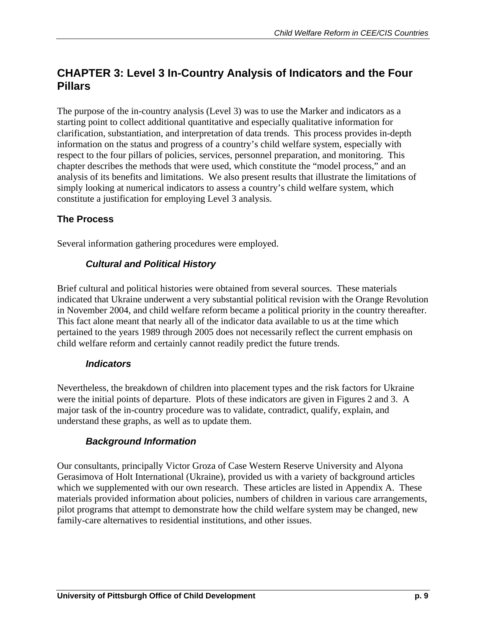# **CHAPTER 3: Level 3 In-Country Analysis of Indicators and the Four Pillars**

The purpose of the in-country analysis (Level 3) was to use the Marker and indicators as a starting point to collect additional quantitative and especially qualitative information for clarification, substantiation, and interpretation of data trends. This process provides in-depth information on the status and progress of a country's child welfare system, especially with respect to the four pillars of policies, services, personnel preparation, and monitoring. This chapter describes the methods that were used, which constitute the "model process," and an analysis of its benefits and limitations. We also present results that illustrate the limitations of simply looking at numerical indicators to assess a country's child welfare system, which constitute a justification for employing Level 3 analysis.

## **The Process**

Several information gathering procedures were employed.

#### *Cultural and Political History*

Brief cultural and political histories were obtained from several sources. These materials indicated that Ukraine underwent a very substantial political revision with the Orange Revolution in November 2004, and child welfare reform became a political priority in the country thereafter. This fact alone meant that nearly all of the indicator data available to us at the time which pertained to the years 1989 through 2005 does not necessarily reflect the current emphasis on child welfare reform and certainly cannot readily predict the future trends.

#### *Indicators*

Nevertheless, the breakdown of children into placement types and the risk factors for Ukraine were the initial points of departure. Plots of these indicators are given in Figures 2 and 3. A major task of the in-country procedure was to validate, contradict, qualify, explain, and understand these graphs, as well as to update them.

#### *Background Information*

Our consultants, principally Victor Groza of Case Western Reserve University and Alyona Gerasimova of Holt International (Ukraine), provided us with a variety of background articles which we supplemented with our own research. These articles are listed in Appendix A. These materials provided information about policies, numbers of children in various care arrangements, pilot programs that attempt to demonstrate how the child welfare system may be changed, new family-care alternatives to residential institutions, and other issues.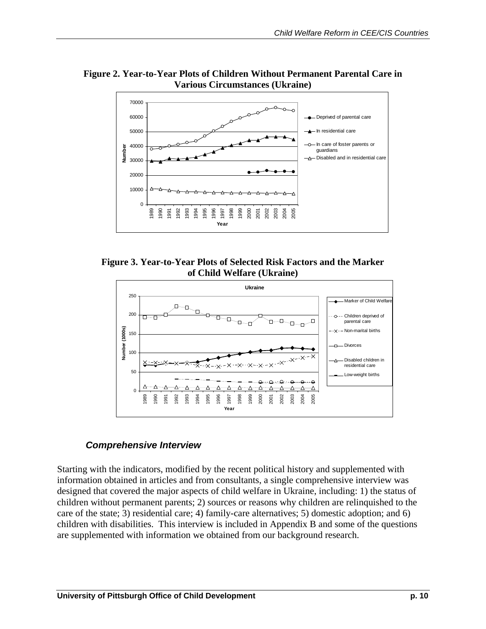

**Figure 2. Year-to-Year Plots of Children Without Permanent Parental Care in Various Circumstances (Ukraine)** 

**Figure 3. Year-to-Year Plots of Selected Risk Factors and the Marker of Child Welfare (Ukraine)** 



## *Comprehensive Interview*

Starting with the indicators, modified by the recent political history and supplemented with information obtained in articles and from consultants, a single comprehensive interview was designed that covered the major aspects of child welfare in Ukraine, including: 1) the status of children without permanent parents; 2) sources or reasons why children are relinquished to the care of the state; 3) residential care; 4) family-care alternatives; 5) domestic adoption; and 6) children with disabilities. This interview is included in Appendix B and some of the questions are supplemented with information we obtained from our background research.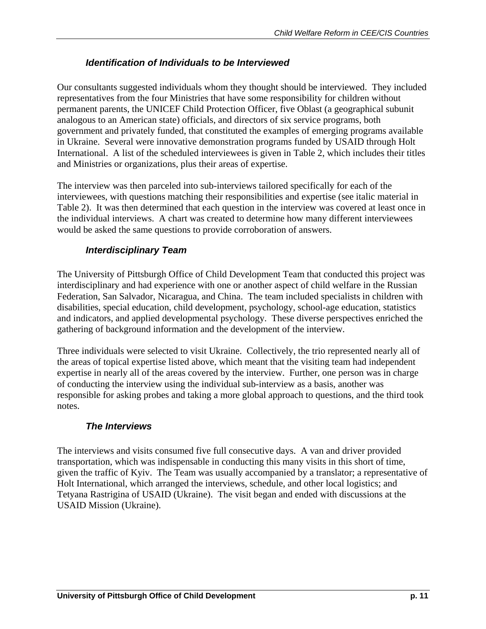#### *Identification of Individuals to be Interviewed*

Our consultants suggested individuals whom they thought should be interviewed. They included representatives from the four Ministries that have some responsibility for children without permanent parents, the UNICEF Child Protection Officer, five Oblast (a geographical subunit analogous to an American state) officials, and directors of six service programs, both government and privately funded, that constituted the examples of emerging programs available in Ukraine. Several were innovative demonstration programs funded by USAID through Holt International. A list of the scheduled interviewees is given in Table 2, which includes their titles and Ministries or organizations, plus their areas of expertise.

The interview was then parceled into sub-interviews tailored specifically for each of the interviewees, with questions matching their responsibilities and expertise (see italic material in Table 2). It was then determined that each question in the interview was covered at least once in the individual interviews. A chart was created to determine how many different interviewees would be asked the same questions to provide corroboration of answers.

#### *Interdisciplinary Team*

The University of Pittsburgh Office of Child Development Team that conducted this project was interdisciplinary and had experience with one or another aspect of child welfare in the Russian Federation, San Salvador, Nicaragua, and China. The team included specialists in children with disabilities, special education, child development, psychology, school-age education, statistics and indicators, and applied developmental psychology. These diverse perspectives enriched the gathering of background information and the development of the interview.

Three individuals were selected to visit Ukraine. Collectively, the trio represented nearly all of the areas of topical expertise listed above, which meant that the visiting team had independent expertise in nearly all of the areas covered by the interview. Further, one person was in charge of conducting the interview using the individual sub-interview as a basis, another was responsible for asking probes and taking a more global approach to questions, and the third took notes.

#### *The Interviews*

The interviews and visits consumed five full consecutive days. A van and driver provided transportation, which was indispensable in conducting this many visits in this short of time, given the traffic of Kyiv. The Team was usually accompanied by a translator; a representative of Holt International, which arranged the interviews, schedule, and other local logistics; and Tetyana Rastrigina of USAID (Ukraine). The visit began and ended with discussions at the USAID Mission (Ukraine).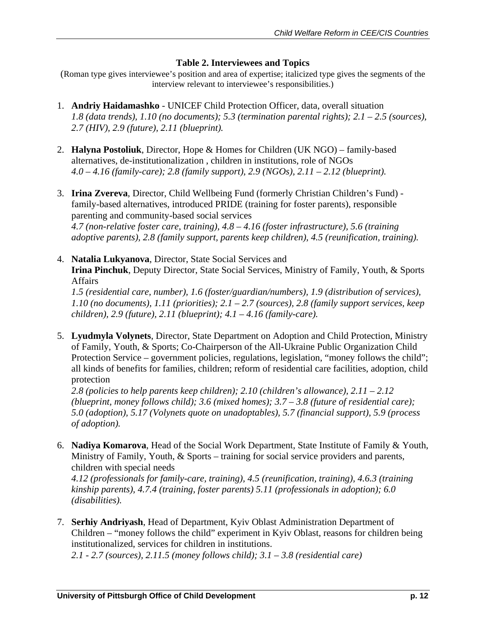#### **Table 2. Interviewees and Topics**

(Roman type gives interviewee's position and area of expertise; italicized type gives the segments of the interview relevant to interviewee's responsibilities.)

- 1. **Andriy Haidamashko** UNICEF Child Protection Officer, data, overall situation *1.8 (data trends), 1.10 (no documents); 5.3 (termination parental rights); 2.1 – 2.5 (sources), 2.7 (HIV), 2.9 (future), 2.11 (blueprint).*
- 2. **Halyna Postoliuk**, Director, Hope & Homes for Children (UK NGO) family-based alternatives, de-institutionalization , children in institutions, role of NGOs *4.0 – 4.16 (family-care); 2.8 (family support), 2.9 (NGOs), 2.11 – 2.12 (blueprint).*
- 3. **Irina Zvereva**, Director, Child Wellbeing Fund (formerly Christian Children's Fund) family-based alternatives, introduced PRIDE (training for foster parents), responsible parenting and community-based social services *4.7 (non-relative foster care, training), 4.8 – 4.16 (foster infrastructure), 5.6 (training adoptive parents), 2.8 (family support, parents keep children), 4.5 (reunification, training).*
- 4. **Natalia Lukyanova**, Director, State Social Services and **Irina Pinchuk**, Deputy Director, State Social Services, Ministry of Family, Youth, & Sports Affairs

*1.5 (residential care, number), 1.6 (foster/guardian/numbers), 1.9 (distribution of services), 1.10 (no documents), 1.11 (priorities); 2.1 – 2.7 (sources), 2.8 (family support services, keep children), 2.9 (future), 2.11 (blueprint); 4.1 – 4.16 (family-care).* 

5. **Lyudmyla Volynets**, Director, State Department on Adoption and Child Protection, Ministry of Family, Youth, & Sports; Co-Chairperson of the All-Ukraine Public Organization Child Protection Service – government policies, regulations, legislation, "money follows the child"; all kinds of benefits for families, children; reform of residential care facilities, adoption, child protection

*2.8 (policies to help parents keep children); 2.10 (children's allowance), 2.11 – 2.12 (blueprint, money follows child); 3.6 (mixed homes); 3.7 – 3.8 (future of residential care); 5.0 (adoption), 5.17 (Volynets quote on unadoptables), 5.7 (financial support), 5.9 (process of adoption).* 

6. **Nadiya Komarova**, Head of the Social Work Department, State Institute of Family & Youth, Ministry of Family, Youth, & Sports – training for social service providers and parents, children with special needs

*4.12 (professionals for family-care, training), 4.5 (reunification, training), 4.6.3 (training kinship parents), 4.7.4 (training, foster parents) 5.11 (professionals in adoption); 6.0 (disabilities).*

7. **Serhiy Andriyash**, Head of Department, Kyiv Oblast Administration Department of Children – "money follows the child" experiment in Kyiv Oblast, reasons for children being institutionalized, services for children in institutions.

*2.1 - 2.7 (sources), 2.11.5 (money follows child); 3.1 – 3.8 (residential care)*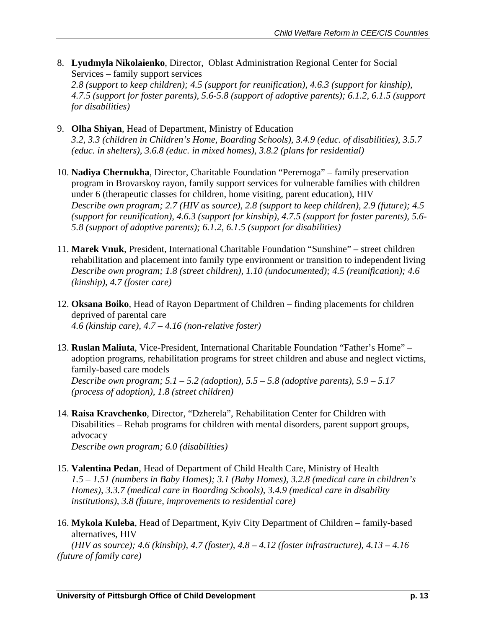8. **Lyudmyla Nikolaienko**, Director, Oblast Administration Regional Center for Social Services – family support services

*2.8 (support to keep children); 4.5 (support for reunification), 4.6.3 (support for kinship), 4.7.5 (support for foster parents), 5.6-5.8 (support of adoptive parents); 6.1.2, 6.1.5 (support for disabilities)* 

- 9. **Olha Shiyan**, Head of Department, Ministry of Education *3.2, 3.3 (children in Children's Home, Boarding Schools), 3.4.9 (educ. of disabilities), 3.5.7 (educ. in shelters), 3.6.8 (educ. in mixed homes), 3.8.2 (plans for residential)*
- 10. **Nadiya Chernukha**, Director, Charitable Foundation "Peremoga" family preservation program in Brovarskoy rayon, family support services for vulnerable families with children under 6 (therapeutic classes for children, home visiting, parent education), HIV *Describe own program; 2.7 (HIV as source), 2.8 (support to keep children), 2.9 (future); 4.5 (support for reunification), 4.6.3 (support for kinship), 4.7.5 (support for foster parents), 5.6- 5.8 (support of adoptive parents); 6.1.2, 6.1.5 (support for disabilities)*
- 11. **Marek Vnuk**, President, International Charitable Foundation "Sunshine" street children rehabilitation and placement into family type environment or transition to independent living *Describe own program; 1.8 (street children), 1.10 (undocumented); 4.5 (reunification); 4.6 (kinship), 4.7 (foster care)*
- 12. **Oksana Boiko**, Head of Rayon Department of Children finding placements for children deprived of parental care *4.6 (kinship care), 4.7 – 4.16 (non-relative foster)*
- 13. **Ruslan Maliuta**, Vice-President, International Charitable Foundation "Father's Home" adoption programs, rehabilitation programs for street children and abuse and neglect victims, family-based care models *Describe own program; 5.1 – 5.2 (adoption), 5.5 – 5.8 (adoptive parents), 5.9 – 5.17 (process of adoption), 1.8 (street children)*
- 14. **Raisa Kravchenko**, Director, "Dzherela", Rehabilitation Center for Children with Disabilities – Rehab programs for children with mental disorders, parent support groups, advocacy *Describe own program; 6.0 (disabilities)*

15. **Valentina Pedan**, Head of Department of Child Health Care, Ministry of Health

- *1.5 1.51 (numbers in Baby Homes); 3.1 (Baby Homes), 3.2.8 (medical care in children's Homes), 3.3.7 (medical care in Boarding Schools), 3.4.9 (medical care in disability institutions), 3.8 (future, improvements to residential care)*
- 16. **Mykola Kuleba**, Head of Department, Kyiv City Department of Children family-based alternatives, HIV

*(HIV as source); 4.6 (kinship), 4.7 (foster), 4.8 – 4.12 (foster infrastructure), 4.13 – 4.16 (future of family care)*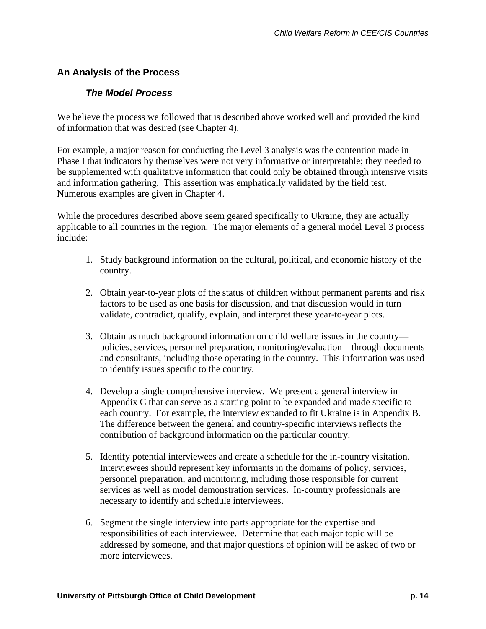## **An Analysis of the Process**

#### *The Model Process*

We believe the process we followed that is described above worked well and provided the kind of information that was desired (see Chapter 4).

For example, a major reason for conducting the Level 3 analysis was the contention made in Phase I that indicators by themselves were not very informative or interpretable; they needed to be supplemented with qualitative information that could only be obtained through intensive visits and information gathering. This assertion was emphatically validated by the field test. Numerous examples are given in Chapter 4.

While the procedures described above seem geared specifically to Ukraine, they are actually applicable to all countries in the region. The major elements of a general model Level 3 process include:

- 1. Study background information on the cultural, political, and economic history of the country.
- 2. Obtain year-to-year plots of the status of children without permanent parents and risk factors to be used as one basis for discussion, and that discussion would in turn validate, contradict, qualify, explain, and interpret these year-to-year plots.
- 3. Obtain as much background information on child welfare issues in the country policies, services, personnel preparation, monitoring/evaluation—through documents and consultants, including those operating in the country.This information was used to identify issues specific to the country.
- 4. Develop a single comprehensive interview. We present a general interview in Appendix C that can serve as a starting point to be expanded and made specific to each country. For example, the interview expanded to fit Ukraine is in Appendix B. The difference between the general and country-specific interviews reflects the contribution of background information on the particular country.
- 5. Identify potential interviewees and create a schedule for the in-country visitation. Interviewees should represent key informants in the domains of policy, services, personnel preparation, and monitoring, including those responsible for current services as well as model demonstration services. In-country professionals are necessary to identify and schedule interviewees.
- 6. Segment the single interview into parts appropriate for the expertise and responsibilities of each interviewee. Determine that each major topic will be addressed by someone, and that major questions of opinion will be asked of two or more interviewees.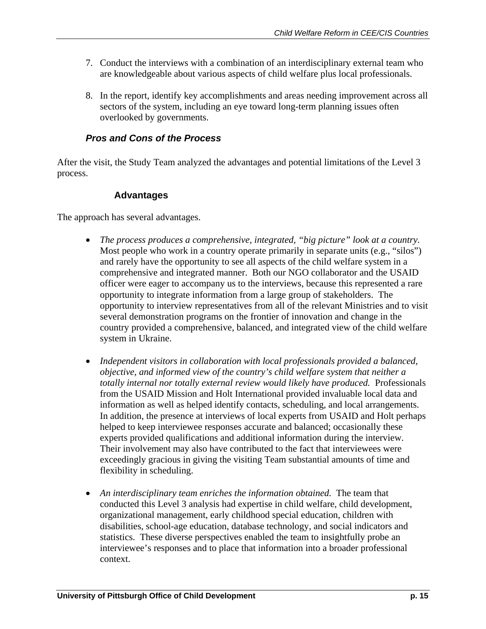- 7. Conduct the interviews with a combination of an interdisciplinary external team who are knowledgeable about various aspects of child welfare plus local professionals.
- 8. In the report, identify key accomplishments and areas needing improvement across all sectors of the system, including an eye toward long-term planning issues often overlooked by governments.

## *Pros and Cons of the Process*

After the visit, the Study Team analyzed the advantages and potential limitations of the Level 3 process.

#### **Advantages**

The approach has several advantages.

- *The process produces a comprehensive, integrated, "big picture" look at a country.* Most people who work in a country operate primarily in separate units (e.g., "silos") and rarely have the opportunity to see all aspects of the child welfare system in a comprehensive and integrated manner. Both our NGO collaborator and the USAID officer were eager to accompany us to the interviews, because this represented a rare opportunity to integrate information from a large group of stakeholders. The opportunity to interview representatives from all of the relevant Ministries and to visit several demonstration programs on the frontier of innovation and change in the country provided a comprehensive, balanced, and integrated view of the child welfare system in Ukraine.
- *Independent visitors in collaboration with local professionals provided a balanced, objective, and informed view of the country's child welfare system that neither a totally internal nor totally external review would likely have produced.* Professionals from the USAID Mission and Holt International provided invaluable local data and information as well as helped identify contacts, scheduling, and local arrangements. In addition, the presence at interviews of local experts from USAID and Holt perhaps helped to keep interviewee responses accurate and balanced; occasionally these experts provided qualifications and additional information during the interview. Their involvement may also have contributed to the fact that interviewees were exceedingly gracious in giving the visiting Team substantial amounts of time and flexibility in scheduling.
- An interdisciplinary team enriches the information obtained. The team that conducted this Level 3 analysis had expertise in child welfare, child development, organizational management, early childhood special education, children with disabilities, school-age education, database technology, and social indicators and statistics. These diverse perspectives enabled the team to insightfully probe an interviewee's responses and to place that information into a broader professional context.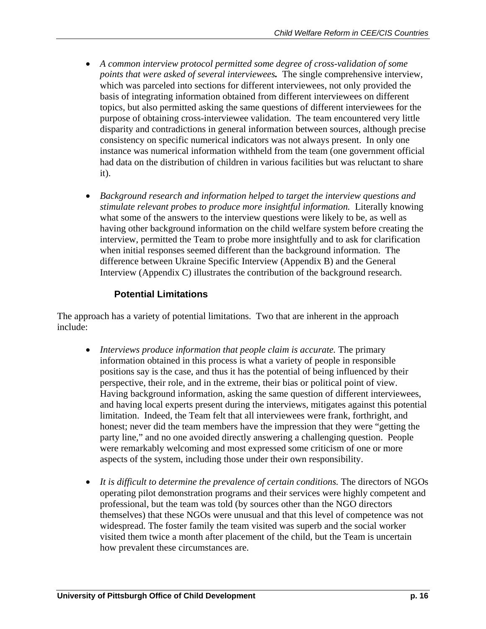- *A common interview protocol permitted some degree of cross-validation of some points that were asked of several interviewees.* The single comprehensive interview, which was parceled into sections for different interviewees, not only provided the basis of integrating information obtained from different interviewees on different topics, but also permitted asking the same questions of different interviewees for the purpose of obtaining cross-interviewee validation. The team encountered very little disparity and contradictions in general information between sources, although precise consistency on specific numerical indicators was not always present. In only one instance was numerical information withheld from the team (one government official had data on the distribution of children in various facilities but was reluctant to share it).
- *Background research and information helped to target the interview questions and stimulate relevant probes to produce more insightful information.* Literally knowing what some of the answers to the interview questions were likely to be, as well as having other background information on the child welfare system before creating the interview, permitted the Team to probe more insightfully and to ask for clarification when initial responses seemed different than the background information. The difference between Ukraine Specific Interview (Appendix B) and the General Interview (Appendix C) illustrates the contribution of the background research.

## **Potential Limitations**

The approach has a variety of potential limitations. Two that are inherent in the approach include:

- *Interviews produce information that people claim is accurate.* The primary information obtained in this process is what a variety of people in responsible positions say is the case, and thus it has the potential of being influenced by their perspective, their role, and in the extreme, their bias or political point of view. Having background information, asking the same question of different interviewees, and having local experts present during the interviews, mitigates against this potential limitation. Indeed, the Team felt that all interviewees were frank, forthright, and honest; never did the team members have the impression that they were "getting the party line," and no one avoided directly answering a challenging question. People were remarkably welcoming and most expressed some criticism of one or more aspects of the system, including those under their own responsibility.
- *It is difficult to determine the prevalence of certain conditions.* The directors of NGOs operating pilot demonstration programs and their services were highly competent and professional, but the team was told (by sources other than the NGO directors themselves) that these NGOs were unusual and that this level of competence was not widespread. The foster family the team visited was superb and the social worker visited them twice a month after placement of the child, but the Team is uncertain how prevalent these circumstances are.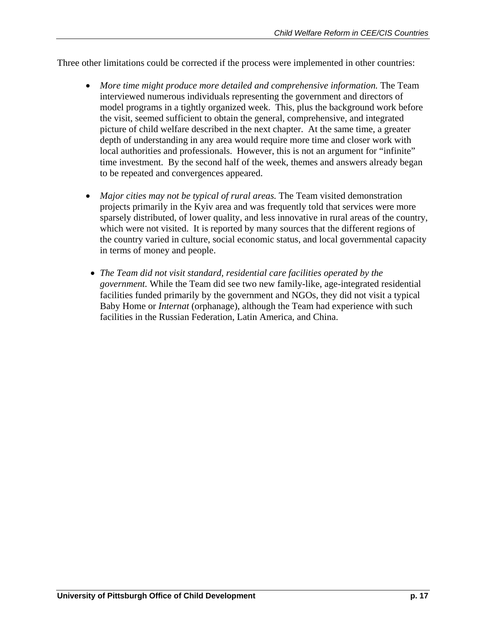Three other limitations could be corrected if the process were implemented in other countries:

- More time might produce more detailed and comprehensive information. The Team interviewed numerous individuals representing the government and directors of model programs in a tightly organized week. This, plus the background work before the visit, seemed sufficient to obtain the general, comprehensive, and integrated picture of child welfare described in the next chapter. At the same time, a greater depth of understanding in any area would require more time and closer work with local authorities and professionals. However, this is not an argument for "infinite" time investment. By the second half of the week, themes and answers already began to be repeated and convergences appeared.
- *Major cities may not be typical of rural areas.* The Team visited demonstration projects primarily in the Kyiv area and was frequently told that services were more sparsely distributed, of lower quality, and less innovative in rural areas of the country, which were not visited. It is reported by many sources that the different regions of the country varied in culture, social economic status, and local governmental capacity in terms of money and people.
- *The Team did not visit standard, residential care facilities operated by the government.* While the Team did see two new family-like, age-integrated residential facilities funded primarily by the government and NGOs, they did not visit a typical Baby Home or *Internat* (orphanage), although the Team had experience with such facilities in the Russian Federation, Latin America, and China.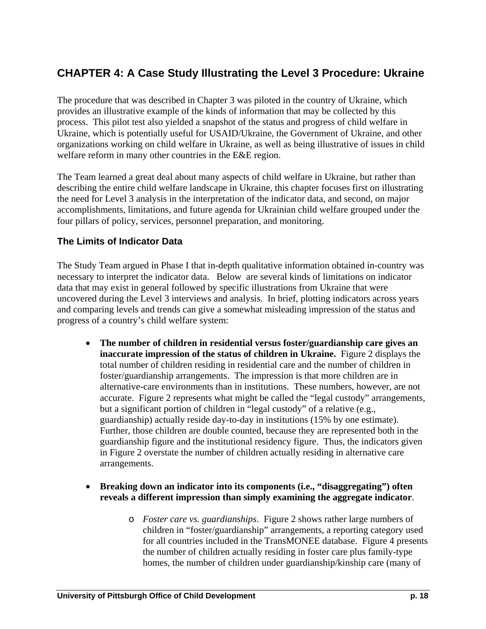# **CHAPTER 4: A Case Study Illustrating the Level 3 Procedure: Ukraine**

The procedure that was described in Chapter 3 was piloted in the country of Ukraine, which provides an illustrative example of the kinds of information that may be collected by this process. This pilot test also yielded a snapshot of the status and progress of child welfare in Ukraine, which is potentially useful for USAID/Ukraine, the Government of Ukraine, and other organizations working on child welfare in Ukraine, as well as being illustrative of issues in child welfare reform in many other countries in the E&E region.

The Team learned a great deal about many aspects of child welfare in Ukraine, but rather than describing the entire child welfare landscape in Ukraine, this chapter focuses first on illustrating the need for Level 3 analysis in the interpretation of the indicator data, and second, on major accomplishments, limitations, and future agenda for Ukrainian child welfare grouped under the four pillars of policy, services, personnel preparation, and monitoring.

#### **The Limits of Indicator Data**

The Study Team argued in Phase I that in-depth qualitative information obtained in-country was necessary to interpret the indicator data. Below are several kinds of limitations on indicator data that may exist in general followed by specific illustrations from Ukraine that were uncovered during the Level 3 interviews and analysis. In brief, plotting indicators across years and comparing levels and trends can give a somewhat misleading impression of the status and progress of a country's child welfare system:

- **The number of children in residential versus foster/guardianship care gives an inaccurate impression of the status of children in Ukraine.** Figure 2 displays the total number of children residing in residential care and the number of children in foster/guardianship arrangements. The impression is that more children are in alternative-care environments than in institutions. These numbers, however, are not accurate. Figure 2 represents what might be called the "legal custody" arrangements, but a significant portion of children in "legal custody" of a relative (e.g., guardianship) actually reside day-to-day in institutions (15% by one estimate). Further, those children are double counted, because they are represented both in the guardianship figure and the institutional residency figure. Thus, the indicators given in Figure 2 overstate the number of children actually residing in alternative care arrangements.
- **Breaking down an indicator into its components (i.e., "disaggregating") often reveals a different impression than simply examining the aggregate indicator**.
	- o *Foster care vs. guardianships*. Figure 2 shows rather large numbers of children in "foster/guardianship" arrangements, a reporting category used for all countries included in the TransMONEE database. Figure 4 presents the number of children actually residing in foster care plus family-type homes, the number of children under guardianship/kinship care (many of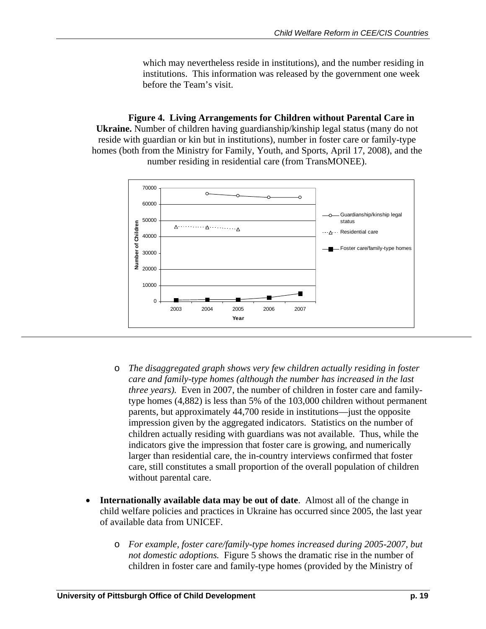which may nevertheless reside in institutions), and the number residing in institutions. This information was released by the government one week before the Team's visit.

**Figure 4. Living Arrangements for Children without Parental Care in Ukraine.** Number of children having guardianship/kinship legal status (many do not reside with guardian or kin but in institutions), number in foster care or family-type homes (both from the Ministry for Family, Youth, and Sports, April 17, 2008), and the number residing in residential care (from TransMONEE).



o *The disaggregated graph shows very few children actually residing in foster care and family-type homes (although the number has increased in the last three years*). Even in 2007, the number of children in foster care and familytype homes (4,882) is less than 5% of the 103,000 children without permanent parents, but approximately 44,700 reside in institutions—just the opposite impression given by the aggregated indicators. Statistics on the number of children actually residing with guardians was not available. Thus, while the indicators give the impression that foster care is growing, and numerically larger than residential care, the in-country interviews confirmed that foster care, still constitutes a small proportion of the overall population of children without parental care.

- **Internationally available data may be out of date**. Almost all of the change in child welfare policies and practices in Ukraine has occurred since 2005, the last year of available data from UNICEF.
	- o *For example, foster care/family-type homes increased during 2005-2007, but not domestic adoptions.* Figure 5 shows the dramatic rise in the number of children in foster care and family-type homes (provided by the Ministry of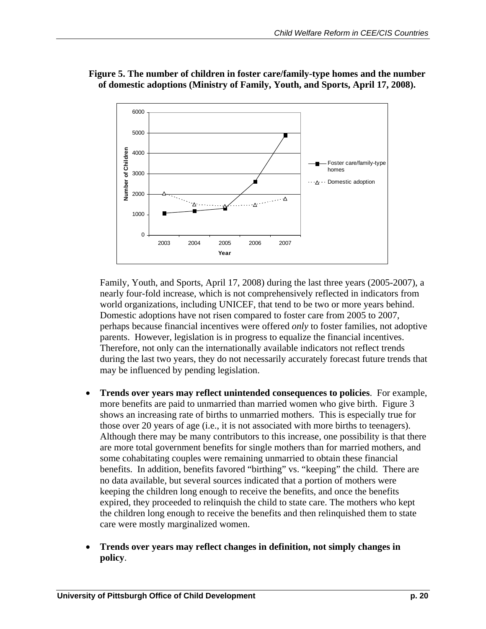

**Figure 5. The number of children in foster care/family-type homes and the number of domestic adoptions (Ministry of Family, Youth, and Sports, April 17, 2008).** 

Family, Youth, and Sports, April 17, 2008) during the last three years (2005-2007), a nearly four-fold increase, which is not comprehensively reflected in indicators from world organizations, including UNICEF, that tend to be two or more years behind. Domestic adoptions have not risen compared to foster care from 2005 to 2007, perhaps because financial incentives were offered *only* to foster families, not adoptive parents. However, legislation is in progress to equalize the financial incentives. Therefore, not only can the internationally available indicators not reflect trends during the last two years, they do not necessarily accurately forecast future trends that may be influenced by pending legislation.

- **Trends over years may reflect unintended consequences to policies**.For example, more benefits are paid to unmarried than married women who give birth.Figure 3 shows an increasing rate of births to unmarried mothers. This is especially true for those over 20 years of age (i.e., it is not associated with more births to teenagers). Although there may be many contributors to this increase, one possibility is that there are more total government benefits for single mothers than for married mothers, and some cohabitating couples were remaining unmarried to obtain these financial benefits. In addition, benefits favored "birthing" vs. "keeping" the child. There are no data available, but several sources indicated that a portion of mothers were keeping the children long enough to receive the benefits, and once the benefits expired, they proceeded to relinquish the child to state care. The mothers who kept the children long enough to receive the benefits and then relinquished them to state care were mostly marginalized women.
- **Trends over years may reflect changes in definition, not simply changes in policy**.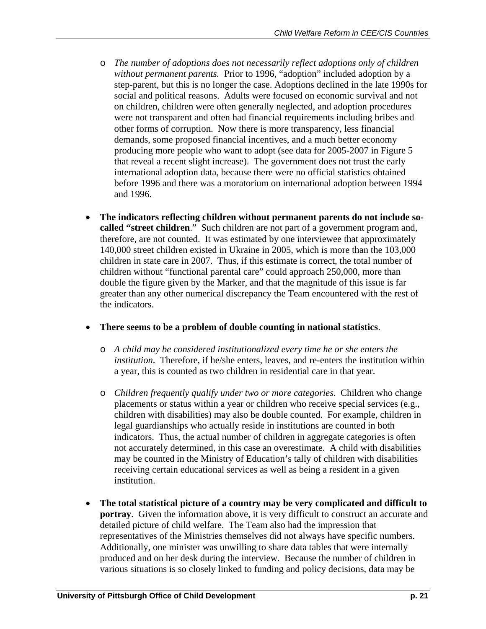- o *The number of adoptions does not necessarily reflect adoptions only of children without permanent parents.* Prior to 1996, "adoption" included adoption by a step-parent, but this is no longer the case. Adoptions declined in the late 1990s for social and political reasons. Adults were focused on economic survival and not on children, children were often generally neglected, and adoption procedures were not transparent and often had financial requirements including bribes and other forms of corruption. Now there is more transparency, less financial demands, some proposed financial incentives, and a much better economy producing more people who want to adopt (see data for 2005-2007 in Figure 5 that reveal a recent slight increase). The government does not trust the early international adoption data, because there were no official statistics obtained before 1996 and there was a moratorium on international adoption between 1994 and 1996.
- **The indicators reflecting children without permanent parents do not include socalled "street children**."Such children are not part of a government program and, therefore, are not counted. It was estimated by one interviewee that approximately 140,000 street children existed in Ukraine in 2005, which is more than the 103,000 children in state care in 2007. Thus, if this estimate is correct, the total number of children without "functional parental care" could approach 250,000, more than double the figure given by the Marker, and that the magnitude of this issue is far greater than any other numerical discrepancy the Team encountered with the rest of the indicators.
- **There seems to be a problem of double counting in national statistics**.
	- o *A child may be considered institutionalized every time he or she enters the institution*. Therefore, if he/she enters, leaves, and re-enters the institution within a year, this is counted as two children in residential care in that year.
	- o *Children frequently qualify under two or more categories*. Children who change placements or status within a year or children who receive special services (e.g., children with disabilities) may also be double counted. For example, children in legal guardianships who actually reside in institutions are counted in both indicators. Thus, the actual number of children in aggregate categories is often not accurately determined, in this case an overestimate. A child with disabilities may be counted in the Ministry of Education's tally of children with disabilities receiving certain educational services as well as being a resident in a given institution.
- **The total statistical picture of a country may be very complicated and difficult to portray**. Given the information above, it is very difficult to construct an accurate and detailed picture of child welfare. The Team also had the impression that representatives of the Ministries themselves did not always have specific numbers. Additionally, one minister was unwilling to share data tables that were internally produced and on her desk during the interview. Because the number of children in various situations is so closely linked to funding and policy decisions, data may be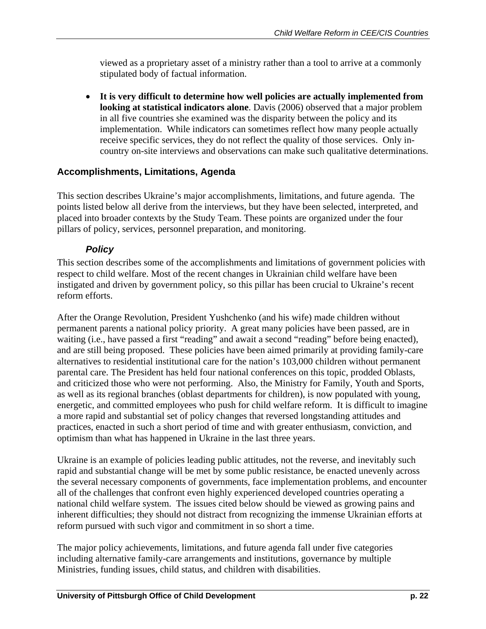viewed as a proprietary asset of a ministry rather than a tool to arrive at a commonly stipulated body of factual information.

• **It is very difficult to determine how well policies are actually implemented from looking at statistical indicators alone**. Davis (2006) observed that a major problem in all five countries she examined was the disparity between the policy and its implementation. While indicators can sometimes reflect how many people actually receive specific services, they do not reflect the quality of those services. Only incountry on-site interviews and observations can make such qualitative determinations.

## **Accomplishments, Limitations, Agenda**

This section describes Ukraine's major accomplishments, limitations, and future agenda. The points listed below all derive from the interviews, but they have been selected, interpreted, and placed into broader contexts by the Study Team. These points are organized under the four pillars of policy, services, personnel preparation, and monitoring.

## *Policy*

This section describes some of the accomplishments and limitations of government policies with respect to child welfare. Most of the recent changes in Ukrainian child welfare have been instigated and driven by government policy, so this pillar has been crucial to Ukraine's recent reform efforts.

After the Orange Revolution, President Yushchenko (and his wife) made children without permanent parents a national policy priority. A great many policies have been passed, are in waiting (i.e., have passed a first "reading" and await a second "reading" before being enacted), and are still being proposed. These policies have been aimed primarily at providing family-care alternatives to residential institutional care for the nation's 103,000 children without permanent parental care. The President has held four national conferences on this topic, prodded Oblasts, and criticized those who were not performing. Also, the Ministry for Family, Youth and Sports, as well as its regional branches (oblast departments for children), is now populated with young, energetic, and committed employees who push for child welfare reform. It is difficult to imagine a more rapid and substantial set of policy changes that reversed longstanding attitudes and practices, enacted in such a short period of time and with greater enthusiasm, conviction, and optimism than what has happened in Ukraine in the last three years.

Ukraine is an example of policies leading public attitudes, not the reverse, and inevitably such rapid and substantial change will be met by some public resistance, be enacted unevenly across the several necessary components of governments, face implementation problems, and encounter all of the challenges that confront even highly experienced developed countries operating a national child welfare system. The issues cited below should be viewed as growing pains and inherent difficulties; they should not distract from recognizing the immense Ukrainian efforts at reform pursued with such vigor and commitment in so short a time.

The major policy achievements, limitations, and future agenda fall under five categories including alternative family-care arrangements and institutions, governance by multiple Ministries, funding issues, child status, and children with disabilities.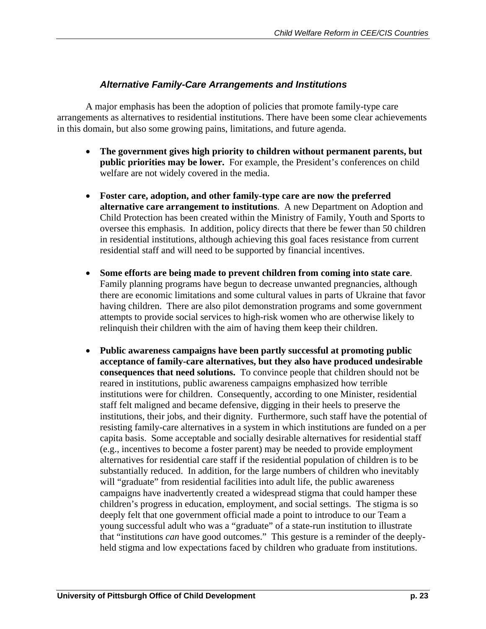## *Alternative Family-Care Arrangements and Institutions*

A major emphasis has been the adoption of policies that promote family-type care arrangements as alternatives to residential institutions. There have been some clear achievements in this domain, but also some growing pains, limitations, and future agenda.

- **The government gives high priority to children without permanent parents, but public priorities may be lower.** For example, the President's conferences on child welfare are not widely covered in the media.
- **Foster care, adoption, and other family-type care are now the preferred alternative care arrangement to institutions**. A new Department on Adoption and Child Protection has been created within the Ministry of Family, Youth and Sports to oversee this emphasis. In addition, policy directs that there be fewer than 50 children in residential institutions, although achieving this goal faces resistance from current residential staff and will need to be supported by financial incentives.
- **Some efforts are being made to prevent children from coming into state care**. Family planning programs have begun to decrease unwanted pregnancies, although there are economic limitations and some cultural values in parts of Ukraine that favor having children. There are also pilot demonstration programs and some government attempts to provide social services to high-risk women who are otherwise likely to relinquish their children with the aim of having them keep their children.
- **Public awareness campaigns have been partly successful at promoting public acceptance of family-care alternatives, but they also have produced undesirable consequences that need solutions.** To convince people that children should not be reared in institutions, public awareness campaigns emphasized how terrible institutions were for children. Consequently, according to one Minister, residential staff felt maligned and became defensive, digging in their heels to preserve the institutions, their jobs, and their dignity. Furthermore, such staff have the potential of resisting family-care alternatives in a system in which institutions are funded on a per capita basis. Some acceptable and socially desirable alternatives for residential staff (e.g., incentives to become a foster parent) may be needed to provide employment alternatives for residential care staff if the residential population of children is to be substantially reduced. In addition, for the large numbers of children who inevitably will "graduate" from residential facilities into adult life, the public awareness campaigns have inadvertently created a widespread stigma that could hamper these children's progress in education, employment, and social settings. The stigma is so deeply felt that one government official made a point to introduce to our Team a young successful adult who was a "graduate" of a state-run institution to illustrate that "institutions *can* have good outcomes." This gesture is a reminder of the deeplyheld stigma and low expectations faced by children who graduate from institutions.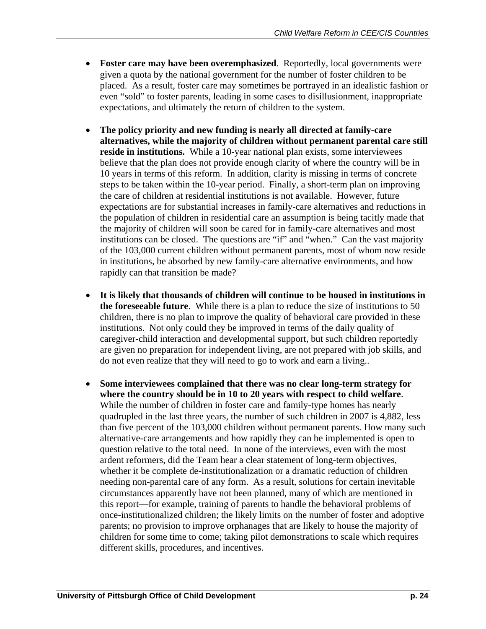- **Foster care may have been overemphasized**. Reportedly, local governments were given a quota by the national government for the number of foster children to be placed. As a result, foster care may sometimes be portrayed in an idealistic fashion or even "sold" to foster parents, leading in some cases to disillusionment, inappropriate expectations, and ultimately the return of children to the system.
- **The policy priority and new funding is nearly all directed at family-care alternatives, while the majority of children without permanent parental care still reside in institutions.** While a 10-year national plan exists, some interviewees believe that the plan does not provide enough clarity of where the country will be in 10 years in terms of this reform. In addition, clarity is missing in terms of concrete steps to be taken within the 10-year period. Finally, a short-term plan on improving the care of children at residential institutions is not available. However, future expectations are for substantial increases in family-care alternatives and reductions in the population of children in residential care an assumption is being tacitly made that the majority of children will soon be cared for in family-care alternatives and most institutions can be closed. The questions are "if" and "when." Can the vast majority of the 103,000 current children without permanent parents, most of whom now reside in institutions, be absorbed by new family-care alternative environments, and how rapidly can that transition be made?
- **It is likely that thousands of children will continue to be housed in institutions in the foreseeable future**. While there is a plan to reduce the size of institutions to 50 children, there is no plan to improve the quality of behavioral care provided in these institutions. Not only could they be improved in terms of the daily quality of caregiver-child interaction and developmental support, but such children reportedly are given no preparation for independent living, are not prepared with job skills, and do not even realize that they will need to go to work and earn a living..
- **Some interviewees complained that there was no clear long-term strategy for where the country should be in 10 to 20 years with respect to child welfare**. While the number of children in foster care and family-type homes has nearly quadrupled in the last three years, the number of such children in 2007 is 4,882, less than five percent of the 103,000 children without permanent parents. How many such alternative-care arrangements and how rapidly they can be implemented is open to question relative to the total need. In none of the interviews, even with the most ardent reformers, did the Team hear a clear statement of long-term objectives, whether it be complete de-institutionalization or a dramatic reduction of children needing non-parental care of any form. As a result, solutions for certain inevitable circumstances apparently have not been planned, many of which are mentioned in this report—for example, training of parents to handle the behavioral problems of once-institutionalized children; the likely limits on the number of foster and adoptive parents; no provision to improve orphanages that are likely to house the majority of children for some time to come; taking pilot demonstrations to scale which requires different skills, procedures, and incentives.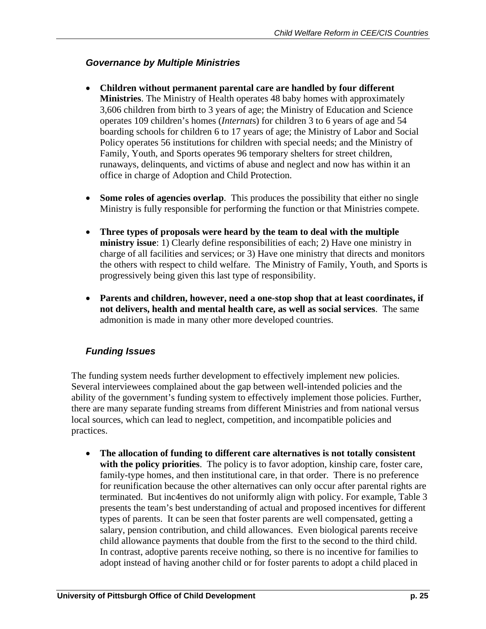## *Governance by Multiple Ministries*

- **Children without permanent parental care are handled by four different Ministries**. The Ministry of Health operates 48 baby homes with approximately 3,606 children from birth to 3 years of age; the Ministry of Education and Science operates 109 children's homes (*Internat*s) for children 3 to 6 years of age and 54 boarding schools for children 6 to 17 years of age; the Ministry of Labor and Social Policy operates 56 institutions for children with special needs; and the Ministry of Family, Youth, and Sports operates 96 temporary shelters for street children, runaways, delinquents, and victims of abuse and neglect and now has within it an office in charge of Adoption and Child Protection.
- **Some roles of agencies overlap**. This produces the possibility that either no single Ministry is fully responsible for performing the function or that Ministries compete.
- **Three types of proposals were heard by the team to deal with the multiple ministry issue**: 1) Clearly define responsibilities of each; 2) Have one ministry in charge of all facilities and services; or 3) Have one ministry that directs and monitors the others with respect to child welfare. The Ministry of Family, Youth, and Sports is progressively being given this last type of responsibility.
- **Parents and children, however, need a one-stop shop that at least coordinates, if not delivers, health and mental health care, as well as social services**. The same admonition is made in many other more developed countries.

## *Funding Issues*

The funding system needs further development to effectively implement new policies. Several interviewees complained about the gap between well-intended policies and the ability of the government's funding system to effectively implement those policies. Further, there are many separate funding streams from different Ministries and from national versus local sources, which can lead to neglect, competition, and incompatible policies and practices.

• **The allocation of funding to different care alternatives is not totally consistent with the policy priorities**. The policy is to favor adoption, kinship care, foster care, family-type homes, and then institutional care, in that order. There is no preference for reunification because the other alternatives can only occur after parental rights are terminated. But inc4entives do not uniformly align with policy. For example, Table 3 presents the team's best understanding of actual and proposed incentives for different types of parents. It can be seen that foster parents are well compensated, getting a salary, pension contribution, and child allowances. Even biological parents receive child allowance payments that double from the first to the second to the third child. In contrast, adoptive parents receive nothing, so there is no incentive for families to adopt instead of having another child or for foster parents to adopt a child placed in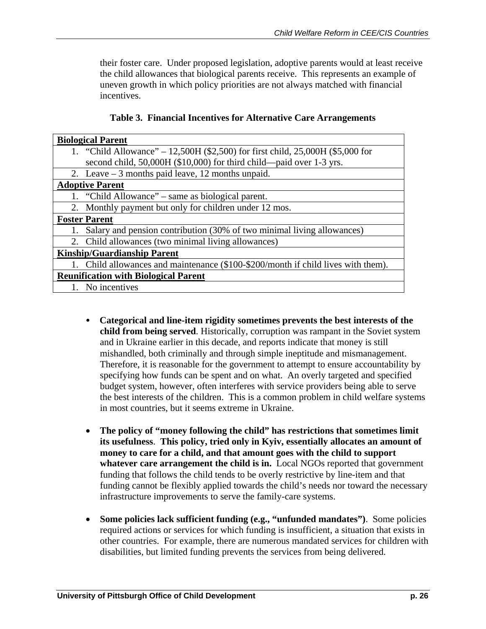their foster care. Under proposed legislation, adoptive parents would at least receive the child allowances that biological parents receive. This represents an example of uneven growth in which policy priorities are not always matched with financial incentives.

|  |  | Table 3. Financial Incentives for Alternative Care Arrangements |
|--|--|-----------------------------------------------------------------|
|  |  |                                                                 |

| <b>Biological Parent</b>                                                          |                                                                                |  |  |  |
|-----------------------------------------------------------------------------------|--------------------------------------------------------------------------------|--|--|--|
|                                                                                   | 1. "Child Allowance" – 12,500H (\$2,500) for first child, 25,000H (\$5,000 for |  |  |  |
| second child, 50,000H (\$10,000) for third child—paid over 1-3 yrs.               |                                                                                |  |  |  |
| 2. Leave $-3$ months paid leave, 12 months unpaid.                                |                                                                                |  |  |  |
| <b>Adoptive Parent</b>                                                            |                                                                                |  |  |  |
| 1. "Child Allowance" – same as biological parent.                                 |                                                                                |  |  |  |
| 2. Monthly payment but only for children under 12 mos.                            |                                                                                |  |  |  |
| <b>Foster Parent</b>                                                              |                                                                                |  |  |  |
| 1. Salary and pension contribution (30% of two minimal living allowances)         |                                                                                |  |  |  |
| 2. Child allowances (two minimal living allowances)                               |                                                                                |  |  |  |
| <b>Kinship/Guardianship Parent</b>                                                |                                                                                |  |  |  |
| 1. Child allowances and maintenance (\$100-\$200/month if child lives with them). |                                                                                |  |  |  |
| <b>Reunification with Biological Parent</b>                                       |                                                                                |  |  |  |
| 1. No incentives                                                                  |                                                                                |  |  |  |

- y **Categorical and line-item rigidity sometimes prevents the best interests of the child from being served**. Historically, corruption was rampant in the Soviet system and in Ukraine earlier in this decade, and reports indicate that money is still mishandled, both criminally and through simple ineptitude and mismanagement. Therefore, it is reasonable for the government to attempt to ensure accountability by specifying how funds can be spent and on what. An overly targeted and specified budget system, however, often interferes with service providers being able to serve the best interests of the children. This is a common problem in child welfare systems in most countries, but it seems extreme in Ukraine.
- **The policy of "money following the child" has restrictions that sometimes limit its usefulness**. **This policy, tried only in Kyiv, essentially allocates an amount of money to care for a child, and that amount goes with the child to support whatever care arrangement the child is in.** Local NGOs reported that government funding that follows the child tends to be overly restrictive by line-item and that funding cannot be flexibly applied towards the child's needs nor toward the necessary infrastructure improvements to serve the family-care systems.
- **Some policies lack sufficient funding (e.g., "unfunded mandates")**. Some policies required actions or services for which funding is insufficient, a situation that exists in other countries. For example, there are numerous mandated services for children with disabilities, but limited funding prevents the services from being delivered.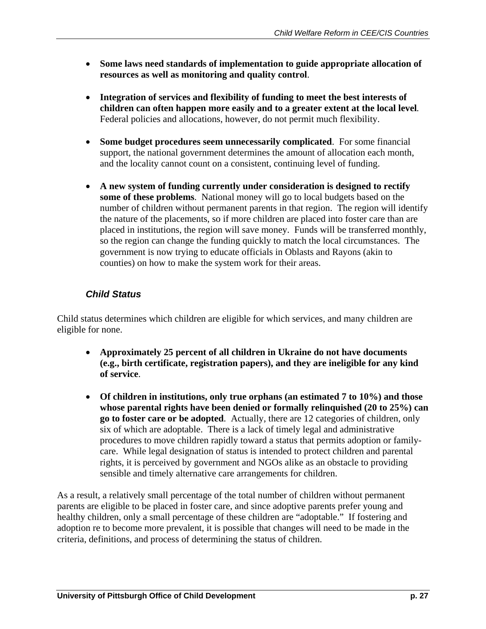- **Some laws need standards of implementation to guide appropriate allocation of resources as well as monitoring and quality control**.
- **Integration of services and flexibility of funding to meet the best interests of children can often happen more easily and to a greater extent at the local level***.* Federal policies and allocations, however, do not permit much flexibility.
- **Some budget procedures seem unnecessarily complicated**. For some financial support, the national government determines the amount of allocation each month, and the locality cannot count on a consistent, continuing level of funding.
- **A new system of funding currently under consideration is designed to rectify some of these problems**. National money will go to local budgets based on the number of children without permanent parents in that region. The region will identify the nature of the placements, so if more children are placed into foster care than are placed in institutions, the region will save money. Funds will be transferred monthly, so the region can change the funding quickly to match the local circumstances. The government is now trying to educate officials in Oblasts and Rayons (akin to counties) on how to make the system work for their areas.

## *Child Status*

Child status determines which children are eligible for which services, and many children are eligible for none.

- **Approximately 25 percent of all children in Ukraine do not have documents (e.g., birth certificate, registration papers), and they are ineligible for any kind of service**.
- **Of children in institutions, only true orphans (an estimated 7 to 10%) and those whose parental rights have been denied or formally relinquished (20 to 25%) can go to foster care or be adopted**.Actually, there are 12 categories of children, only six of which are adoptable. There is a lack of timely legal and administrative procedures to move children rapidly toward a status that permits adoption or familycare. While legal designation of status is intended to protect children and parental rights, it is perceived by government and NGOs alike as an obstacle to providing sensible and timely alternative care arrangements for children.

As a result, a relatively small percentage of the total number of children without permanent parents are eligible to be placed in foster care, and since adoptive parents prefer young and healthy children, only a small percentage of these children are "adoptable." If fostering and adoption re to become more prevalent, it is possible that changes will need to be made in the criteria, definitions, and process of determining the status of children.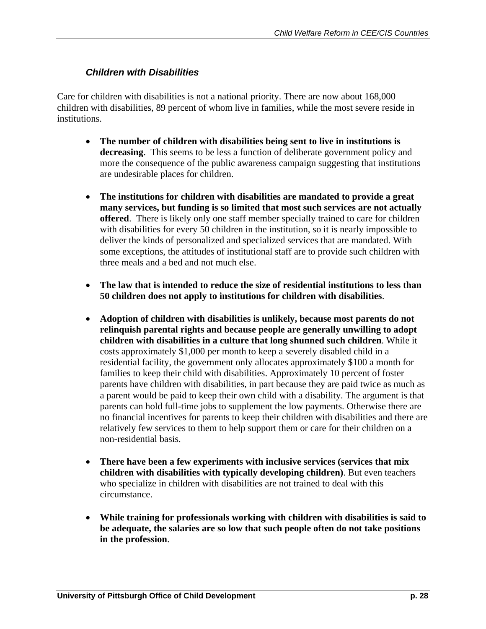## *Children with Disabilities*

Care for children with disabilities is not a national priority. There are now about 168,000 children with disabilities, 89 percent of whom live in families, while the most severe reside in institutions.

- **The number of children with disabilities being sent to live in institutions is decreasing**. This seems to be less a function of deliberate government policy and more the consequence of the public awareness campaign suggesting that institutions are undesirable places for children.
- **The institutions for children with disabilities are mandated to provide a great many services, but funding is so limited that most such services are not actually offered**. There is likely only one staff member specially trained to care for children with disabilities for every 50 children in the institution, so it is nearly impossible to deliver the kinds of personalized and specialized services that are mandated. With some exceptions, the attitudes of institutional staff are to provide such children with three meals and a bed and not much else.
- **The law that is intended to reduce the size of residential institutions to less than 50 children does not apply to institutions for children with disabilities**.
- **Adoption of children with disabilities is unlikely, because most parents do not relinquish parental rights and because people are generally unwilling to adopt children with disabilities in a culture that long shunned such children**. While it costs approximately \$1,000 per month to keep a severely disabled child in a residential facility, the government only allocates approximately \$100 a month for families to keep their child with disabilities. Approximately 10 percent of foster parents have children with disabilities, in part because they are paid twice as much as a parent would be paid to keep their own child with a disability. The argument is that parents can hold full-time jobs to supplement the low payments. Otherwise there are no financial incentives for parents to keep their children with disabilities and there are relatively few services to them to help support them or care for their children on a non-residential basis.
- **There have been a few experiments with inclusive services (services that mix children with disabilities with typically developing children)**. But even teachers who specialize in children with disabilities are not trained to deal with this circumstance.
- **While training for professionals working with children with disabilities is said to be adequate, the salaries are so low that such people often do not take positions in the profession**.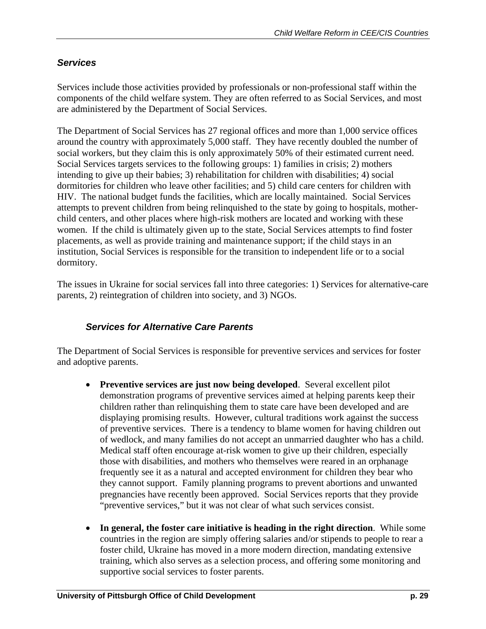## *Services*

Services include those activities provided by professionals or non-professional staff within the components of the child welfare system. They are often referred to as Social Services, and most are administered by the Department of Social Services.

The Department of Social Services has 27 regional offices and more than 1,000 service offices around the country with approximately 5,000 staff. They have recently doubled the number of social workers, but they claim this is only approximately 50% of their estimated current need. Social Services targets services to the following groups: 1) families in crisis; 2) mothers intending to give up their babies; 3) rehabilitation for children with disabilities; 4) social dormitories for children who leave other facilities; and 5) child care centers for children with HIV. The national budget funds the facilities, which are locally maintained. Social Services attempts to prevent children from being relinquished to the state by going to hospitals, motherchild centers, and other places where high-risk mothers are located and working with these women. If the child is ultimately given up to the state, Social Services attempts to find foster placements, as well as provide training and maintenance support; if the child stays in an institution, Social Services is responsible for the transition to independent life or to a social dormitory.

The issues in Ukraine for social services fall into three categories: 1) Services for alternative-care parents, 2) reintegration of children into society, and 3) NGOs.

## *Services for Alternative Care Parents*

The Department of Social Services is responsible for preventive services and services for foster and adoptive parents.

- **Preventive services are just now being developed**. Several excellent pilot demonstration programs of preventive services aimed at helping parents keep their children rather than relinquishing them to state care have been developed and are displaying promising results. However, cultural traditions work against the success of preventive services. There is a tendency to blame women for having children out of wedlock, and many families do not accept an unmarried daughter who has a child. Medical staff often encourage at-risk women to give up their children, especially those with disabilities, and mothers who themselves were reared in an orphanage frequently see it as a natural and accepted environment for children they bear who they cannot support. Family planning programs to prevent abortions and unwanted pregnancies have recently been approved. Social Services reports that they provide "preventive services," but it was not clear of what such services consist.
- **In general, the foster care initiative is heading in the right direction**. While some countries in the region are simply offering salaries and/or stipends to people to rear a foster child, Ukraine has moved in a more modern direction, mandating extensive training, which also serves as a selection process, and offering some monitoring and supportive social services to foster parents.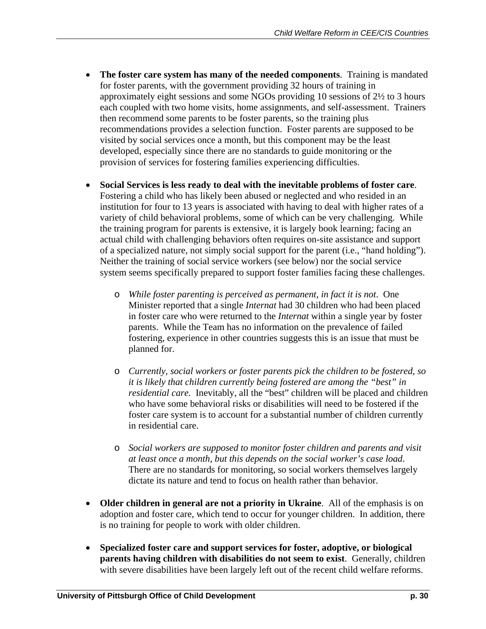- **The foster care system has many of the needed components**. Training is mandated for foster parents, with the government providing 32 hours of training in approximately eight sessions and some NGOs providing 10 sessions of 2½ to 3 hours each coupled with two home visits, home assignments, and self-assessment. Trainers then recommend some parents to be foster parents, so the training plus recommendations provides a selection function. Foster parents are supposed to be visited by social services once a month, but this component may be the least developed, especially since there are no standards to guide monitoring or the provision of services for fostering families experiencing difficulties.
- **Social Services is less ready to deal with the inevitable problems of foster care**. Fostering a child who has likely been abused or neglected and who resided in an institution for four to 13 years is associated with having to deal with higher rates of a variety of child behavioral problems, some of which can be very challenging. While the training program for parents is extensive, it is largely book learning; facing an actual child with challenging behaviors often requires on-site assistance and support of a specialized nature, not simply social support for the parent (i.e., "hand holding"). Neither the training of social service workers (see below) nor the social service system seems specifically prepared to support foster families facing these challenges.
	- o *While foster parenting is perceived as permanent, in fact it is not*. One Minister reported that a single *Internat* had 30 children who had been placed in foster care who were returned to the *Internat* within a single year by foster parents. While the Team has no information on the prevalence of failed fostering, experience in other countries suggests this is an issue that must be planned for.
	- o *Currently, social workers or foster parents pick the children to be fostered, so it is likely that children currently being fostered are among the "best" in residential care.* Inevitably, all the "best" children will be placed and children who have some behavioral risks or disabilities will need to be fostered if the foster care system is to account for a substantial number of children currently in residential care.
	- o *Social workers are supposed to monitor foster children and parents and visit at least once a month, but this depends on the social worker's case load*. There are no standards for monitoring, so social workers themselves largely dictate its nature and tend to focus on health rather than behavior.
- **Older children in general are not a priority in Ukraine**. All of the emphasis is on adoption and foster care, which tend to occur for younger children. In addition, there is no training for people to work with older children.
- **Specialized foster care and support services for foster, adoptive, or biological parents having children with disabilities do not seem to exist**. Generally, children with severe disabilities have been largely left out of the recent child welfare reforms.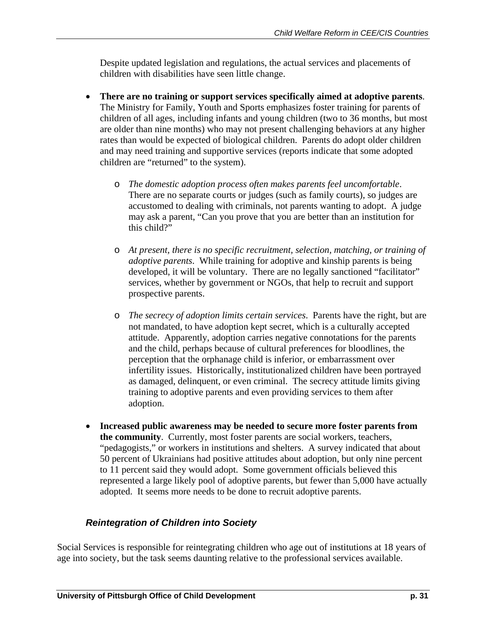Despite updated legislation and regulations, the actual services and placements of children with disabilities have seen little change.

- **There are no training or support services specifically aimed at adoptive parents**. The Ministry for Family, Youth and Sports emphasizes foster training for parents of children of all ages, including infants and young children (two to 36 months, but most are older than nine months) who may not present challenging behaviors at any higher rates than would be expected of biological children. Parents do adopt older children and may need training and supportive services (reports indicate that some adopted children are "returned" to the system).
	- o *The domestic adoption process often makes parents feel uncomfortable*. There are no separate courts or judges (such as family courts), so judges are accustomed to dealing with criminals, not parents wanting to adopt. A judge may ask a parent, "Can you prove that you are better than an institution for this child?"
	- o *At present, there is no specific recruitment, selection, matching, or training of adoptive parents*. While training for adoptive and kinship parents is being developed, it will be voluntary. There are no legally sanctioned "facilitator" services, whether by government or NGOs, that help to recruit and support prospective parents.
	- o *The secrecy of adoption limits certain services*. Parents have the right, but are not mandated, to have adoption kept secret, which is a culturally accepted attitude. Apparently, adoption carries negative connotations for the parents and the child, perhaps because of cultural preferences for bloodlines, the perception that the orphanage child is inferior, or embarrassment over infertility issues. Historically, institutionalized children have been portrayed as damaged, delinquent, or even criminal. The secrecy attitude limits giving training to adoptive parents and even providing services to them after adoption.
- **Increased public awareness may be needed to secure more foster parents from the community**. Currently, most foster parents are social workers, teachers, "pedagogists," or workers in institutions and shelters. A survey indicated that about 50 percent of Ukrainians had positive attitudes about adoption, but only nine percent to 11 percent said they would adopt. Some government officials believed this represented a large likely pool of adoptive parents, but fewer than 5,000 have actually adopted. It seems more needs to be done to recruit adoptive parents.

## *Reintegration of Children into Society*

Social Services is responsible for reintegrating children who age out of institutions at 18 years of age into society, but the task seems daunting relative to the professional services available.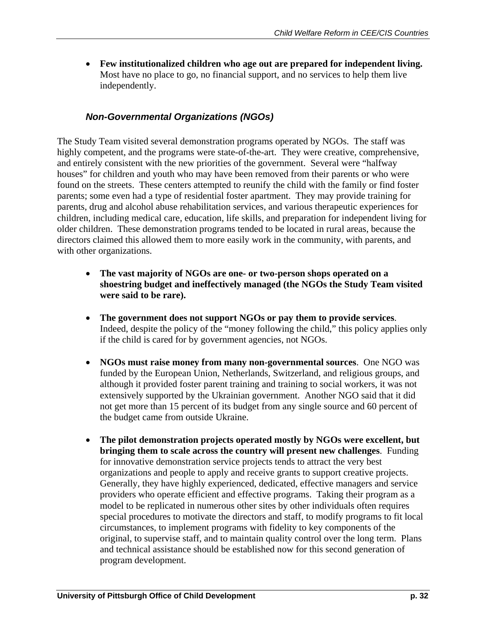• **Few institutionalized children who age out are prepared for independent living.**  Most have no place to go, no financial support, and no services to help them live independently.

## *Non-Governmental Organizations (NGOs)*

The Study Team visited several demonstration programs operated by NGOs. The staff was highly competent, and the programs were state-of-the-art. They were creative, comprehensive, and entirely consistent with the new priorities of the government. Several were "halfway houses" for children and youth who may have been removed from their parents or who were found on the streets. These centers attempted to reunify the child with the family or find foster parents; some even had a type of residential foster apartment. They may provide training for parents, drug and alcohol abuse rehabilitation services, and various therapeutic experiences for children, including medical care, education, life skills, and preparation for independent living for older children. These demonstration programs tended to be located in rural areas, because the directors claimed this allowed them to more easily work in the community, with parents, and with other organizations.

- **The vast majority of NGOs are one- or two-person shops operated on a shoestring budget and ineffectively managed (the NGOs the Study Team visited were said to be rare).**
- **The government does not support NGOs or pay them to provide services**. Indeed, despite the policy of the "money following the child," this policy applies only if the child is cared for by government agencies, not NGOs.
- **NGOs must raise money from many non-governmental sources**. One NGO was funded by the European Union, Netherlands, Switzerland, and religious groups, and although it provided foster parent training and training to social workers, it was not extensively supported by the Ukrainian government. Another NGO said that it did not get more than 15 percent of its budget from any single source and 60 percent of the budget came from outside Ukraine.
- **The pilot demonstration projects operated mostly by NGOs were excellent, but bringing them to scale across the country will present new challenges**. Funding for innovative demonstration service projects tends to attract the very best organizations and people to apply and receive grants to support creative projects. Generally, they have highly experienced, dedicated, effective managers and service providers who operate efficient and effective programs. Taking their program as a model to be replicated in numerous other sites by other individuals often requires special procedures to motivate the directors and staff, to modify programs to fit local circumstances, to implement programs with fidelity to key components of the original, to supervise staff, and to maintain quality control over the long term. Plans and technical assistance should be established now for this second generation of program development.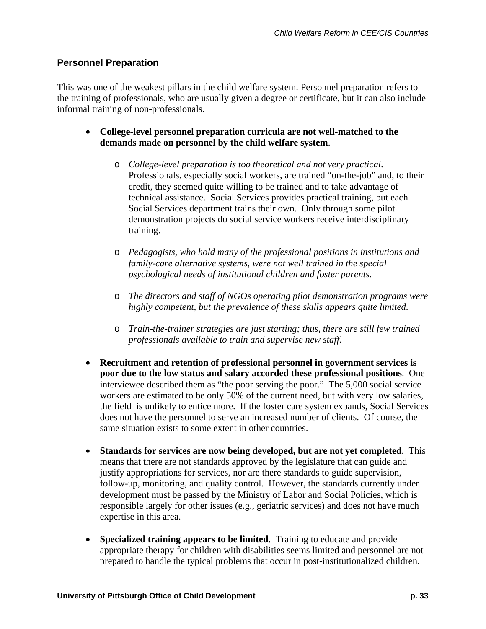## **Personnel Preparation**

This was one of the weakest pillars in the child welfare system. Personnel preparation refers to the training of professionals, who are usually given a degree or certificate, but it can also include informal training of non-professionals.

- **College-level personnel preparation curricula are not well-matched to the demands made on personnel by the child welfare system**.
	- o *College-level preparation is too theoretical and not very practical*. Professionals, especially social workers, are trained "on-the-job" and, to their credit, they seemed quite willing to be trained and to take advantage of technical assistance. Social Services provides practical training, but each Social Services department trains their own. Only through some pilot demonstration projects do social service workers receive interdisciplinary training.
	- o *Pedagogists, who hold many of the professional positions in institutions and family-care alternative systems, were not well trained in the special psychological needs of institutional children and foster parents.*
	- o *The directors and staff of NGOs operating pilot demonstration programs were highly competent, but the prevalence of these skills appears quite limited*.
	- o *Train-the-trainer strategies are just starting; thus, there are still few trained professionals available to train and supervise new staff*.
- **Recruitment and retention of professional personnel in government services is poor due to the low status and salary accorded these professional positions**. One interviewee described them as "the poor serving the poor." The 5,000 social service workers are estimated to be only 50% of the current need, but with very low salaries, the field is unlikely to entice more. If the foster care system expands, Social Services does not have the personnel to serve an increased number of clients. Of course, the same situation exists to some extent in other countries.
- **Standards for services are now being developed, but are not yet completed**. This means that there are not standards approved by the legislature that can guide and justify appropriations for services, nor are there standards to guide supervision, follow-up, monitoring, and quality control. However, the standards currently under development must be passed by the Ministry of Labor and Social Policies, which is responsible largely for other issues (e.g., geriatric services) and does not have much expertise in this area.
- **Specialized training appears to be limited**. Training to educate and provide appropriate therapy for children with disabilities seems limited and personnel are not prepared to handle the typical problems that occur in post-institutionalized children.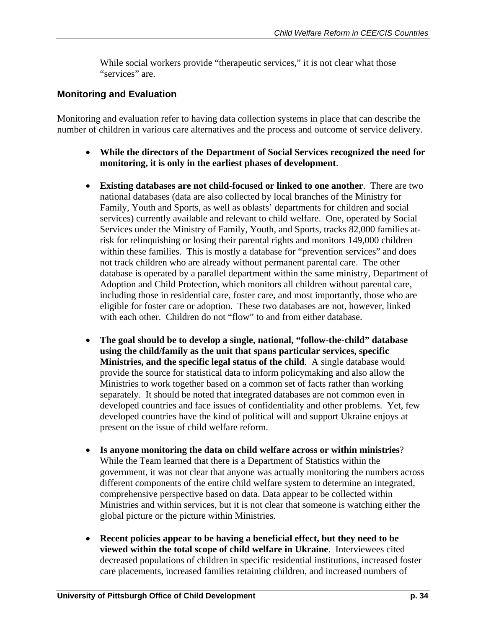While social workers provide "therapeutic services," it is not clear what those "services" are.

## **Monitoring and Evaluation**

Monitoring and evaluation refer to having data collection systems in place that can describe the number of children in various care alternatives and the process and outcome of service delivery.

- **While the directors of the Department of Social Services recognized the need for monitoring, it is only in the earliest phases of development**.
- **Existing databases are not child-focused or linked to one another**. There are two national databases (data are also collected by local branches of the Ministry for Family, Youth and Sports, as well as oblasts' departments for children and social services) currently available and relevant to child welfare. One, operated by Social Services under the Ministry of Family, Youth, and Sports, tracks 82,000 families atrisk for relinquishing or losing their parental rights and monitors 149,000 children within these families. This is mostly a database for "prevention services" and does not track children who are already without permanent parental care. The other database is operated by a parallel department within the same ministry, Department of Adoption and Child Protection, which monitors all children without parental care, including those in residential care, foster care, and most importantly, those who are eligible for foster care or adoption. These two databases are not, however, linked with each other. Children do not "flow" to and from either database.
- **The goal should be to develop a single, national, "follow-the-child" database using the child/family as the unit that spans particular services, specific Ministries, and the specific legal status of the child**. A single database would provide the source for statistical data to inform policymaking and also allow the Ministries to work together based on a common set of facts rather than working separately. It should be noted that integrated databases are not common even in developed countries and face issues of confidentiality and other problems. Yet, few developed countries have the kind of political will and support Ukraine enjoys at present on the issue of child welfare reform.
- **Is anyone monitoring the data on child welfare across or within ministries**? While the Team learned that there is a Department of Statistics within the government, it was not clear that anyone was actually monitoring the numbers across different components of the entire child welfare system to determine an integrated, comprehensive perspective based on data. Data appear to be collected within Ministries and within services, but it is not clear that someone is watching either the global picture or the picture within Ministries.
- **Recent policies appear to be having a beneficial effect, but they need to be viewed within the total scope of child welfare in Ukraine**. Interviewees cited decreased populations of children in specific residential institutions, increased foster care placements, increased families retaining children, and increased numbers of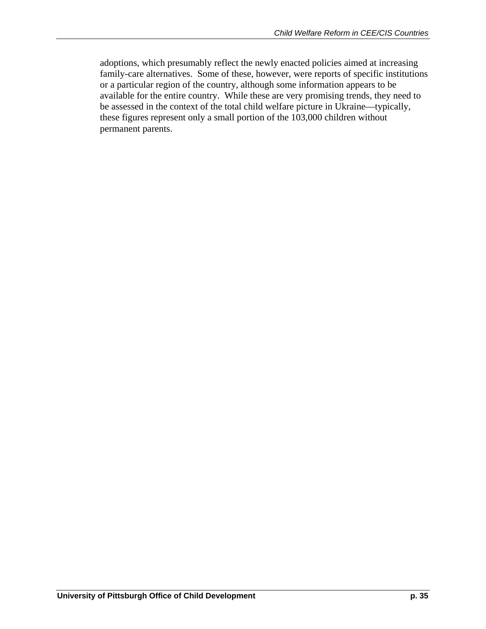adoptions, which presumably reflect the newly enacted policies aimed at increasing family-care alternatives. Some of these, however, were reports of specific institutions or a particular region of the country, although some information appears to be available for the entire country. While these are very promising trends, they need to be assessed in the context of the total child welfare picture in Ukraine—typically, these figures represent only a small portion of the 103,000 children without permanent parents.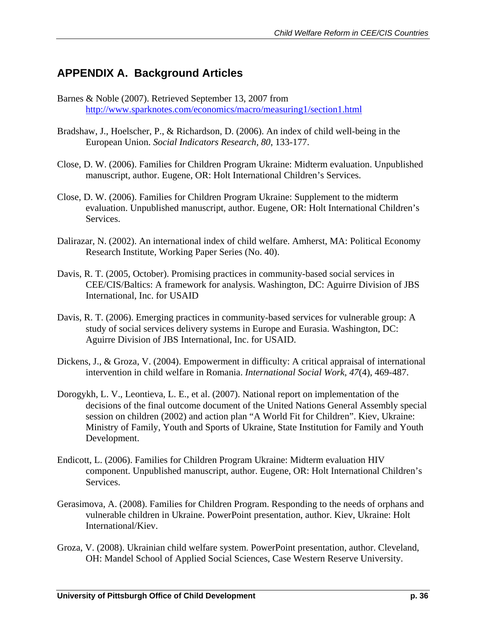# **APPENDIX A. Background Articles**

- Barnes & Noble (2007). Retrieved September 13, 2007 from http://www.sparknotes.com/economics/macro/measuring1/section1.html
- Bradshaw, J., Hoelscher, P., & Richardson, D. (2006). An index of child well-being in the European Union. *Social Indicators Research, 80*, 133-177.
- Close, D. W. (2006). Families for Children Program Ukraine: Midterm evaluation. Unpublished manuscript, author. Eugene, OR: Holt International Children's Services.
- Close, D. W. (2006). Families for Children Program Ukraine: Supplement to the midterm evaluation. Unpublished manuscript, author. Eugene, OR: Holt International Children's Services.
- Dalirazar, N. (2002). An international index of child welfare. Amherst, MA: Political Economy Research Institute, Working Paper Series (No. 40).
- Davis, R. T. (2005, October). Promising practices in community-based social services in CEE/CIS/Baltics: A framework for analysis. Washington, DC: Aguirre Division of JBS International, Inc. for USAID
- Davis, R. T. (2006). Emerging practices in community-based services for vulnerable group: A study of social services delivery systems in Europe and Eurasia. Washington, DC: Aguirre Division of JBS International, Inc. for USAID.
- Dickens, J., & Groza, V. (2004). Empowerment in difficulty: A critical appraisal of international intervention in child welfare in Romania. *International Social Work*, *47*(4), 469-487.
- Dorogykh, L. V., Leontieva, L. E., et al. (2007). National report on implementation of the decisions of the final outcome document of the United Nations General Assembly special session on children (2002) and action plan "A World Fit for Children". Kiev, Ukraine: Ministry of Family, Youth and Sports of Ukraine, State Institution for Family and Youth Development.
- Endicott, L. (2006). Families for Children Program Ukraine: Midterm evaluation HIV component. Unpublished manuscript, author. Eugene, OR: Holt International Children's Services.
- Gerasimova, A. (2008). Families for Children Program. Responding to the needs of orphans and vulnerable children in Ukraine. PowerPoint presentation, author. Kiev, Ukraine: Holt International/Kiev.
- Groza, V. (2008). Ukrainian child welfare system. PowerPoint presentation, author. Cleveland, OH: Mandel School of Applied Social Sciences, Case Western Reserve University.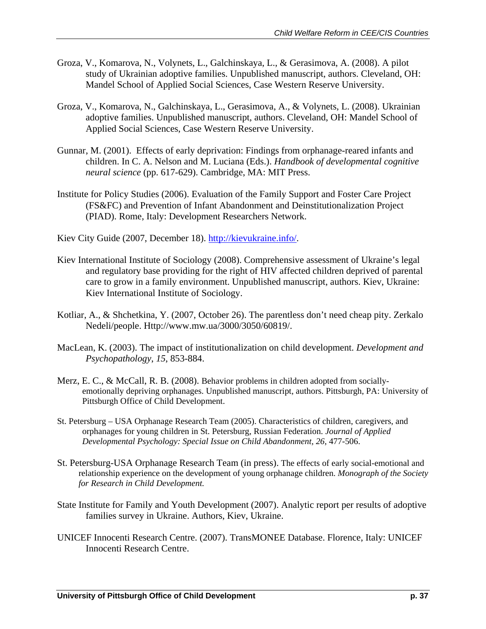- Groza, V., Komarova, N., Volynets, L., Galchinskaya, L., & Gerasimova, A. (2008). A pilot study of Ukrainian adoptive families. Unpublished manuscript, authors. Cleveland, OH: Mandel School of Applied Social Sciences, Case Western Reserve University.
- Groza, V., Komarova, N., Galchinskaya, L., Gerasimova, A., & Volynets, L. (2008). Ukrainian adoptive families. Unpublished manuscript, authors. Cleveland, OH: Mandel School of Applied Social Sciences, Case Western Reserve University.
- Gunnar, M. (2001). Effects of early deprivation: Findings from orphanage-reared infants and children. In C. A. Nelson and M. Luciana (Eds.). *Handbook of developmental cognitive neural science* (pp. 617-629). Cambridge, MA: MIT Press.
- Institute for Policy Studies (2006). Evaluation of the Family Support and Foster Care Project (FS&FC) and Prevention of Infant Abandonment and Deinstitutionalization Project (PIAD). Rome, Italy: Development Researchers Network.
- Kiev City Guide (2007, December 18). http://kievukraine.info/.
- Kiev International Institute of Sociology (2008). Comprehensive assessment of Ukraine's legal and regulatory base providing for the right of HIV affected children deprived of parental care to grow in a family environment. Unpublished manuscript, authors. Kiev, Ukraine: Kiev International Institute of Sociology.
- Kotliar, A., & Shchetkina, Y. (2007, October 26). The parentless don't need cheap pity. Zerkalo Nedeli/people. Http://www.mw.ua/3000/3050/60819/.
- MacLean, K. (2003). The impact of institutionalization on child development. *Development and Psychopathology*, *15*, 853-884.
- Merz, E. C., & McCall, R. B. (2008). Behavior problems in children adopted from sociallyemotionally depriving orphanages. Unpublished manuscript, authors. Pittsburgh, PA: University of Pittsburgh Office of Child Development.
- St. Petersburg USA Orphanage Research Team (2005). Characteristics of children, caregivers, and orphanages for young children in St. Petersburg, Russian Federation. *Journal of Applied Developmental Psychology: Special Issue on Child Abandonment, 26*, 477-506.
- St. Petersburg-USA Orphanage Research Team (in press). The effects of early social-emotional and relationship experience on the development of young orphanage children. *Monograph of the Society for Research in Child Development.*
- State Institute for Family and Youth Development (2007). Analytic report per results of adoptive families survey in Ukraine. Authors, Kiev, Ukraine.
- UNICEF Innocenti Research Centre. (2007). TransMONEE Database. Florence, Italy: UNICEF Innocenti Research Centre.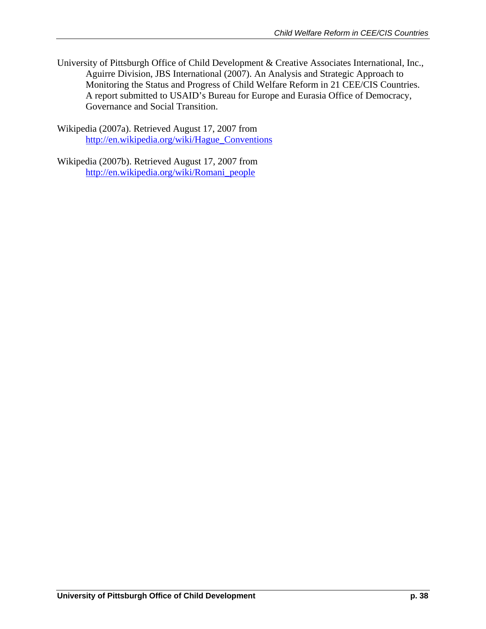University of Pittsburgh Office of Child Development & Creative Associates International, Inc., Aguirre Division, JBS International (2007). An Analysis and Strategic Approach to Monitoring the Status and Progress of Child Welfare Reform in 21 CEE/CIS Countries. A report submitted to USAID's Bureau for Europe and Eurasia Office of Democracy, Governance and Social Transition.

Wikipedia (2007a). Retrieved August 17, 2007 from http://en.wikipedia.org/wiki/Hague\_Conventions

Wikipedia (2007b). Retrieved August 17, 2007 from http://en.wikipedia.org/wiki/Romani\_people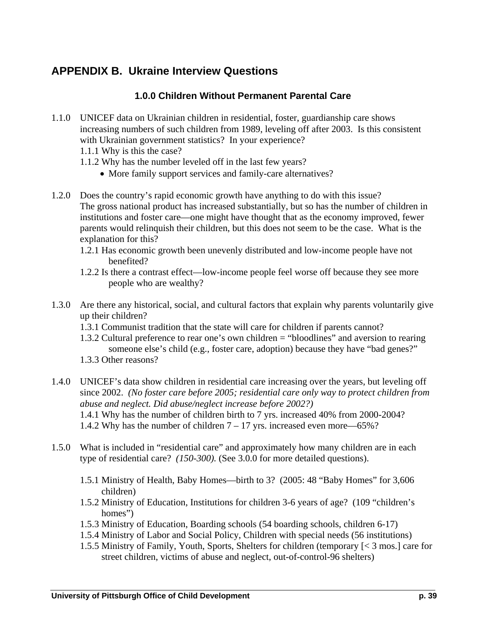# **APPENDIX B. Ukraine Interview Questions**

## **1.0.0 Children Without Permanent Parental Care**

- 1.1.0 UNICEF data on Ukrainian children in residential, foster, guardianship care shows increasing numbers of such children from 1989, leveling off after 2003. Is this consistent with Ukrainian government statistics? In your experience?
	- 1.1.1 Why is this the case?
	- 1.1.2 Why has the number leveled off in the last few years?
		- More family support services and family-care alternatives?
- 1.2.0 Does the country's rapid economic growth have anything to do with this issue? The gross national product has increased substantially, but so has the number of children in institutions and foster care—one might have thought that as the economy improved, fewer parents would relinquish their children, but this does not seem to be the case. What is the explanation for this?
	- 1.2.1 Has economic growth been unevenly distributed and low-income people have not benefited?
	- 1.2.2 Is there a contrast effect—low-income people feel worse off because they see more people who are wealthy?
- 1.3.0 Are there any historical, social, and cultural factors that explain why parents voluntarily give up their children?
	- 1.3.1 Communist tradition that the state will care for children if parents cannot?
	- 1.3.2 Cultural preference to rear one's own children = "bloodlines" and aversion to rearing someone else's child (e.g., foster care, adoption) because they have "bad genes?" 1.3.3 Other reasons?
- 1.4.0 UNICEF's data show children in residential care increasing over the years, but leveling off since 2002. *(No foster care before 2005; residential care only way to protect children from abuse and neglect. Did abuse/neglect increase before 2002?)* 1.4.1 Why has the number of children birth to 7 yrs. increased 40% from 2000-2004? 1.4.2 Why has the number of children  $7 - 17$  yrs. increased even more—65%?
- 1.5.0 What is included in "residential care" and approximately how many children are in each type of residential care? *(150-300).* (See 3.0.0 for more detailed questions).
	- 1.5.1 Ministry of Health, Baby Homes—birth to 3? (2005: 48 "Baby Homes" for 3,606 children)
	- 1.5.2 Ministry of Education, Institutions for children 3-6 years of age? (109 "children's homes")
	- 1.5.3 Ministry of Education, Boarding schools (54 boarding schools, children 6-17)
	- 1.5.4 Ministry of Labor and Social Policy, Children with special needs (56 institutions)
	- 1.5.5 Ministry of Family, Youth, Sports, Shelters for children (temporary [< 3 mos.] care for street children, victims of abuse and neglect, out-of-control-96 shelters)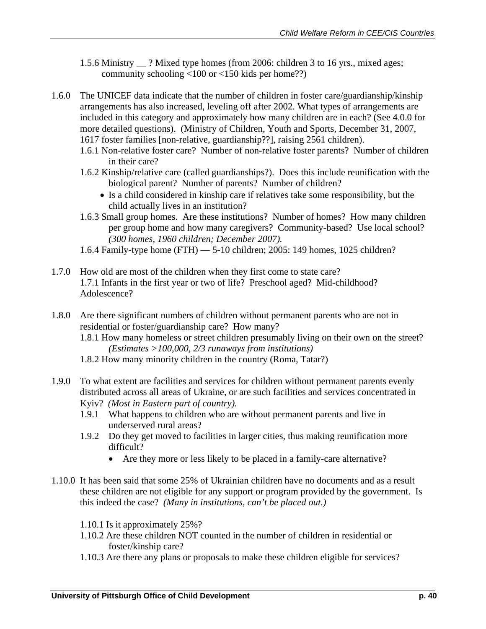- 1.5.6 Ministry \_\_ ? Mixed type homes (from 2006: children 3 to 16 yrs., mixed ages; community schooling <100 or <150 kids per home??)
- 1.6.0 The UNICEF data indicate that the number of children in foster care/guardianship/kinship arrangements has also increased, leveling off after 2002. What types of arrangements are included in this category and approximately how many children are in each? (See 4.0.0 for more detailed questions). (Ministry of Children, Youth and Sports, December 31, 2007, 1617 foster families [non-relative, guardianship??], raising 2561 children).
	- 1.6.1 Non-relative foster care? Number of non-relative foster parents? Number of children in their care?
	- 1.6.2 Kinship/relative care (called guardianships?). Does this include reunification with the biological parent? Number of parents? Number of children?
		- Is a child considered in kinship care if relatives take some responsibility, but the child actually lives in an institution?
	- 1.6.3 Small group homes. Are these institutions? Number of homes? How many children per group home and how many caregivers? Community-based? Use local school? *(300 homes, 1960 children; December 2007).*
	- 1.6.4 Family-type home (FTH) 5-10 children; 2005: 149 homes, 1025 children?
- 1.7.0 How old are most of the children when they first come to state care? 1.7.1 Infants in the first year or two of life? Preschool aged? Mid-childhood? Adolescence?
- 1.8.0 Are there significant numbers of children without permanent parents who are not in residential or foster/guardianship care? How many?
	- 1.8.1 How many homeless or street children presumably living on their own on the street? *(Estimates >100,000, 2/3 runaways from institutions)*
	- 1.8.2 How many minority children in the country (Roma, Tatar?)
- 1.9.0 To what extent are facilities and services for children without permanent parents evenly distributed across all areas of Ukraine, or are such facilities and services concentrated in Kyiv? *(Most in Eastern part of country).*
	- 1.9.1 What happens to children who are without permanent parents and live in underserved rural areas?
	- 1.9.2 Do they get moved to facilities in larger cities, thus making reunification more difficult?
		- Are they more or less likely to be placed in a family-care alternative?
- 1.10.0 It has been said that some 25% of Ukrainian children have no documents and as a result these children are not eligible for any support or program provided by the government. Is this indeed the case? *(Many in institutions, can't be placed out.)* 
	- 1.10.1 Is it approximately 25%?
	- 1.10.2 Are these children NOT counted in the number of children in residential or foster/kinship care?
	- 1.10.3 Are there any plans or proposals to make these children eligible for services?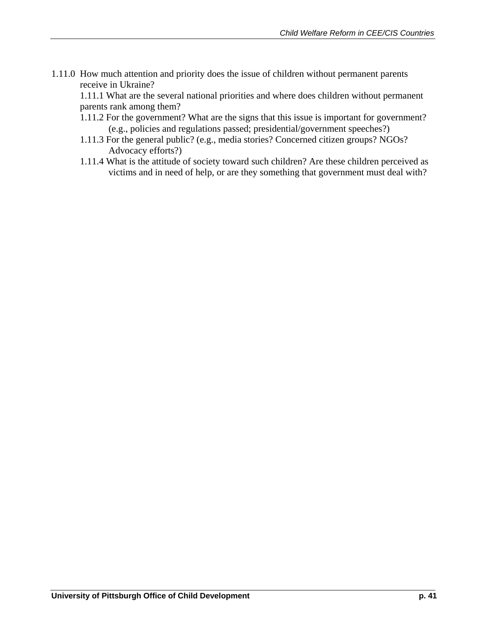1.11.0 How much attention and priority does the issue of children without permanent parents receive in Ukraine?

1.11.1 What are the several national priorities and where does children without permanent parents rank among them?

- 1.11.2 For the government? What are the signs that this issue is important for government? (e.g., policies and regulations passed; presidential/government speeches?)
- 1.11.3 For the general public? (e.g., media stories? Concerned citizen groups? NGOs? Advocacy efforts?)
- 1.11.4 What is the attitude of society toward such children? Are these children perceived as victims and in need of help, or are they something that government must deal with?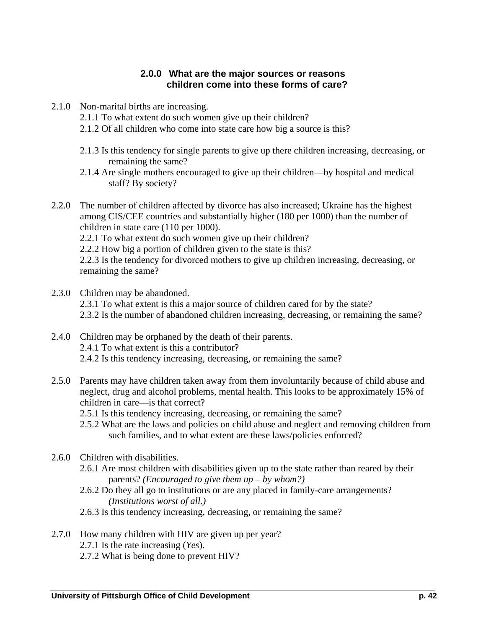## **2.0.0 What are the major sources or reasons children come into these forms of care?**

- 2.1.0 Non-marital births are increasing.
	- 2.1.1 To what extent do such women give up their children?
	- 2.1.2 Of all children who come into state care how big a source is this?
	- 2.1.3 Is this tendency for single parents to give up there children increasing, decreasing, or remaining the same?
	- 2.1.4 Are single mothers encouraged to give up their children—by hospital and medical staff? By society?
- 2.2.0 The number of children affected by divorce has also increased; Ukraine has the highest among CIS/CEE countries and substantially higher (180 per 1000) than the number of children in state care (110 per 1000).

2.2.1 To what extent do such women give up their children?

2.2.2 How big a portion of children given to the state is this?

2.2.3 Is the tendency for divorced mothers to give up children increasing, decreasing, or remaining the same?

- 2.3.0 Children may be abandoned. 2.3.1 To what extent is this a major source of children cared for by the state? 2.3.2 Is the number of abandoned children increasing, decreasing, or remaining the same?
- 2.4.0 Children may be orphaned by the death of their parents. 2.4.1 To what extent is this a contributor? 2.4.2 Is this tendency increasing, decreasing, or remaining the same?
- 2.5.0 Parents may have children taken away from them involuntarily because of child abuse and neglect, drug and alcohol problems, mental health. This looks to be approximately 15% of children in care—is that correct?

2.5.1 Is this tendency increasing, decreasing, or remaining the same?

2.5.2 What are the laws and policies on child abuse and neglect and removing children from such families, and to what extent are these laws/policies enforced?

### 2.6.0 Children with disabilities.

- 2.6.1 Are most children with disabilities given up to the state rather than reared by their parents? *(Encouraged to give them up – by whom?)*
- 2.6.2 Do they all go to institutions or are any placed in family-care arrangements? *(Institutions worst of all.)*

2.6.3 Is this tendency increasing, decreasing, or remaining the same?

### 2.7.0 How many children with HIV are given up per year?

- 2.7.1 Is the rate increasing (*Yes*).
- 2.7.2 What is being done to prevent HIV?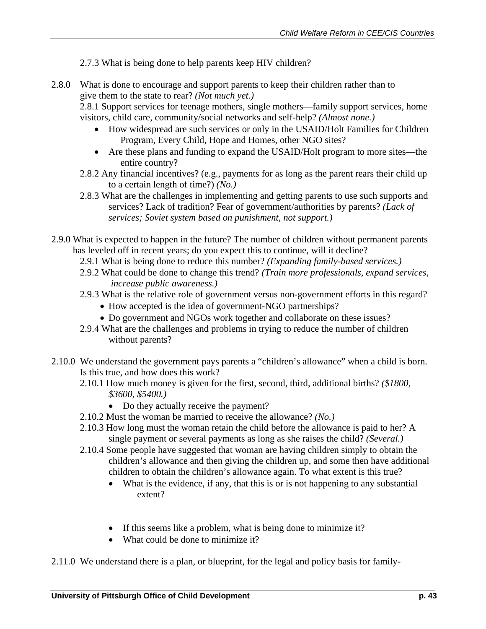#### 2.7.3 What is being done to help parents keep HIV children?

2.8.0 What is done to encourage and support parents to keep their children rather than to give them to the state to rear? *(Not much yet.)* 

2.8.1 Support services for teenage mothers, single mothers—family support services, home visitors, child care, community/social networks and self-help? *(Almost none.)*

- How widespread are such services or only in the USAID/Holt Families for Children Program, Every Child, Hope and Homes, other NGO sites?
- Are these plans and funding to expand the USAID/Holt program to more sites—the entire country?
- 2.8.2 Any financial incentives? (e.g., payments for as long as the parent rears their child up to a certain length of time?) *(No.)*
- 2.8.3 What are the challenges in implementing and getting parents to use such supports and services? Lack of tradition? Fear of government/authorities by parents? *(Lack of services; Soviet system based on punishment, not support.)*
- 2.9.0 What is expected to happen in the future? The number of children without permanent parents has leveled off in recent years; do you expect this to continue, will it decline?
	- 2.9.1 What is being done to reduce this number? *(Expanding family-based services.)*
	- 2.9.2 What could be done to change this trend? *(Train more professionals, expand services, increase public awareness.)*
	- 2.9.3 What is the relative role of government versus non-government efforts in this regard?
		- How accepted is the idea of government-NGO partnerships?
		- Do government and NGOs work together and collaborate on these issues?
	- 2.9.4 What are the challenges and problems in trying to reduce the number of children without parents?
- 2.10.0 We understand the government pays parents a "children's allowance" when a child is born. Is this true, and how does this work?
	- 2.10.1 How much money is given for the first, second, third, additional births? *(\$1800, \$3600, \$5400.)*
		- Do they actually receive the payment?
	- 2.10.2 Must the woman be married to receive the allowance? *(No.)*
	- 2.10.3 How long must the woman retain the child before the allowance is paid to her? A single payment or several payments as long as she raises the child? *(Several.)*
	- 2.10.4 Some people have suggested that woman are having children simply to obtain the children's allowance and then giving the children up, and some then have additional children to obtain the children's allowance again. To what extent is this true?
		- What is the evidence, if any, that this is or is not happening to any substantial extent?
		- If this seems like a problem, what is being done to minimize it?
		- What could be done to minimize it?

2.11.0 We understand there is a plan, or blueprint, for the legal and policy basis for family-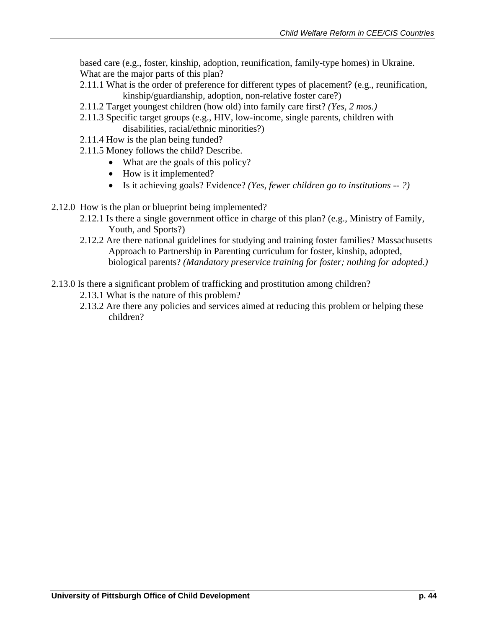based care (e.g., foster, kinship, adoption, reunification, family-type homes) in Ukraine. What are the major parts of this plan?

- 2.11.1 What is the order of preference for different types of placement? (e.g., reunification, kinship/guardianship, adoption, non-relative foster care?)
- 2.11.2 Target youngest children (how old) into family care first? *(Yes, 2 mos.)*
- 2.11.3 Specific target groups (e.g., HIV, low-income, single parents, children with disabilities, racial/ethnic minorities?)
- 2.11.4 How is the plan being funded?
- 2.11.5 Money follows the child? Describe.
	- What are the goals of this policy?
	- How is it implemented?
	- Is it achieving goals? Evidence? *(Yes, fewer children go to institutions -- ?)*
- 2.12.0 How is the plan or blueprint being implemented?
	- 2.12.1 Is there a single government office in charge of this plan? (e.g., Ministry of Family, Youth, and Sports?)
	- 2.12.2 Are there national guidelines for studying and training foster families? Massachusetts Approach to Partnership in Parenting curriculum for foster, kinship, adopted, biological parents? *(Mandatory preservice training for foster; nothing for adopted.)*
- 2.13.0 Is there a significant problem of trafficking and prostitution among children?
	- 2.13.1 What is the nature of this problem?
	- 2.13.2 Are there any policies and services aimed at reducing this problem or helping these children?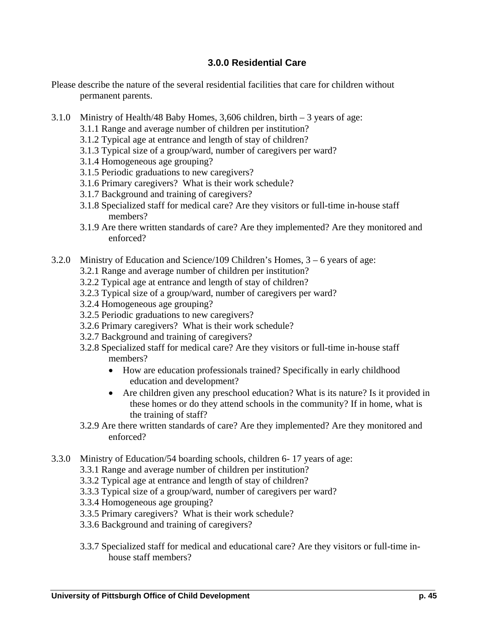## **3.0.0 Residential Care**

- Please describe the nature of the several residential facilities that care for children without permanent parents.
- 3.1.0 Ministry of Health/48 Baby Homes, 3,606 children, birth 3 years of age:
	- 3.1.1 Range and average number of children per institution?
	- 3.1.2 Typical age at entrance and length of stay of children?
	- 3.1.3 Typical size of a group/ward, number of caregivers per ward?
	- 3.1.4 Homogeneous age grouping?
	- 3.1.5 Periodic graduations to new caregivers?
	- 3.1.6 Primary caregivers? What is their work schedule?
	- 3.1.7 Background and training of caregivers?
	- 3.1.8 Specialized staff for medical care? Are they visitors or full-time in-house staff members?
	- 3.1.9 Are there written standards of care? Are they implemented? Are they monitored and enforced?
- 3.2.0 Ministry of Education and Science/109 Children's Homes, 3 6 years of age:
	- 3.2.1 Range and average number of children per institution?
	- 3.2.2 Typical age at entrance and length of stay of children?
	- 3.2.3 Typical size of a group/ward, number of caregivers per ward?
	- 3.2.4 Homogeneous age grouping?
	- 3.2.5 Periodic graduations to new caregivers?
	- 3.2.6 Primary caregivers? What is their work schedule?
	- 3.2.7 Background and training of caregivers?
	- 3.2.8 Specialized staff for medical care? Are they visitors or full-time in-house staff members?
		- How are education professionals trained? Specifically in early childhood education and development?
		- Are children given any preschool education? What is its nature? Is it provided in these homes or do they attend schools in the community? If in home, what is the training of staff?
	- 3.2.9 Are there written standards of care? Are they implemented? Are they monitored and enforced?
- 3.3.0 Ministry of Education/54 boarding schools, children 6- 17 years of age:
	- 3.3.1 Range and average number of children per institution?
	- 3.3.2 Typical age at entrance and length of stay of children?
	- 3.3.3 Typical size of a group/ward, number of caregivers per ward?
	- 3.3.4 Homogeneous age grouping?
	- 3.3.5 Primary caregivers? What is their work schedule?
	- 3.3.6 Background and training of caregivers?
	- 3.3.7 Specialized staff for medical and educational care? Are they visitors or full-time inhouse staff members?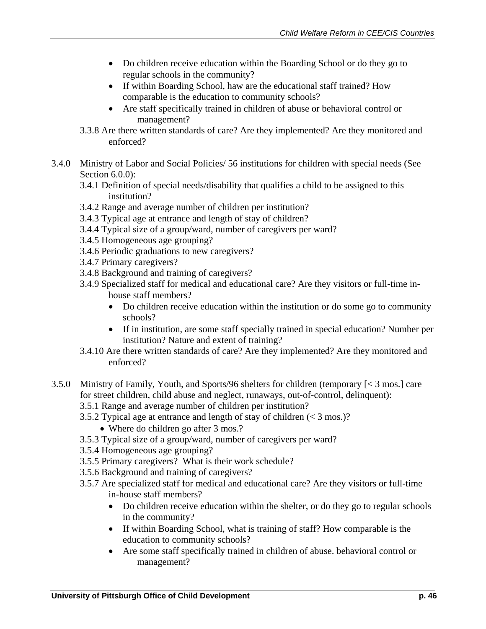- Do children receive education within the Boarding School or do they go to regular schools in the community?
- If within Boarding School, haw are the educational staff trained? How comparable is the education to community schools?
- Are staff specifically trained in children of abuse or behavioral control or management?
- 3.3.8 Are there written standards of care? Are they implemented? Are they monitored and enforced?
- 3.4.0 Ministry of Labor and Social Policies/ 56 institutions for children with special needs (See Section 6.0.0):
	- 3.4.1 Definition of special needs/disability that qualifies a child to be assigned to this institution?
	- 3.4.2 Range and average number of children per institution?
	- 3.4.3 Typical age at entrance and length of stay of children?
	- 3.4.4 Typical size of a group/ward, number of caregivers per ward?
	- 3.4.5 Homogeneous age grouping?
	- 3.4.6 Periodic graduations to new caregivers?
	- 3.4.7 Primary caregivers?
	- 3.4.8 Background and training of caregivers?
	- 3.4.9 Specialized staff for medical and educational care? Are they visitors or full-time inhouse staff members?
		- Do children receive education within the institution or do some go to community schools?
		- If in institution, are some staff specially trained in special education? Number per institution? Nature and extent of training?
	- 3.4.10 Are there written standards of care? Are they implemented? Are they monitored and enforced?
- 3.5.0 Ministry of Family, Youth, and Sports/96 shelters for children (temporary [< 3 mos.] care for street children, child abuse and neglect, runaways, out-of-control, delinquent):
	- 3.5.1 Range and average number of children per institution?
	- 3.5.2 Typical age at entrance and length of stay of children (< 3 mos.)?
		- Where do children go after 3 mos.?
	- 3.5.3 Typical size of a group/ward, number of caregivers per ward?
	- 3.5.4 Homogeneous age grouping?
	- 3.5.5 Primary caregivers? What is their work schedule?
	- 3.5.6 Background and training of caregivers?
	- 3.5.7 Are specialized staff for medical and educational care? Are they visitors or full-time in-house staff members?
		- Do children receive education within the shelter, or do they go to regular schools in the community?
		- If within Boarding School, what is training of staff? How comparable is the education to community schools?
		- Are some staff specifically trained in children of abuse. behavioral control or management?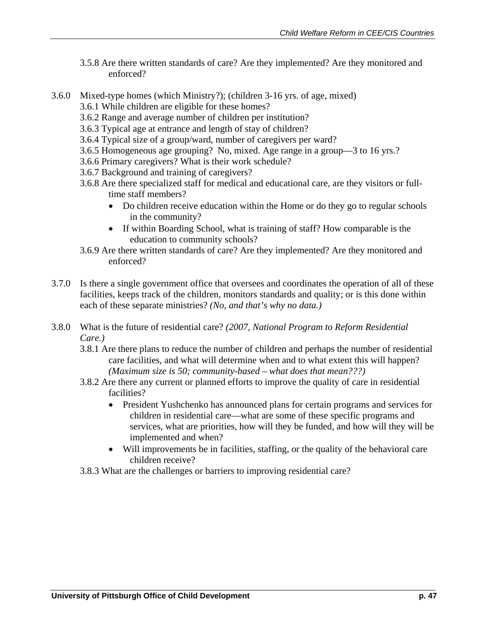- 3.5.8 Are there written standards of care? Are they implemented? Are they monitored and enforced?
- 3.6.0 Mixed-type homes (which Ministry?); (children 3-16 yrs. of age, mixed)
	- 3.6.1 While children are eligible for these homes?
	- 3.6.2 Range and average number of children per institution?
	- 3.6.3 Typical age at entrance and length of stay of children?
	- 3.6.4 Typical size of a group/ward, number of caregivers per ward?
	- 3.6.5 Homogeneous age grouping? No, mixed. Age range in a group—3 to 16 yrs.?
	- 3.6.6 Primary caregivers? What is their work schedule?
	- 3.6.7 Background and training of caregivers?
	- 3.6.8 Are there specialized staff for medical and educational care, are they visitors or fulltime staff members?
		- Do children receive education within the Home or do they go to regular schools in the community?
		- If within Boarding School, what is training of staff? How comparable is the education to community schools?
	- 3.6.9 Are there written standards of care? Are they implemented? Are they monitored and enforced?
- 3.7.0 Is there a single government office that oversees and coordinates the operation of all of these facilities, keeps track of the children, monitors standards and quality; or is this done within each of these separate ministries? *(No, and that's why no data.)*
- 3.8.0 What is the future of residential care? *(2007, National Program to Reform Residential Care.)*
	- 3.8.1 Are there plans to reduce the number of children and perhaps the number of residential care facilities, and what will determine when and to what extent this will happen? *(Maximum size is 50; community-based – what does that mean???)*
	- 3.8.2 Are there any current or planned efforts to improve the quality of care in residential facilities?
		- President Yushchenko has announced plans for certain programs and services for children in residential care—what are some of these specific programs and services, what are priorities, how will they be funded, and how will they will be implemented and when?
		- Will improvements be in facilities, staffing, or the quality of the behavioral care children receive?
	- 3.8.3 What are the challenges or barriers to improving residential care?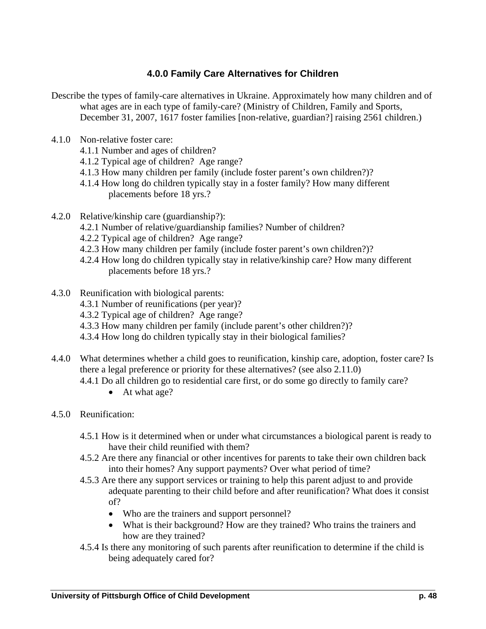## **4.0.0 Family Care Alternatives for Children**

- Describe the types of family-care alternatives in Ukraine. Approximately how many children and of what ages are in each type of family-care? (Ministry of Children, Family and Sports, December 31, 2007, 1617 foster families [non-relative, guardian?] raising 2561 children.)
- 4.1.0 Non-relative foster care:
	- 4.1.1 Number and ages of children?
	- 4.1.2 Typical age of children? Age range?
	- 4.1.3 How many children per family (include foster parent's own children?)?
	- 4.1.4 How long do children typically stay in a foster family? How many different placements before 18 yrs.?
- 4.2.0 Relative/kinship care (guardianship?):
	- 4.2.1 Number of relative/guardianship families? Number of children?
	- 4.2.2 Typical age of children? Age range?
	- 4.2.3 How many children per family (include foster parent's own children?)?
	- 4.2.4 How long do children typically stay in relative/kinship care? How many different placements before 18 yrs.?
- 4.3.0 Reunification with biological parents:
	- 4.3.1 Number of reunifications (per year)?
	- 4.3.2 Typical age of children? Age range?
	- 4.3.3 How many children per family (include parent's other children?)?
	- 4.3.4 How long do children typically stay in their biological families?
- 4.4.0 What determines whether a child goes to reunification, kinship care, adoption, foster care? Is there a legal preference or priority for these alternatives? (see also 2.11.0)
	- 4.4.1 Do all children go to residential care first, or do some go directly to family care?
		- At what age?
- 4.5.0 Reunification:
	- 4.5.1 How is it determined when or under what circumstances a biological parent is ready to have their child reunified with them?
	- 4.5.2 Are there any financial or other incentives for parents to take their own children back into their homes? Any support payments? Over what period of time?
	- 4.5.3 Are there any support services or training to help this parent adjust to and provide adequate parenting to their child before and after reunification? What does it consist of?
		- Who are the trainers and support personnel?
		- What is their background? How are they trained? Who trains the trainers and how are they trained?
	- 4.5.4 Is there any monitoring of such parents after reunification to determine if the child is being adequately cared for?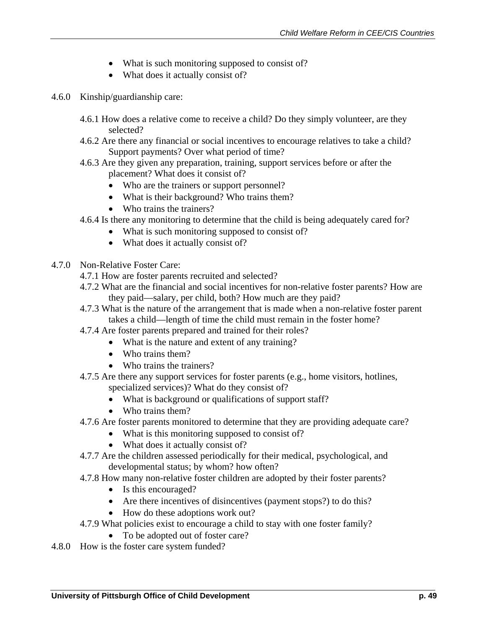- What is such monitoring supposed to consist of?
- What does it actually consist of?
- 4.6.0 Kinship/guardianship care:
	- 4.6.1 How does a relative come to receive a child? Do they simply volunteer, are they selected?
	- 4.6.2 Are there any financial or social incentives to encourage relatives to take a child? Support payments? Over what period of time?
	- 4.6.3 Are they given any preparation, training, support services before or after the placement? What does it consist of?
		- Who are the trainers or support personnel?
		- What is their background? Who trains them?
		- Who trains the trainers?
	- 4.6.4 Is there any monitoring to determine that the child is being adequately cared for?
		- What is such monitoring supposed to consist of?
		- What does it actually consist of?
- 4.7.0 Non-Relative Foster Care:
	- 4.7.1 How are foster parents recruited and selected?
	- 4.7.2 What are the financial and social incentives for non-relative foster parents? How are they paid—salary, per child, both? How much are they paid?
	- 4.7.3 What is the nature of the arrangement that is made when a non-relative foster parent takes a child—length of time the child must remain in the foster home?
	- 4.7.4 Are foster parents prepared and trained for their roles?
		- What is the nature and extent of any training?
		- Who trains them?
		- Who trains the trainers?
	- 4.7.5 Are there any support services for foster parents (e.g., home visitors, hotlines, specialized services)? What do they consist of?
		- What is background or qualifications of support staff?
		- Who trains them?
	- 4.7.6 Are foster parents monitored to determine that they are providing adequate care?
		- What is this monitoring supposed to consist of?
		- What does it actually consist of?
	- 4.7.7 Are the children assessed periodically for their medical, psychological, and developmental status; by whom? how often?
	- 4.7.8 How many non-relative foster children are adopted by their foster parents?
		- Is this encouraged?
		- Are there incentives of disincentives (payment stops?) to do this?
		- How do these adoptions work out?
	- 4.7.9 What policies exist to encourage a child to stay with one foster family?
		- To be adopted out of foster care?
- 4.8.0 How is the foster care system funded?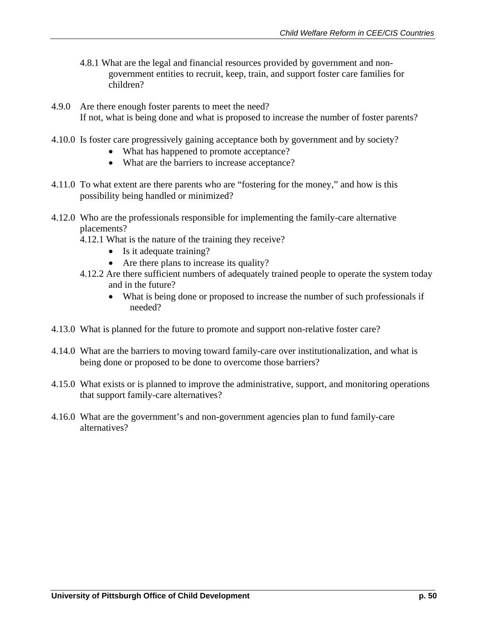- 4.8.1 What are the legal and financial resources provided by government and nongovernment entities to recruit, keep, train, and support foster care families for children?
- 4.9.0 Are there enough foster parents to meet the need? If not, what is being done and what is proposed to increase the number of foster parents?
- 4.10.0 Is foster care progressively gaining acceptance both by government and by society?
	- What has happened to promote acceptance?
	- What are the barriers to increase acceptance?
- 4.11.0 To what extent are there parents who are "fostering for the money," and how is this possibility being handled or minimized?
- 4.12.0 Who are the professionals responsible for implementing the family-care alternative placements?
	- 4.12.1 What is the nature of the training they receive?
		- Is it adequate training?
		- Are there plans to increase its quality?
	- 4.12.2 Are there sufficient numbers of adequately trained people to operate the system today and in the future?
		- What is being done or proposed to increase the number of such professionals if needed?
- 4.13.0 What is planned for the future to promote and support non-relative foster care?
- 4.14.0 What are the barriers to moving toward family-care over institutionalization, and what is being done or proposed to be done to overcome those barriers?
- 4.15.0 What exists or is planned to improve the administrative, support, and monitoring operations that support family-care alternatives?
- 4.16.0 What are the government's and non-government agencies plan to fund family-care alternatives?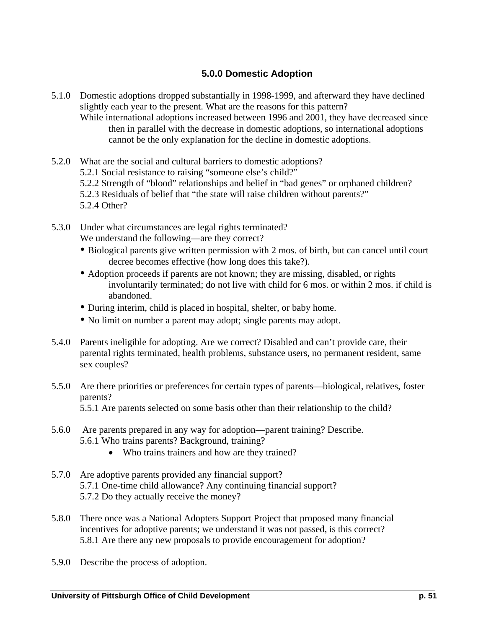## **5.0.0 Domestic Adoption**

- 5.1.0 Domestic adoptions dropped substantially in 1998-1999, and afterward they have declined slightly each year to the present. What are the reasons for this pattern?
	- While international adoptions increased between 1996 and 2001, they have decreased since then in parallel with the decrease in domestic adoptions, so international adoptions cannot be the only explanation for the decline in domestic adoptions.
- 5.2.0 What are the social and cultural barriers to domestic adoptions? 5.2.1 Social resistance to raising "someone else's child?" 5.2.2 Strength of "blood" relationships and belief in "bad genes" or orphaned children? 5.2.3 Residuals of belief that "the state will raise children without parents?" 5.2.4 Other?
- 5.3.0 Under what circumstances are legal rights terminated? We understand the following—are they correct?
	- Biological parents give written permission with 2 mos. of birth, but can cancel until court decree becomes effective (how long does this take?).
	- Adoption proceeds if parents are not known; they are missing, disabled, or rights involuntarily terminated; do not live with child for 6 mos. or within 2 mos. if child is abandoned.
	- During interim, child is placed in hospital, shelter, or baby home.
	- No limit on number a parent may adopt; single parents may adopt.
- 5.4.0 Parents ineligible for adopting. Are we correct? Disabled and can't provide care, their parental rights terminated, health problems, substance users, no permanent resident, same sex couples?
- 5.5.0 Are there priorities or preferences for certain types of parents—biological, relatives, foster parents? 5.5.1 Are parents selected on some basis other than their relationship to the child?
- 5.6.0 Are parents prepared in any way for adoption—parent training? Describe. 5.6.1 Who trains parents? Background, training?
	- Who trains trainers and how are they trained?
- 5.7.0 Are adoptive parents provided any financial support? 5.7.1 One-time child allowance? Any continuing financial support? 5.7.2 Do they actually receive the money?
- 5.8.0 There once was a National Adopters Support Project that proposed many financial incentives for adoptive parents; we understand it was not passed, is this correct? 5.8.1 Are there any new proposals to provide encouragement for adoption?
- 5.9.0 Describe the process of adoption.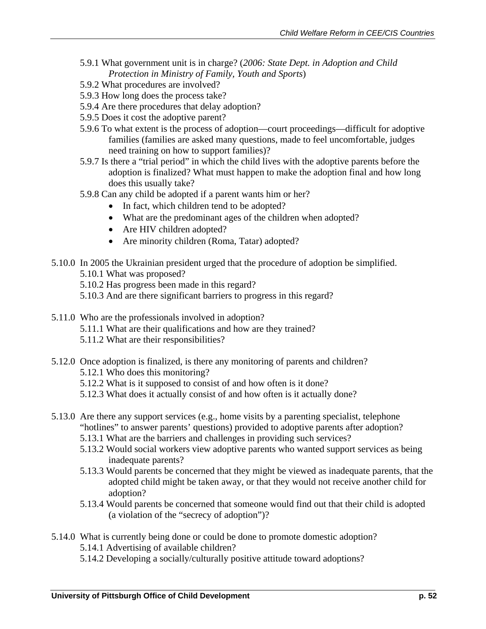- 5.9.1 What government unit is in charge? (*2006: State Dept. in Adoption and Child Protection in Ministry of Family, Youth and Sports*)
- 5.9.2 What procedures are involved?
- 5.9.3 How long does the process take?
- 5.9.4 Are there procedures that delay adoption?
- 5.9.5 Does it cost the adoptive parent?
- 5.9.6 To what extent is the process of adoption—court proceedings—difficult for adoptive families (families are asked many questions, made to feel uncomfortable, judges need training on how to support families)?
- 5.9.7 Is there a "trial period" in which the child lives with the adoptive parents before the adoption is finalized? What must happen to make the adoption final and how long does this usually take?
- 5.9.8 Can any child be adopted if a parent wants him or her?
	- In fact, which children tend to be adopted?
		- What are the predominant ages of the children when adopted?
		- Are HIV children adopted?
		- Are minority children (Roma, Tatar) adopted?
- 5.10.0 In 2005 the Ukrainian president urged that the procedure of adoption be simplified.
	- 5.10.1 What was proposed?
	- 5.10.2 Has progress been made in this regard?
	- 5.10.3 And are there significant barriers to progress in this regard?
- 5.11.0 Who are the professionals involved in adoption? 5.11.1 What are their qualifications and how are they trained? 5.11.2 What are their responsibilities?
- 5.12.0 Once adoption is finalized, is there any monitoring of parents and children?
	- 5.12.1 Who does this monitoring?
	- 5.12.2 What is it supposed to consist of and how often is it done?
	- 5.12.3 What does it actually consist of and how often is it actually done?
- 5.13.0 Are there any support services (e.g., home visits by a parenting specialist, telephone "hotlines" to answer parents' questions) provided to adoptive parents after adoption?
	- 5.13.1 What are the barriers and challenges in providing such services?
	- 5.13.2 Would social workers view adoptive parents who wanted support services as being inadequate parents?
	- 5.13.3 Would parents be concerned that they might be viewed as inadequate parents, that the adopted child might be taken away, or that they would not receive another child for adoption?
	- 5.13.4 Would parents be concerned that someone would find out that their child is adopted (a violation of the "secrecy of adoption")?
- 5.14.0 What is currently being done or could be done to promote domestic adoption?
	- 5.14.1 Advertising of available children?
	- 5.14.2 Developing a socially/culturally positive attitude toward adoptions?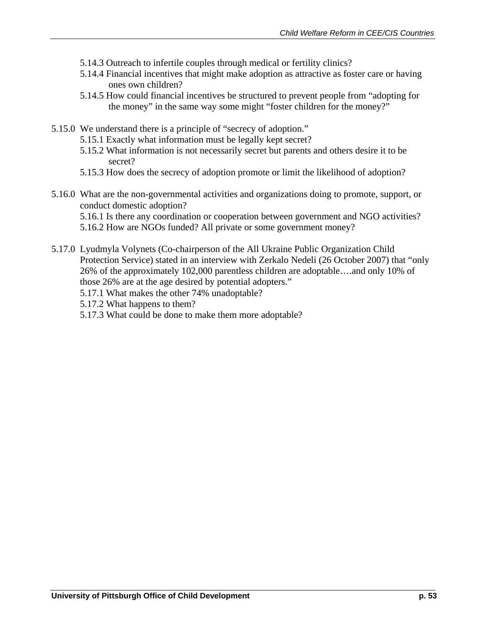- 5.14.3 Outreach to infertile couples through medical or fertility clinics?
- 5.14.4 Financial incentives that might make adoption as attractive as foster care or having ones own children?
- 5.14.5 How could financial incentives be structured to prevent people from "adopting for the money" in the same way some might "foster children for the money?"
- 5.15.0 We understand there is a principle of "secrecy of adoption."
	- 5.15.1 Exactly what information must be legally kept secret?
	- 5.15.2 What information is not necessarily secret but parents and others desire it to be secret?
	- 5.15.3 How does the secrecy of adoption promote or limit the likelihood of adoption?
- 5.16.0 What are the non-governmental activities and organizations doing to promote, support, or conduct domestic adoption?

5.16.1 Is there any coordination or cooperation between government and NGO activities? 5.16.2 How are NGOs funded? All private or some government money?

- 5.17.0 Lyudmyla Volynets (Co-chairperson of the All Ukraine Public Organization Child Protection Service) stated in an interview with Zerkalo Nedeli (26 October 2007) that "only 26% of the approximately 102,000 parentless children are adoptable….and only 10% of those 26% are at the age desired by potential adopters."
	- 5.17.1 What makes the other 74% unadoptable?
	- 5.17.2 What happens to them?
	- 5.17.3 What could be done to make them more adoptable?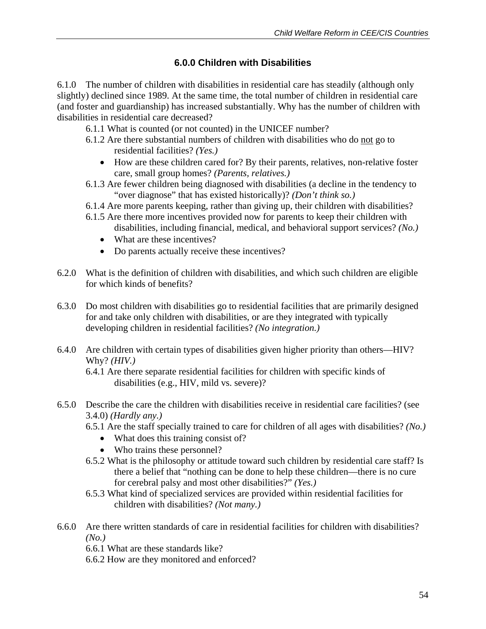## **6.0.0 Children with Disabilities**

6.1.0 The number of children with disabilities in residential care has steadily (although only slightly) declined since 1989. At the same time, the total number of children in residential care (and foster and guardianship) has increased substantially. Why has the number of children with disabilities in residential care decreased?

6.1.1 What is counted (or not counted) in the UNICEF number?

- 6.1.2 Are there substantial numbers of children with disabilities who do not go to residential facilities? *(Yes.)*
	- How are these children cared for? By their parents, relatives, non-relative foster care, small group homes? *(Parents, relatives.)*
- 6.1.3 Are fewer children being diagnosed with disabilities (a decline in the tendency to "over diagnose" that has existed historically)? *(Don't think so.)*
- 6.1.4 Are more parents keeping, rather than giving up, their children with disabilities?
- 6.1.5 Are there more incentives provided now for parents to keep their children with disabilities, including financial, medical, and behavioral support services? *(No.)*
	- What are these incentives?
	- Do parents actually receive these incentives?
- 6.2.0 What is the definition of children with disabilities, and which such children are eligible for which kinds of benefits?
- 6.3.0 Do most children with disabilities go to residential facilities that are primarily designed for and take only children with disabilities, or are they integrated with typically developing children in residential facilities? *(No integration.)*
- 6.4.0 Are children with certain types of disabilities given higher priority than others—HIV? Why? *(HIV.)*

- 6.5.0 Describe the care the children with disabilities receive in residential care facilities? (see 3.4.0) *(Hardly any.)*
	- 6.5.1 Are the staff specially trained to care for children of all ages with disabilities? *(No.)*
		- What does this training consist of?
		- Who trains these personnel?
	- 6.5.2 What is the philosophy or attitude toward such children by residential care staff? Is there a belief that "nothing can be done to help these children—there is no cure for cerebral palsy and most other disabilities?" *(Yes.)*
	- 6.5.3 What kind of specialized services are provided within residential facilities for children with disabilities? *(Not many.)*
- 6.6.0 Are there written standards of care in residential facilities for children with disabilities? *(No.)*

6.6.1 What are these standards like?

6.6.2 How are they monitored and enforced?

<sup>6.4.1</sup> Are there separate residential facilities for children with specific kinds of disabilities (e.g., HIV, mild vs. severe)?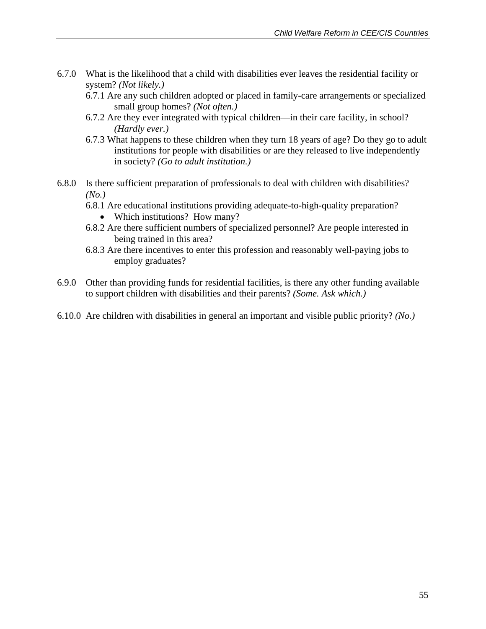- 6.7.0 What is the likelihood that a child with disabilities ever leaves the residential facility or system? *(Not likely.)*
	- 6.7.1 Are any such children adopted or placed in family-care arrangements or specialized small group homes? *(Not often.)*
	- 6.7.2 Are they ever integrated with typical children—in their care facility, in school? *(Hardly ever.)*
	- 6.7.3 What happens to these children when they turn 18 years of age? Do they go to adult institutions for people with disabilities or are they released to live independently in society? *(Go to adult institution.)*
- 6.8.0 Is there sufficient preparation of professionals to deal with children with disabilities? *(No.)*
	- 6.8.1 Are educational institutions providing adequate-to-high-quality preparation?
		- Which institutions? How many?
	- 6.8.2 Are there sufficient numbers of specialized personnel? Are people interested in being trained in this area?
	- 6.8.3 Are there incentives to enter this profession and reasonably well-paying jobs to employ graduates?
- 6.9.0 Other than providing funds for residential facilities, is there any other funding available to support children with disabilities and their parents? *(Some. Ask which.)*
- 6.10.0 Are children with disabilities in general an important and visible public priority? *(No.)*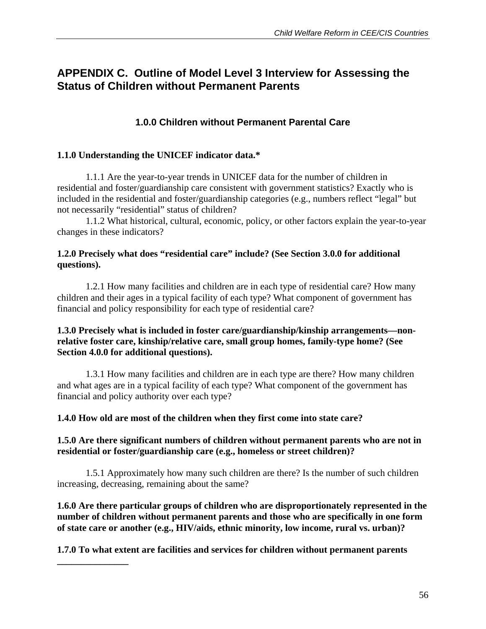# **APPENDIX C. Outline of Model Level 3 Interview for Assessing the Status of Children without Permanent Parents**

## **1.0.0 Children without Permanent Parental Care**

### **1.1.0 Understanding the UNICEF indicator data.\***

1.1.1 Are the year-to-year trends in UNICEF data for the number of children in residential and foster/guardianship care consistent with government statistics? Exactly who is included in the residential and foster/guardianship categories (e.g., numbers reflect "legal" but not necessarily "residential" status of children?

 1.1.2 What historical, cultural, economic, policy, or other factors explain the year-to-year changes in these indicators?

### **1.2.0 Precisely what does "residential care" include? (See Section 3.0.0 for additional questions).**

 1.2.1 How many facilities and children are in each type of residential care? How many children and their ages in a typical facility of each type? What component of government has financial and policy responsibility for each type of residential care?

### **1.3.0 Precisely what is included in foster care/guardianship/kinship arrangements—nonrelative foster care, kinship/relative care, small group homes, family-type home? (See Section 4.0.0 for additional questions).**

1.3.1 How many facilities and children are in each type are there? How many children and what ages are in a typical facility of each type? What component of the government has financial and policy authority over each type?

### **1.4.0 How old are most of the children when they first come into state care?**

### **1.5.0 Are there significant numbers of children without permanent parents who are not in residential or foster/guardianship care (e.g., homeless or street children)?**

1.5.1 Approximately how many such children are there? Is the number of such children increasing, decreasing, remaining about the same?

**1.6.0 Are there particular groups of children who are disproportionately represented in the number of children without permanent parents and those who are specifically in one form of state care or another (e.g., HIV/aids, ethnic minority, low income, rural vs. urban)?** 

**1.7.0 To what extent are facilities and services for children without permanent parents** 

**\_\_\_\_\_\_\_\_\_\_\_\_\_\_\_**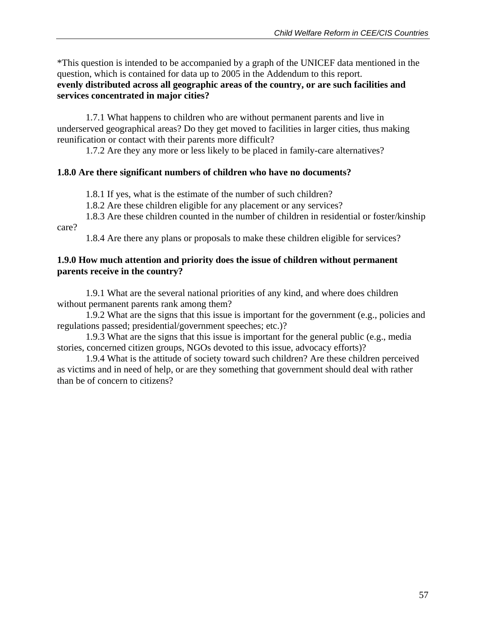\*This question is intended to be accompanied by a graph of the UNICEF data mentioned in the question, which is contained for data up to 2005 in the Addendum to this report. **evenly distributed across all geographic areas of the country, or are such facilities and services concentrated in major cities?** 

 1.7.1 What happens to children who are without permanent parents and live in underserved geographical areas? Do they get moved to facilities in larger cities, thus making reunification or contact with their parents more difficult?

1.7.2 Are they any more or less likely to be placed in family-care alternatives?

## **1.8.0 Are there significant numbers of children who have no documents?**

1.8.1 If yes, what is the estimate of the number of such children?

1.8.2 Are these children eligible for any placement or any services?

 1.8.3 Are these children counted in the number of children in residential or foster/kinship care?

1.8.4 Are there any plans or proposals to make these children eligible for services?

### **1.9.0 How much attention and priority does the issue of children without permanent parents receive in the country?**

 1.9.1 What are the several national priorities of any kind, and where does children without permanent parents rank among them?

 1.9.2 What are the signs that this issue is important for the government (e.g., policies and regulations passed; presidential/government speeches; etc.)?

 1.9.3 What are the signs that this issue is important for the general public (e.g., media stories, concerned citizen groups, NGOs devoted to this issue, advocacy efforts)?

 1.9.4 What is the attitude of society toward such children? Are these children perceived as victims and in need of help, or are they something that government should deal with rather than be of concern to citizens?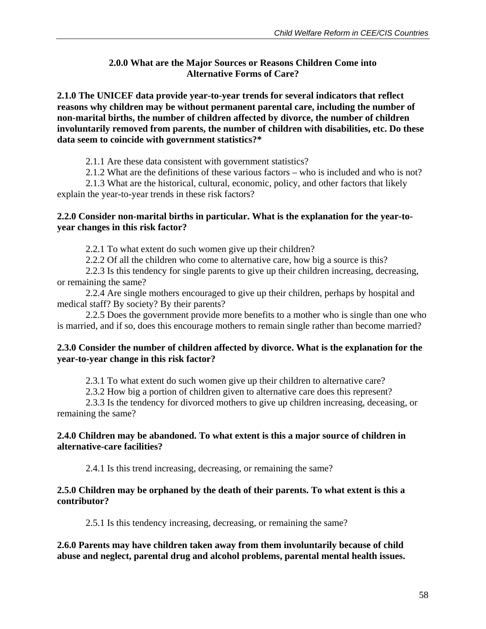### **2.0.0 What are the Major Sources or Reasons Children Come into Alternative Forms of Care?**

**2.1.0 The UNICEF data provide year-to-year trends for several indicators that reflect reasons why children may be without permanent parental care, including the number of non-marital births, the number of children affected by divorce, the number of children involuntarily removed from parents, the number of children with disabilities, etc. Do these data seem to coincide with government statistics?\*** 

2.1.1 Are these data consistent with government statistics?

2.1.2 What are the definitions of these various factors – who is included and who is not?

 2.1.3 What are the historical, cultural, economic, policy, and other factors that likely explain the year-to-year trends in these risk factors?

#### **2.2.0 Consider non-marital births in particular. What is the explanation for the year-toyear changes in this risk factor?**

2.2.1 To what extent do such women give up their children?

2.2.2 Of all the children who come to alternative care, how big a source is this?

 2.2.3 Is this tendency for single parents to give up their children increasing, decreasing, or remaining the same?

 2.2.4 Are single mothers encouraged to give up their children, perhaps by hospital and medical staff? By society? By their parents?

 2.2.5 Does the government provide more benefits to a mother who is single than one who is married, and if so, does this encourage mothers to remain single rather than become married?

### **2.3.0 Consider the number of children affected by divorce. What is the explanation for the year-to-year change in this risk factor?**

2.3.1 To what extent do such women give up their children to alternative care?

2.3.2 How big a portion of children given to alternative care does this represent?

 2.3.3 Is the tendency for divorced mothers to give up children increasing, deceasing, or remaining the same?

#### **2.4.0 Children may be abandoned. To what extent is this a major source of children in alternative-care facilities?**

2.4.1 Is this trend increasing, decreasing, or remaining the same?

#### **2.5.0 Children may be orphaned by the death of their parents. To what extent is this a contributor?**

2.5.1 Is this tendency increasing, decreasing, or remaining the same?

### **2.6.0 Parents may have children taken away from them involuntarily because of child abuse and neglect, parental drug and alcohol problems, parental mental health issues.**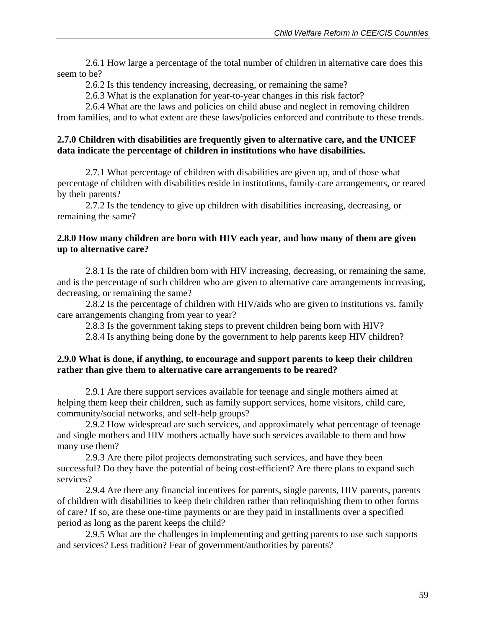2.6.1 How large a percentage of the total number of children in alternative care does this seem to be?

2.6.2 Is this tendency increasing, decreasing, or remaining the same?

2.6.3 What is the explanation for year-to-year changes in this risk factor?

 2.6.4 What are the laws and policies on child abuse and neglect in removing children from families, and to what extent are these laws/policies enforced and contribute to these trends.

### **2.7.0 Children with disabilities are frequently given to alternative care, and the UNICEF data indicate the percentage of children in institutions who have disabilities.**

2.7.1 What percentage of children with disabilities are given up, and of those what percentage of children with disabilities reside in institutions, family-care arrangements, or reared by their parents?

 2.7.2 Is the tendency to give up children with disabilities increasing, decreasing, or remaining the same?

### **2.8.0 How many children are born with HIV each year, and how many of them are given up to alternative care?**

2.8.1 Is the rate of children born with HIV increasing, decreasing, or remaining the same, and is the percentage of such children who are given to alternative care arrangements increasing, decreasing, or remaining the same?

 2.8.2 Is the percentage of children with HIV/aids who are given to institutions vs. family care arrangements changing from year to year?

2.8.3 Is the government taking steps to prevent children being born with HIV?

2.8.4 Is anything being done by the government to help parents keep HIV children?

#### **2.9.0 What is done, if anything, to encourage and support parents to keep their children rather than give them to alternative care arrangements to be reared?**

2.9.1 Are there support services available for teenage and single mothers aimed at helping them keep their children, such as family support services, home visitors, child care, community/social networks, and self-help groups?

 2.9.2 How widespread are such services, and approximately what percentage of teenage and single mothers and HIV mothers actually have such services available to them and how many use them?

 2.9.3 Are there pilot projects demonstrating such services, and have they been successful? Do they have the potential of being cost-efficient? Are there plans to expand such services?

 2.9.4 Are there any financial incentives for parents, single parents, HIV parents, parents of children with disabilities to keep their children rather than relinquishing them to other forms of care? If so, are these one-time payments or are they paid in installments over a specified period as long as the parent keeps the child?

 2.9.5 What are the challenges in implementing and getting parents to use such supports and services? Less tradition? Fear of government/authorities by parents?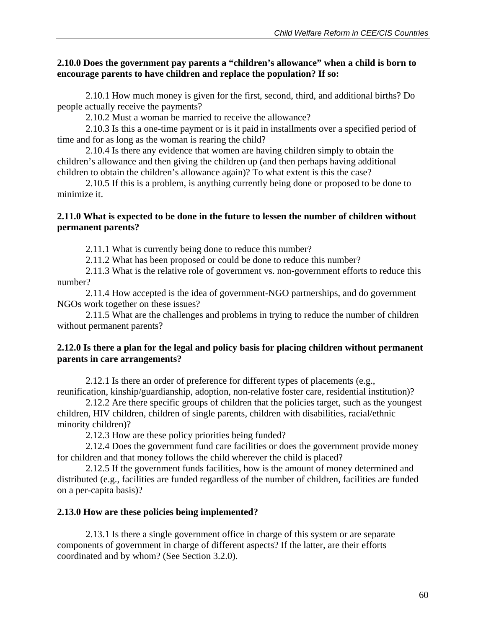### **2.10.0 Does the government pay parents a "children's allowance" when a child is born to encourage parents to have children and replace the population? If so:**

2.10.1 How much money is given for the first, second, third, and additional births? Do people actually receive the payments?

2.10.2 Must a woman be married to receive the allowance?

 2.10.3 Is this a one-time payment or is it paid in installments over a specified period of time and for as long as the woman is rearing the child?

 2.10.4 Is there any evidence that women are having children simply to obtain the children's allowance and then giving the children up (and then perhaps having additional children to obtain the children's allowance again)? To what extent is this the case?

 2.10.5 If this is a problem, is anything currently being done or proposed to be done to minimize it.

### **2.11.0 What is expected to be done in the future to lessen the number of children without permanent parents?**

2.11.1 What is currently being done to reduce this number?

2.11.2 What has been proposed or could be done to reduce this number?

 2.11.3 What is the relative role of government vs. non-government efforts to reduce this number?

 2.11.4 How accepted is the idea of government-NGO partnerships, and do government NGOs work together on these issues?

 2.11.5 What are the challenges and problems in trying to reduce the number of children without permanent parents?

### **2.12.0 Is there a plan for the legal and policy basis for placing children without permanent parents in care arrangements?**

2.12.1 Is there an order of preference for different types of placements (e.g., reunification, kinship/guardianship, adoption, non-relative foster care, residential institution)?

 2.12.2 Are there specific groups of children that the policies target, such as the youngest children, HIV children, children of single parents, children with disabilities, racial/ethnic minority children)?

2.12.3 How are these policy priorities being funded?

 2.12.4 Does the government fund care facilities or does the government provide money for children and that money follows the child wherever the child is placed?

 2.12.5 If the government funds facilities, how is the amount of money determined and distributed (e.g., facilities are funded regardless of the number of children, facilities are funded on a per-capita basis)?

### **2.13.0 How are these policies being implemented?**

2.13.1 Is there a single government office in charge of this system or are separate components of government in charge of different aspects? If the latter, are their efforts coordinated and by whom? (See Section 3.2.0).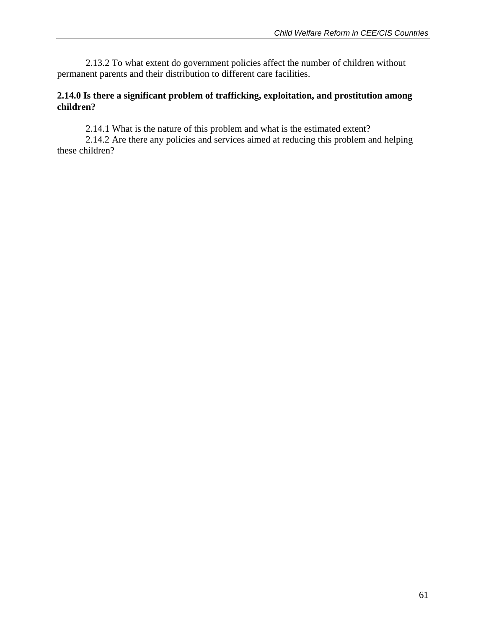2.13.2 To what extent do government policies affect the number of children without permanent parents and their distribution to different care facilities.

### **2.14.0 Is there a significant problem of trafficking, exploitation, and prostitution among children?**

2.14.1 What is the nature of this problem and what is the estimated extent?

 2.14.2 Are there any policies and services aimed at reducing this problem and helping these children?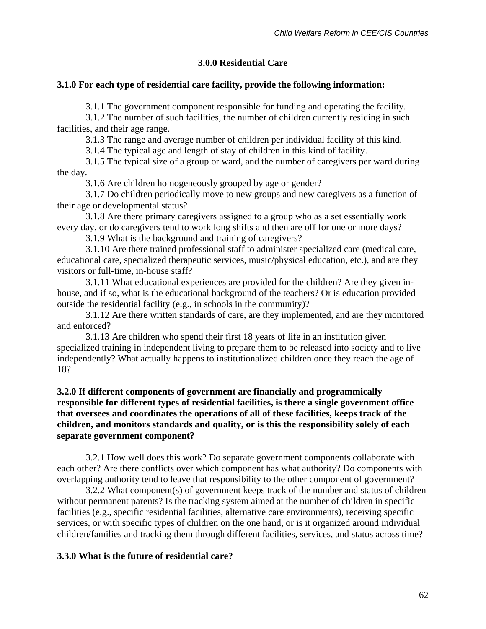### **3.0.0 Residential Care**

### **3.1.0 For each type of residential care facility, provide the following information:**

3.1.1 The government component responsible for funding and operating the facility.

 3.1.2 The number of such facilities, the number of children currently residing in such facilities, and their age range.

3.1.3 The range and average number of children per individual facility of this kind.

3.1.4 The typical age and length of stay of children in this kind of facility.

 3.1.5 The typical size of a group or ward, and the number of caregivers per ward during the day.

3.1.6 Are children homogeneously grouped by age or gender?

 3.1.7 Do children periodically move to new groups and new caregivers as a function of their age or developmental status?

 3.1.8 Are there primary caregivers assigned to a group who as a set essentially work every day, or do caregivers tend to work long shifts and then are off for one or more days?

3.1.9 What is the background and training of caregivers?

 3.1.10 Are there trained professional staff to administer specialized care (medical care, educational care, specialized therapeutic services, music/physical education, etc.), and are they visitors or full-time, in-house staff?

 3.1.11 What educational experiences are provided for the children? Are they given inhouse, and if so, what is the educational background of the teachers? Or is education provided outside the residential facility (e.g., in schools in the community)?

 3.1.12 Are there written standards of care, are they implemented, and are they monitored and enforced?

 3.1.13 Are children who spend their first 18 years of life in an institution given specialized training in independent living to prepare them to be released into society and to live independently? What actually happens to institutionalized children once they reach the age of 18?

### **3.2.0 If different components of government are financially and programmically responsible for different types of residential facilities, is there a single government office that oversees and coordinates the operations of all of these facilities, keeps track of the children, and monitors standards and quality, or is this the responsibility solely of each separate government component?**

3.2.1 How well does this work? Do separate government components collaborate with each other? Are there conflicts over which component has what authority? Do components with overlapping authority tend to leave that responsibility to the other component of government?

 3.2.2 What component(s) of government keeps track of the number and status of children without permanent parents? Is the tracking system aimed at the number of children in specific facilities (e.g., specific residential facilities, alternative care environments), receiving specific services, or with specific types of children on the one hand, or is it organized around individual children/families and tracking them through different facilities, services, and status across time?

### **3.3.0 What is the future of residential care?**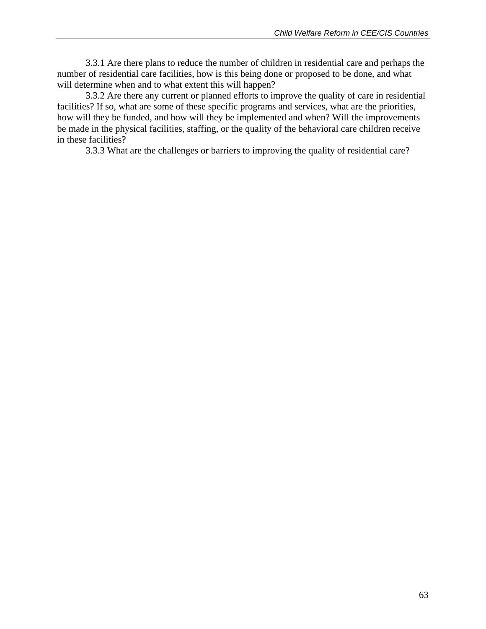3.3.1 Are there plans to reduce the number of children in residential care and perhaps the number of residential care facilities, how is this being done or proposed to be done, and what will determine when and to what extent this will happen?

 3.3.2 Are there any current or planned efforts to improve the quality of care in residential facilities? If so, what are some of these specific programs and services, what are the priorities, how will they be funded, and how will they be implemented and when? Will the improvements be made in the physical facilities, staffing, or the quality of the behavioral care children receive in these facilities?

3.3.3 What are the challenges or barriers to improving the quality of residential care?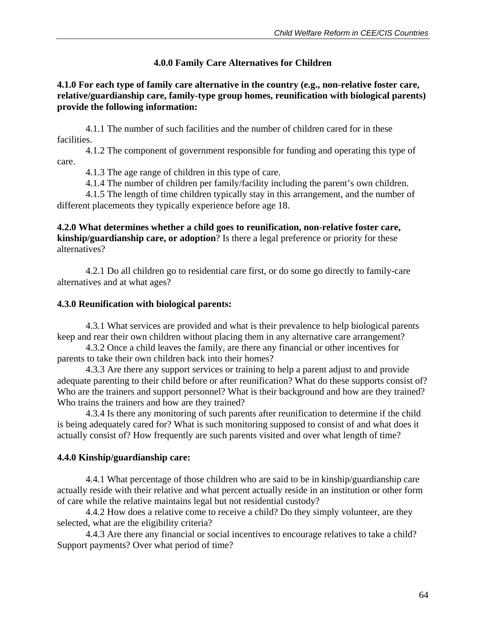## **4.0.0 Family Care Alternatives for Children**

### **4.1.0 For each type of family care alternative in the country (e.g., non-relative foster care, relative/guardianship care, family-type group homes, reunification with biological parents) provide the following information:**

4.1.1 The number of such facilities and the number of children cared for in these facilities.

 4.1.2 The component of government responsible for funding and operating this type of care.

4.1.3 The age range of children in this type of care.

4.1.4 The number of children per family/facility including the parent's own children.

 4.1.5 The length of time children typically stay in this arrangement, and the number of different placements they typically experience before age 18.

### **4.2.0 What determines whether a child goes to reunification, non-relative foster care, kinship/guardianship care, or adoption**? Is there a legal preference or priority for these alternatives?

 4.2.1 Do all children go to residential care first, or do some go directly to family-care alternatives and at what ages?

### **4.3.0 Reunification with biological parents:**

 4.3.1 What services are provided and what is their prevalence to help biological parents keep and rear their own children without placing them in any alternative care arrangement?

 4.3.2 Once a child leaves the family, are there any financial or other incentives for parents to take their own children back into their homes?

 4.3.3 Are there any support services or training to help a parent adjust to and provide adequate parenting to their child before or after reunification? What do these supports consist of? Who are the trainers and support personnel? What is their background and how are they trained? Who trains the trainers and how are they trained?

 4.3.4 Is there any monitoring of such parents after reunification to determine if the child is being adequately cared for? What is such monitoring supposed to consist of and what does it actually consist of? How frequently are such parents visited and over what length of time?

## **4.4.0 Kinship/guardianship care:**

 4.4.1 What percentage of those children who are said to be in kinship/guardianship care actually reside with their relative and what percent actually reside in an institution or other form of care while the relative maintains legal but not residential custody?

 4.4.2 How does a relative come to receive a child? Do they simply volunteer, are they selected, what are the eligibility criteria?

 4.4.3 Are there any financial or social incentives to encourage relatives to take a child? Support payments? Over what period of time?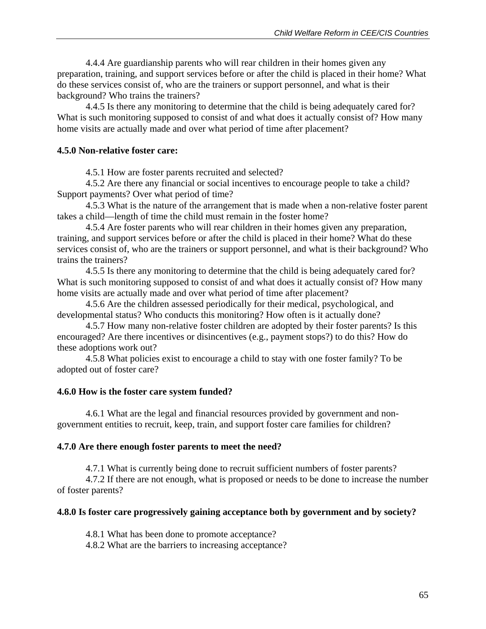4.4.4 Are guardianship parents who will rear children in their homes given any preparation, training, and support services before or after the child is placed in their home? What do these services consist of, who are the trainers or support personnel, and what is their background? Who trains the trainers?

 4.4.5 Is there any monitoring to determine that the child is being adequately cared for? What is such monitoring supposed to consist of and what does it actually consist of? How many home visits are actually made and over what period of time after placement?

#### **4.5.0 Non-relative foster care:**

4.5.1 How are foster parents recruited and selected?

4.5.2 Are there any financial or social incentives to encourage people to take a child? Support payments? Over what period of time?

4.5.3 What is the nature of the arrangement that is made when a non-relative foster parent takes a child—length of time the child must remain in the foster home?

4.5.4 Are foster parents who will rear children in their homes given any preparation, training, and support services before or after the child is placed in their home? What do these services consist of, who are the trainers or support personnel, and what is their background? Who trains the trainers?

4.5.5 Is there any monitoring to determine that the child is being adequately cared for? What is such monitoring supposed to consist of and what does it actually consist of? How many home visits are actually made and over what period of time after placement?

4.5.6 Are the children assessed periodically for their medical, psychological, and developmental status? Who conducts this monitoring? How often is it actually done?

4.5.7 How many non-relative foster children are adopted by their foster parents? Is this encouraged? Are there incentives or disincentives (e.g., payment stops?) to do this? How do these adoptions work out?

4.5.8 What policies exist to encourage a child to stay with one foster family? To be adopted out of foster care?

#### **4.6.0 How is the foster care system funded?**

 4.6.1 What are the legal and financial resources provided by government and nongovernment entities to recruit, keep, train, and support foster care families for children?

#### **4.7.0 Are there enough foster parents to meet the need?**

4.7.1 What is currently being done to recruit sufficient numbers of foster parents?

 4.7.2 If there are not enough, what is proposed or needs to be done to increase the number of foster parents?

#### **4.8.0 Is foster care progressively gaining acceptance both by government and by society?**

4.8.1 What has been done to promote acceptance?

4.8.2 What are the barriers to increasing acceptance?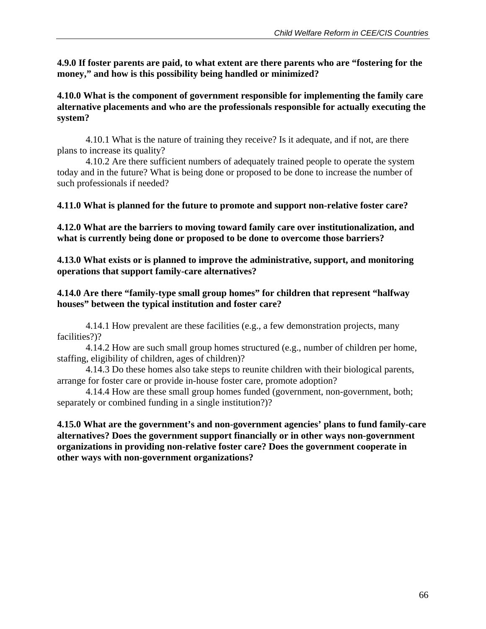**4.9.0 If foster parents are paid, to what extent are there parents who are "fostering for the money," and how is this possibility being handled or minimized?** 

### **4.10.0 What is the component of government responsible for implementing the family care alternative placements and who are the professionals responsible for actually executing the system?**

 4.10.1 What is the nature of training they receive? Is it adequate, and if not, are there plans to increase its quality?

 4.10.2 Are there sufficient numbers of adequately trained people to operate the system today and in the future? What is being done or proposed to be done to increase the number of such professionals if needed?

### **4.11.0 What is planned for the future to promote and support non-relative foster care?**

**4.12.0 What are the barriers to moving toward family care over institutionalization, and what is currently being done or proposed to be done to overcome those barriers?** 

**4.13.0 What exists or is planned to improve the administrative, support, and monitoring operations that support family-care alternatives?** 

### **4.14.0 Are there "family-type small group homes" for children that represent "halfway houses" between the typical institution and foster care?**

 4.14.1 How prevalent are these facilities (e.g., a few demonstration projects, many facilities?)?

4.14.2 How are such small group homes structured (e.g., number of children per home, staffing, eligibility of children, ages of children)?

 4.14.3 Do these homes also take steps to reunite children with their biological parents, arrange for foster care or provide in-house foster care, promote adoption?

 4.14.4 How are these small group homes funded (government, non-government, both; separately or combined funding in a single institution?)?

### **4.15.0 What are the government's and non-government agencies' plans to fund family-care alternatives? Does the government support financially or in other ways non-government organizations in providing non-relative foster care? Does the government cooperate in other ways with non-government organizations?**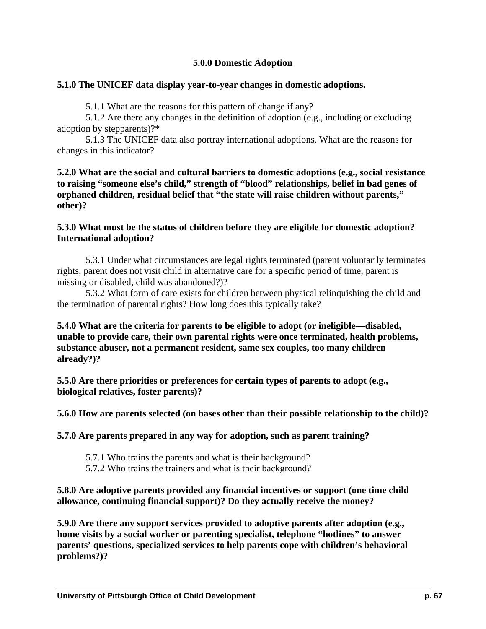### **5.0.0 Domestic Adoption**

#### **5.1.0 The UNICEF data display year-to-year changes in domestic adoptions.**

5.1.1 What are the reasons for this pattern of change if any?

5.1.2 Are there any changes in the definition of adoption (e.g., including or excluding adoption by stepparents)?\*

5.1.3 The UNICEF data also portray international adoptions. What are the reasons for changes in this indicator?

**5.2.0 What are the social and cultural barriers to domestic adoptions (e.g., social resistance to raising "someone else's child," strength of "blood" relationships, belief in bad genes of orphaned children, residual belief that "the state will raise children without parents," other)?** 

#### **5.3.0 What must be the status of children before they are eligible for domestic adoption? International adoption?**

5.3.1 Under what circumstances are legal rights terminated (parent voluntarily terminates rights, parent does not visit child in alternative care for a specific period of time, parent is missing or disabled, child was abandoned?)?

 5.3.2 What form of care exists for children between physical relinquishing the child and the termination of parental rights? How long does this typically take?

**5.4.0 What are the criteria for parents to be eligible to adopt (or ineligible—disabled, unable to provide care, their own parental rights were once terminated, health problems, substance abuser, not a permanent resident, same sex couples, too many children already?)?** 

**5.5.0 Are there priorities or preferences for certain types of parents to adopt (e.g., biological relatives, foster parents)?** 

**5.6.0 How are parents selected (on bases other than their possible relationship to the child)?** 

**5.7.0 Are parents prepared in any way for adoption, such as parent training?** 

- 5.7.1 Who trains the parents and what is their background?
- 5.7.2 Who trains the trainers and what is their background?

**5.8.0 Are adoptive parents provided any financial incentives or support (one time child allowance, continuing financial support)? Do they actually receive the money?** 

**5.9.0 Are there any support services provided to adoptive parents after adoption (e.g., home visits by a social worker or parenting specialist, telephone "hotlines" to answer parents' questions, specialized services to help parents cope with children's behavioral problems?)?**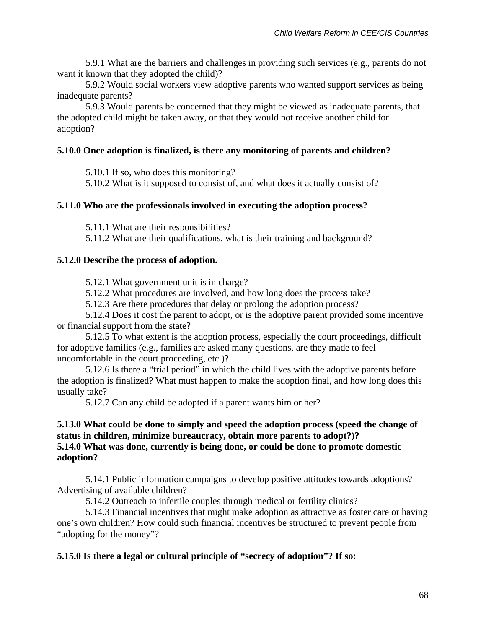5.9.1 What are the barriers and challenges in providing such services (e.g., parents do not want it known that they adopted the child)?

 5.9.2 Would social workers view adoptive parents who wanted support services as being inadequate parents?

 5.9.3 Would parents be concerned that they might be viewed as inadequate parents, that the adopted child might be taken away, or that they would not receive another child for adoption?

### **5.10.0 Once adoption is finalized, is there any monitoring of parents and children?**

5.10.1 If so, who does this monitoring?

5.10.2 What is it supposed to consist of, and what does it actually consist of?

#### **5.11.0 Who are the professionals involved in executing the adoption process?**

5.11.1 What are their responsibilities?

5.11.2 What are their qualifications, what is their training and background?

#### **5.12.0 Describe the process of adoption.**

5.12.1 What government unit is in charge?

5.12.2 What procedures are involved, and how long does the process take?

5.12.3 Are there procedures that delay or prolong the adoption process?

 5.12.4 Does it cost the parent to adopt, or is the adoptive parent provided some incentive or financial support from the state?

 5.12.5 To what extent is the adoption process, especially the court proceedings, difficult for adoptive families (e.g., families are asked many questions, are they made to feel uncomfortable in the court proceeding, etc.)?

 5.12.6 Is there a "trial period" in which the child lives with the adoptive parents before the adoption is finalized? What must happen to make the adoption final, and how long does this usually take?

5.12.7 Can any child be adopted if a parent wants him or her?

### **5.13.0 What could be done to simply and speed the adoption process (speed the change of status in children, minimize bureaucracy, obtain more parents to adopt?)? 5.14.0 What was done, currently is being done, or could be done to promote domestic adoption?**

 5.14.1 Public information campaigns to develop positive attitudes towards adoptions? Advertising of available children?

5.14.2 Outreach to infertile couples through medical or fertility clinics?

 5.14.3 Financial incentives that might make adoption as attractive as foster care or having one's own children? How could such financial incentives be structured to prevent people from "adopting for the money"?

### **5.15.0 Is there a legal or cultural principle of "secrecy of adoption"? If so:**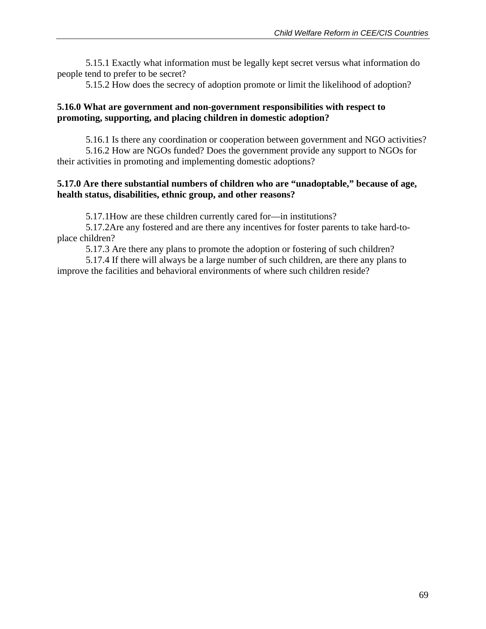5.15.1 Exactly what information must be legally kept secret versus what information do people tend to prefer to be secret?

5.15.2 How does the secrecy of adoption promote or limit the likelihood of adoption?

### **5.16.0 What are government and non-government responsibilities with respect to promoting, supporting, and placing children in domestic adoption?**

 5.16.1 Is there any coordination or cooperation between government and NGO activities? 5.16.2 How are NGOs funded? Does the government provide any support to NGOs for their activities in promoting and implementing domestic adoptions?

### **5.17.0 Are there substantial numbers of children who are "unadoptable," because of age, health status, disabilities, ethnic group, and other reasons?**

5.17.1How are these children currently cared for—in institutions?

5.17.2Are any fostered and are there any incentives for foster parents to take hard-toplace children?

5.17.3 Are there any plans to promote the adoption or fostering of such children?

 5.17.4 If there will always be a large number of such children, are there any plans to improve the facilities and behavioral environments of where such children reside?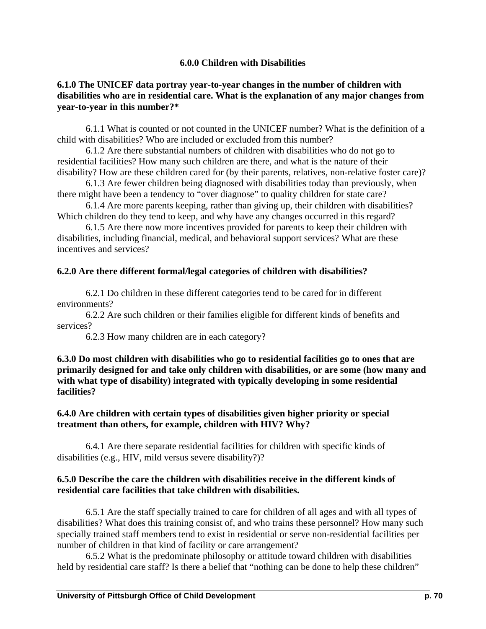#### **6.0.0 Children with Disabilities**

#### **6.1.0 The UNICEF data portray year-to-year changes in the number of children with disabilities who are in residential care. What is the explanation of any major changes from year-to-year in this number?\***

6.1.1 What is counted or not counted in the UNICEF number? What is the definition of a child with disabilities? Who are included or excluded from this number?

6.1.2 Are there substantial numbers of children with disabilities who do not go to residential facilities? How many such children are there, and what is the nature of their disability? How are these children cared for (by their parents, relatives, non-relative foster care)?

6.1.3 Are fewer children being diagnosed with disabilities today than previously, when there might have been a tendency to "over diagnose" to quality children for state care?

6.1.4 Are more parents keeping, rather than giving up, their children with disabilities? Which children do they tend to keep, and why have any changes occurred in this regard?

6.1.5 Are there now more incentives provided for parents to keep their children with disabilities, including financial, medical, and behavioral support services? What are these incentives and services?

#### **6.2.0 Are there different formal/legal categories of children with disabilities?**

6.2.1 Do children in these different categories tend to be cared for in different environments?

6.2.2 Are such children or their families eligible for different kinds of benefits and services?

6.2.3 How many children are in each category?

**6.3.0 Do most children with disabilities who go to residential facilities go to ones that are primarily designed for and take only children with disabilities, or are some (how many and with what type of disability) integrated with typically developing in some residential facilities?** 

#### **6.4.0 Are children with certain types of disabilities given higher priority or special treatment than others, for example, children with HIV? Why?**

6.4.1 Are there separate residential facilities for children with specific kinds of disabilities (e.g., HIV, mild versus severe disability?)?

#### **6.5.0 Describe the care the children with disabilities receive in the different kinds of residential care facilities that take children with disabilities.**

6.5.1 Are the staff specially trained to care for children of all ages and with all types of disabilities? What does this training consist of, and who trains these personnel? How many such specially trained staff members tend to exist in residential or serve non-residential facilities per number of children in that kind of facility or care arrangement?

 6.5.2 What is the predominate philosophy or attitude toward children with disabilities held by residential care staff? Is there a belief that "nothing can be done to help these children"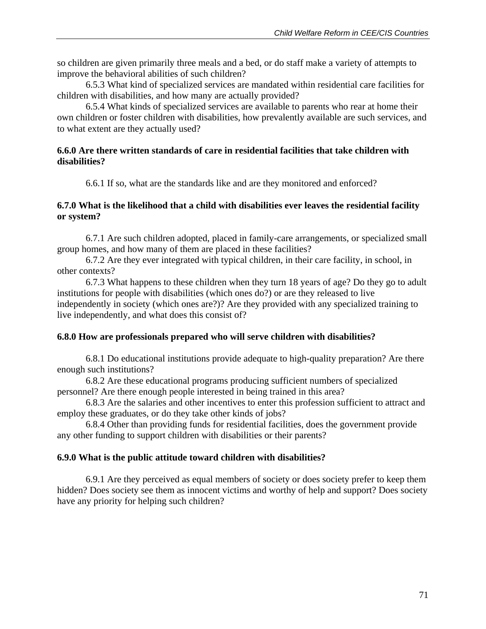so children are given primarily three meals and a bed, or do staff make a variety of attempts to improve the behavioral abilities of such children?

 6.5.3 What kind of specialized services are mandated within residential care facilities for children with disabilities, and how many are actually provided?

 6.5.4 What kinds of specialized services are available to parents who rear at home their own children or foster children with disabilities, how prevalently available are such services, and to what extent are they actually used?

### **6.6.0 Are there written standards of care in residential facilities that take children with disabilities?**

6.6.1 If so, what are the standards like and are they monitored and enforced?

#### **6.7.0 What is the likelihood that a child with disabilities ever leaves the residential facility or system?**

6.7.1 Are such children adopted, placed in family-care arrangements, or specialized small group homes, and how many of them are placed in these facilities?

 6.7.2 Are they ever integrated with typical children, in their care facility, in school, in other contexts?

 6.7.3 What happens to these children when they turn 18 years of age? Do they go to adult institutions for people with disabilities (which ones do?) or are they released to live independently in society (which ones are?)? Are they provided with any specialized training to live independently, and what does this consist of?

### **6.8.0 How are professionals prepared who will serve children with disabilities?**

 6.8.1 Do educational institutions provide adequate to high-quality preparation? Are there enough such institutions?

 6.8.2 Are these educational programs producing sufficient numbers of specialized personnel? Are there enough people interested in being trained in this area?

 6.8.3 Are the salaries and other incentives to enter this profession sufficient to attract and employ these graduates, or do they take other kinds of jobs?

 6.8.4 Other than providing funds for residential facilities, does the government provide any other funding to support children with disabilities or their parents?

### **6.9.0 What is the public attitude toward children with disabilities?**

 6.9.1 Are they perceived as equal members of society or does society prefer to keep them hidden? Does society see them as innocent victims and worthy of help and support? Does society have any priority for helping such children?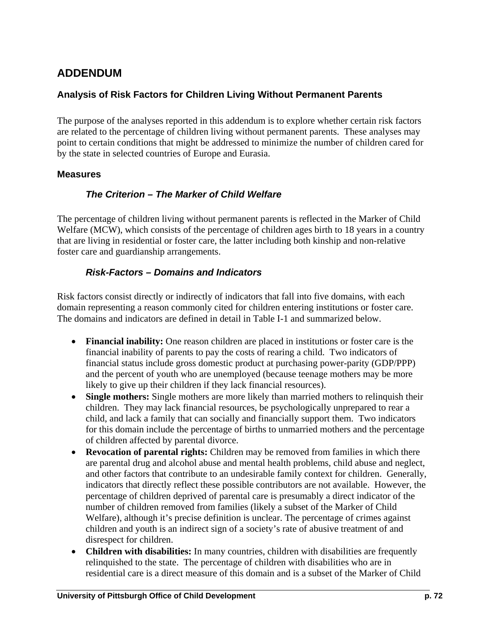# **ADDENDUM**

### **Analysis of Risk Factors for Children Living Without Permanent Parents**

The purpose of the analyses reported in this addendum is to explore whether certain risk factors are related to the percentage of children living without permanent parents. These analyses may point to certain conditions that might be addressed to minimize the number of children cared for by the state in selected countries of Europe and Eurasia.

### **Measures**

## *The Criterion – The Marker of Child Welfare*

The percentage of children living without permanent parents is reflected in the Marker of Child Welfare (MCW), which consists of the percentage of children ages birth to 18 years in a country that are living in residential or foster care, the latter including both kinship and non-relative foster care and guardianship arrangements.

### *Risk-Factors – Domains and Indicators*

Risk factors consist directly or indirectly of indicators that fall into five domains, with each domain representing a reason commonly cited for children entering institutions or foster care. The domains and indicators are defined in detail in Table I-1 and summarized below.

- **Financial inability:** One reason children are placed in institutions or foster care is the financial inability of parents to pay the costs of rearing a child. Two indicators of financial status include gross domestic product at purchasing power-parity (GDP/PPP) and the percent of youth who are unemployed (because teenage mothers may be more likely to give up their children if they lack financial resources).
- **Single mothers:** Single mothers are more likely than married mothers to relinquish their children. They may lack financial resources, be psychologically unprepared to rear a child, and lack a family that can socially and financially support them. Two indicators for this domain include the percentage of births to unmarried mothers and the percentage of children affected by parental divorce.
- **Revocation of parental rights:** Children may be removed from families in which there are parental drug and alcohol abuse and mental health problems, child abuse and neglect, and other factors that contribute to an undesirable family context for children. Generally, indicators that directly reflect these possible contributors are not available. However, the percentage of children deprived of parental care is presumably a direct indicator of the number of children removed from families (likely a subset of the Marker of Child Welfare), although it's precise definition is unclear. The percentage of crimes against children and youth is an indirect sign of a society's rate of abusive treatment of and disrespect for children.
- **Children with disabilities:** In many countries, children with disabilities are frequently relinquished to the state. The percentage of children with disabilities who are in residential care is a direct measure of this domain and is a subset of the Marker of Child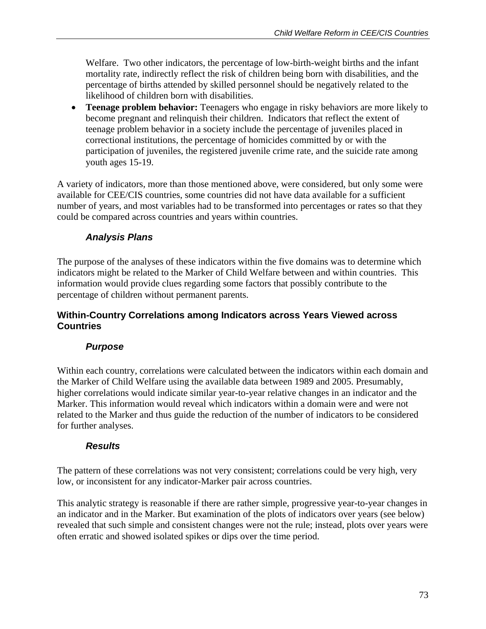Welfare. Two other indicators, the percentage of low-birth-weight births and the infant mortality rate, indirectly reflect the risk of children being born with disabilities, and the percentage of births attended by skilled personnel should be negatively related to the likelihood of children born with disabilities.

• **Teenage problem behavior:** Teenagers who engage in risky behaviors are more likely to become pregnant and relinquish their children. Indicators that reflect the extent of teenage problem behavior in a society include the percentage of juveniles placed in correctional institutions, the percentage of homicides committed by or with the participation of juveniles, the registered juvenile crime rate, and the suicide rate among youth ages 15-19.

A variety of indicators, more than those mentioned above, were considered, but only some were available for CEE/CIS countries, some countries did not have data available for a sufficient number of years, and most variables had to be transformed into percentages or rates so that they could be compared across countries and years within countries.

### *Analysis Plans*

The purpose of the analyses of these indicators within the five domains was to determine which indicators might be related to the Marker of Child Welfare between and within countries. This information would provide clues regarding some factors that possibly contribute to the percentage of children without permanent parents.

### **Within-Country Correlations among Indicators across Years Viewed across Countries**

### *Purpose*

Within each country, correlations were calculated between the indicators within each domain and the Marker of Child Welfare using the available data between 1989 and 2005. Presumably, higher correlations would indicate similar year-to-year relative changes in an indicator and the Marker. This information would reveal which indicators within a domain were and were not related to the Marker and thus guide the reduction of the number of indicators to be considered for further analyses.

### *Results*

The pattern of these correlations was not very consistent; correlations could be very high, very low, or inconsistent for any indicator-Marker pair across countries.

This analytic strategy is reasonable if there are rather simple, progressive year-to-year changes in an indicator and in the Marker. But examination of the plots of indicators over years (see below) revealed that such simple and consistent changes were not the rule; instead, plots over years were often erratic and showed isolated spikes or dips over the time period.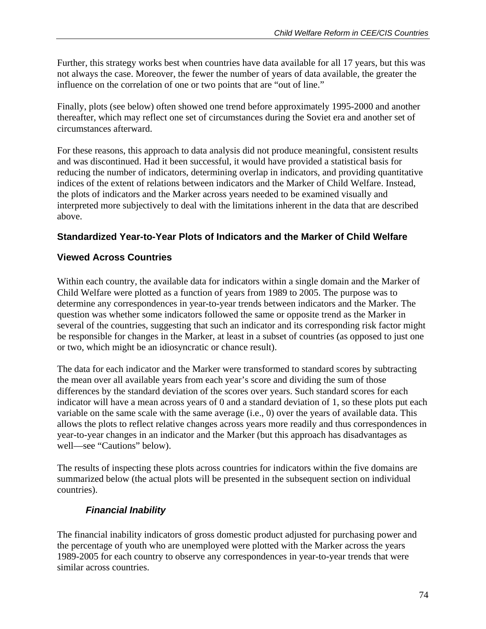Further, this strategy works best when countries have data available for all 17 years, but this was not always the case. Moreover, the fewer the number of years of data available, the greater the influence on the correlation of one or two points that are "out of line."

Finally, plots (see below) often showed one trend before approximately 1995-2000 and another thereafter, which may reflect one set of circumstances during the Soviet era and another set of circumstances afterward.

For these reasons, this approach to data analysis did not produce meaningful, consistent results and was discontinued. Had it been successful, it would have provided a statistical basis for reducing the number of indicators, determining overlap in indicators, and providing quantitative indices of the extent of relations between indicators and the Marker of Child Welfare. Instead, the plots of indicators and the Marker across years needed to be examined visually and interpreted more subjectively to deal with the limitations inherent in the data that are described above.

## **Standardized Year-to-Year Plots of Indicators and the Marker of Child Welfare**

## **Viewed Across Countries**

Within each country, the available data for indicators within a single domain and the Marker of Child Welfare were plotted as a function of years from 1989 to 2005. The purpose was to determine any correspondences in year-to-year trends between indicators and the Marker. The question was whether some indicators followed the same or opposite trend as the Marker in several of the countries, suggesting that such an indicator and its corresponding risk factor might be responsible for changes in the Marker, at least in a subset of countries (as opposed to just one or two, which might be an idiosyncratic or chance result).

The data for each indicator and the Marker were transformed to standard scores by subtracting the mean over all available years from each year's score and dividing the sum of those differences by the standard deviation of the scores over years. Such standard scores for each indicator will have a mean across years of 0 and a standard deviation of 1, so these plots put each variable on the same scale with the same average (i.e., 0) over the years of available data. This allows the plots to reflect relative changes across years more readily and thus correspondences in year-to-year changes in an indicator and the Marker (but this approach has disadvantages as well—see "Cautions" below).

The results of inspecting these plots across countries for indicators within the five domains are summarized below (the actual plots will be presented in the subsequent section on individual countries).

## *Financial Inability*

The financial inability indicators of gross domestic product adjusted for purchasing power and the percentage of youth who are unemployed were plotted with the Marker across the years 1989-2005 for each country to observe any correspondences in year-to-year trends that were similar across countries.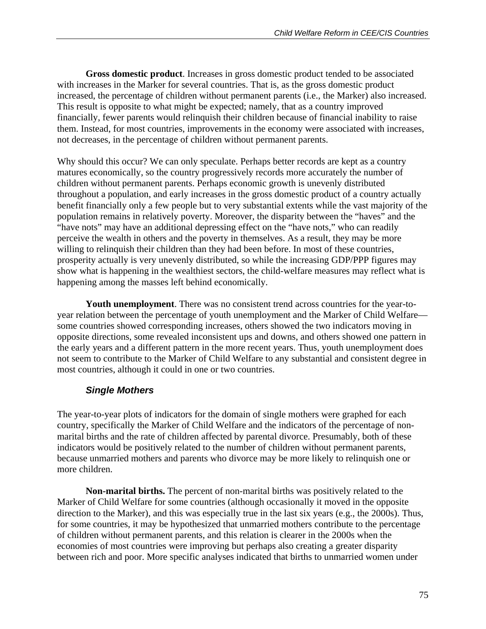**Gross domestic product**. Increases in gross domestic product tended to be associated with increases in the Marker for several countries. That is, as the gross domestic product increased, the percentage of children without permanent parents (i.e., the Marker) also increased. This result is opposite to what might be expected; namely, that as a country improved financially, fewer parents would relinquish their children because of financial inability to raise them. Instead, for most countries, improvements in the economy were associated with increases, not decreases, in the percentage of children without permanent parents.

Why should this occur? We can only speculate. Perhaps better records are kept as a country matures economically, so the country progressively records more accurately the number of children without permanent parents. Perhaps economic growth is unevenly distributed throughout a population, and early increases in the gross domestic product of a country actually benefit financially only a few people but to very substantial extents while the vast majority of the population remains in relatively poverty. Moreover, the disparity between the "haves" and the "have nots" may have an additional depressing effect on the "have nots," who can readily perceive the wealth in others and the poverty in themselves. As a result, they may be more willing to relinquish their children than they had been before. In most of these countries, prosperity actually is very unevenly distributed, so while the increasing GDP/PPP figures may show what is happening in the wealthiest sectors, the child-welfare measures may reflect what is happening among the masses left behind economically.

**Youth unemployment**. There was no consistent trend across countries for the year-toyear relation between the percentage of youth unemployment and the Marker of Child Welfare some countries showed corresponding increases, others showed the two indicators moving in opposite directions, some revealed inconsistent ups and downs, and others showed one pattern in the early years and a different pattern in the more recent years. Thus, youth unemployment does not seem to contribute to the Marker of Child Welfare to any substantial and consistent degree in most countries, although it could in one or two countries.

## *Single Mothers*

The year-to-year plots of indicators for the domain of single mothers were graphed for each country, specifically the Marker of Child Welfare and the indicators of the percentage of nonmarital births and the rate of children affected by parental divorce. Presumably, both of these indicators would be positively related to the number of children without permanent parents, because unmarried mothers and parents who divorce may be more likely to relinquish one or more children.

**Non-marital births.** The percent of non-marital births was positively related to the Marker of Child Welfare for some countries (although occasionally it moved in the opposite direction to the Marker), and this was especially true in the last six years (e.g., the 2000s). Thus, for some countries, it may be hypothesized that unmarried mothers contribute to the percentage of children without permanent parents, and this relation is clearer in the 2000s when the economies of most countries were improving but perhaps also creating a greater disparity between rich and poor. More specific analyses indicated that births to unmarried women under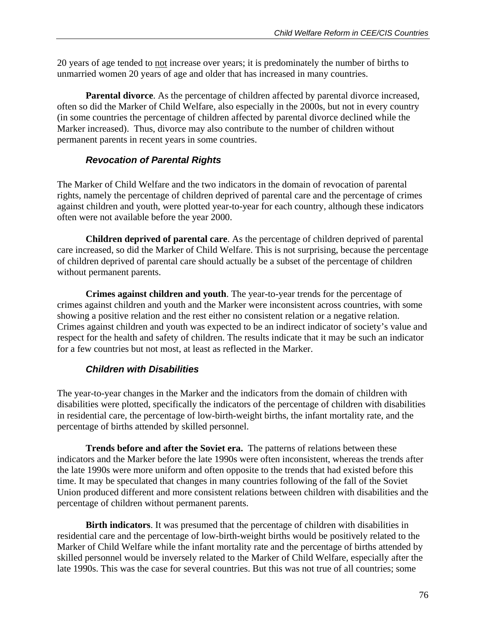20 years of age tended to not increase over years; it is predominately the number of births to unmarried women 20 years of age and older that has increased in many countries.

Parental divorce. As the percentage of children affected by parental divorce increased, often so did the Marker of Child Welfare, also especially in the 2000s, but not in every country (in some countries the percentage of children affected by parental divorce declined while the Marker increased). Thus, divorce may also contribute to the number of children without permanent parents in recent years in some countries.

### *Revocation of Parental Rights*

The Marker of Child Welfare and the two indicators in the domain of revocation of parental rights, namely the percentage of children deprived of parental care and the percentage of crimes against children and youth, were plotted year-to-year for each country, although these indicators often were not available before the year 2000.

**Children deprived of parental care**. As the percentage of children deprived of parental care increased, so did the Marker of Child Welfare. This is not surprising, because the percentage of children deprived of parental care should actually be a subset of the percentage of children without permanent parents.

**Crimes against children and youth**. The year-to-year trends for the percentage of crimes against children and youth and the Marker were inconsistent across countries, with some showing a positive relation and the rest either no consistent relation or a negative relation. Crimes against children and youth was expected to be an indirect indicator of society's value and respect for the health and safety of children. The results indicate that it may be such an indicator for a few countries but not most, at least as reflected in the Marker.

### *Children with Disabilities*

The year-to-year changes in the Marker and the indicators from the domain of children with disabilities were plotted, specifically the indicators of the percentage of children with disabilities in residential care, the percentage of low-birth-weight births, the infant mortality rate, and the percentage of births attended by skilled personnel.

**Trends before and after the Soviet era.** The patterns of relations between these indicators and the Marker before the late 1990s were often inconsistent, whereas the trends after the late 1990s were more uniform and often opposite to the trends that had existed before this time. It may be speculated that changes in many countries following of the fall of the Soviet Union produced different and more consistent relations between children with disabilities and the percentage of children without permanent parents.

**Birth indicators**. It was presumed that the percentage of children with disabilities in residential care and the percentage of low-birth-weight births would be positively related to the Marker of Child Welfare while the infant mortality rate and the percentage of births attended by skilled personnel would be inversely related to the Marker of Child Welfare, especially after the late 1990s. This was the case for several countries. But this was not true of all countries; some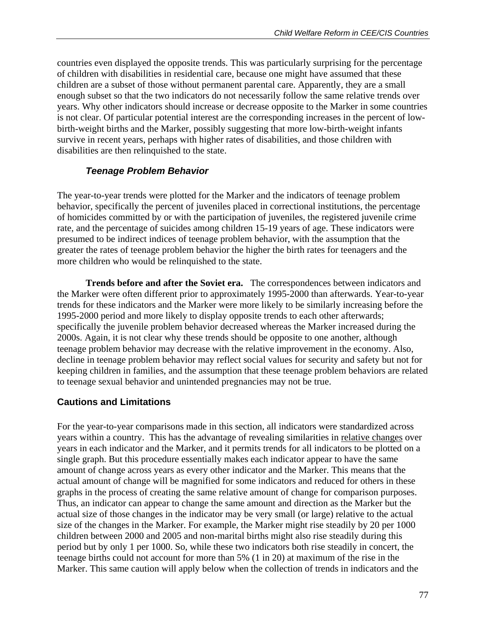countries even displayed the opposite trends. This was particularly surprising for the percentage of children with disabilities in residential care, because one might have assumed that these children are a subset of those without permanent parental care. Apparently, they are a small enough subset so that the two indicators do not necessarily follow the same relative trends over years. Why other indicators should increase or decrease opposite to the Marker in some countries is not clear. Of particular potential interest are the corresponding increases in the percent of lowbirth-weight births and the Marker, possibly suggesting that more low-birth-weight infants survive in recent years, perhaps with higher rates of disabilities, and those children with disabilities are then relinquished to the state.

### *Teenage Problem Behavior*

The year-to-year trends were plotted for the Marker and the indicators of teenage problem behavior, specifically the percent of juveniles placed in correctional institutions, the percentage of homicides committed by or with the participation of juveniles, the registered juvenile crime rate, and the percentage of suicides among children 15-19 years of age. These indicators were presumed to be indirect indices of teenage problem behavior, with the assumption that the greater the rates of teenage problem behavior the higher the birth rates for teenagers and the more children who would be relinquished to the state.

**Trends before and after the Soviet era.** The correspondences between indicators and the Marker were often different prior to approximately 1995-2000 than afterwards. Year-to-year trends for these indicators and the Marker were more likely to be similarly increasing before the 1995-2000 period and more likely to display opposite trends to each other afterwards; specifically the juvenile problem behavior decreased whereas the Marker increased during the 2000s. Again, it is not clear why these trends should be opposite to one another, although teenage problem behavior may decrease with the relative improvement in the economy. Also, decline in teenage problem behavior may reflect social values for security and safety but not for keeping children in families, and the assumption that these teenage problem behaviors are related to teenage sexual behavior and unintended pregnancies may not be true.

### **Cautions and Limitations**

For the year-to-year comparisons made in this section, all indicators were standardized across years within a country. This has the advantage of revealing similarities in relative changes over years in each indicator and the Marker, and it permits trends for all indicators to be plotted on a single graph. But this procedure essentially makes each indicator appear to have the same amount of change across years as every other indicator and the Marker. This means that the actual amount of change will be magnified for some indicators and reduced for others in these graphs in the process of creating the same relative amount of change for comparison purposes. Thus, an indicator can appear to change the same amount and direction as the Marker but the actual size of those changes in the indicator may be very small (or large) relative to the actual size of the changes in the Marker. For example, the Marker might rise steadily by 20 per 1000 children between 2000 and 2005 and non-marital births might also rise steadily during this period but by only 1 per 1000. So, while these two indicators both rise steadily in concert, the teenage births could not account for more than 5% (1 in 20) at maximum of the rise in the Marker. This same caution will apply below when the collection of trends in indicators and the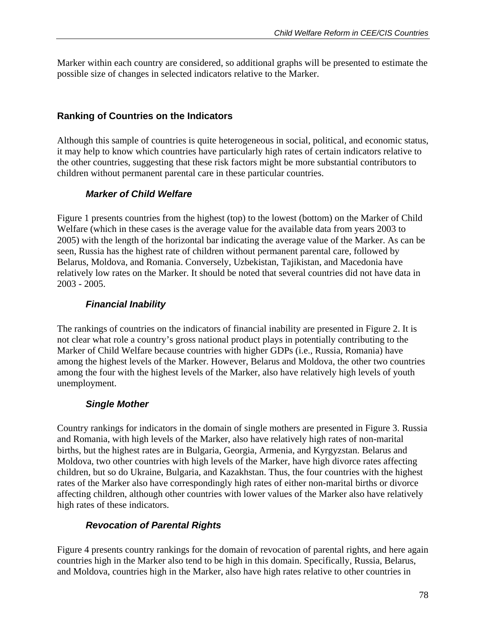Marker within each country are considered, so additional graphs will be presented to estimate the possible size of changes in selected indicators relative to the Marker.

## **Ranking of Countries on the Indicators**

Although this sample of countries is quite heterogeneous in social, political, and economic status, it may help to know which countries have particularly high rates of certain indicators relative to the other countries, suggesting that these risk factors might be more substantial contributors to children without permanent parental care in these particular countries.

## *Marker of Child Welfare*

Figure 1 presents countries from the highest (top) to the lowest (bottom) on the Marker of Child Welfare (which in these cases is the average value for the available data from years 2003 to 2005) with the length of the horizontal bar indicating the average value of the Marker. As can be seen, Russia has the highest rate of children without permanent parental care, followed by Belarus, Moldova, and Romania. Conversely, Uzbekistan, Tajikistan, and Macedonia have relatively low rates on the Marker. It should be noted that several countries did not have data in 2003 - 2005.

## *Financial Inability*

The rankings of countries on the indicators of financial inability are presented in Figure 2. It is not clear what role a country's gross national product plays in potentially contributing to the Marker of Child Welfare because countries with higher GDPs (i.e., Russia, Romania) have among the highest levels of the Marker. However, Belarus and Moldova, the other two countries among the four with the highest levels of the Marker, also have relatively high levels of youth unemployment.

### *Single Mother*

Country rankings for indicators in the domain of single mothers are presented in Figure 3. Russia and Romania, with high levels of the Marker, also have relatively high rates of non-marital births, but the highest rates are in Bulgaria, Georgia, Armenia, and Kyrgyzstan. Belarus and Moldova, two other countries with high levels of the Marker, have high divorce rates affecting children, but so do Ukraine, Bulgaria, and Kazakhstan. Thus, the four countries with the highest rates of the Marker also have correspondingly high rates of either non-marital births or divorce affecting children, although other countries with lower values of the Marker also have relatively high rates of these indicators.

## *Revocation of Parental Rights*

Figure 4 presents country rankings for the domain of revocation of parental rights, and here again countries high in the Marker also tend to be high in this domain. Specifically, Russia, Belarus, and Moldova, countries high in the Marker, also have high rates relative to other countries in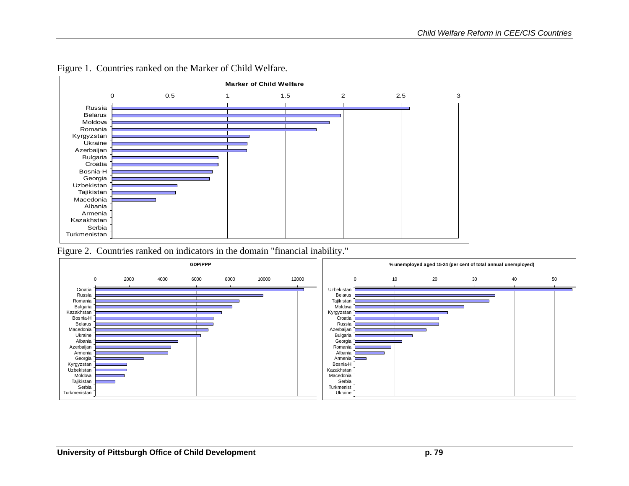

Figure 1. Countries ranked on the Marker of Child Welfare.

Figure 2. Countries ranked on indicators in the domain "financial inability."

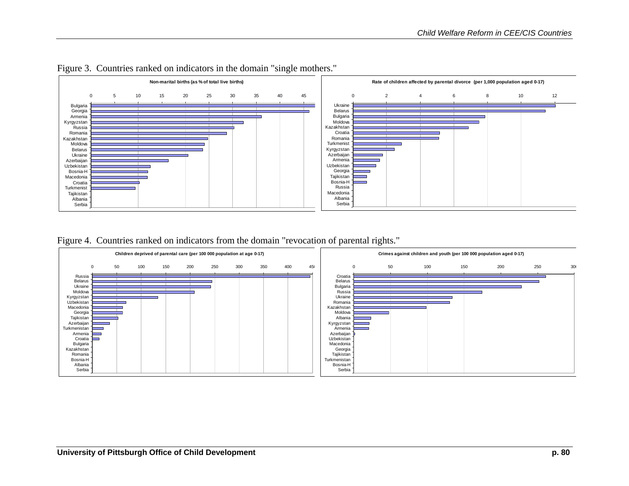



Figure 4. Countries ranked on indicators from the domain "revocation of parental rights."

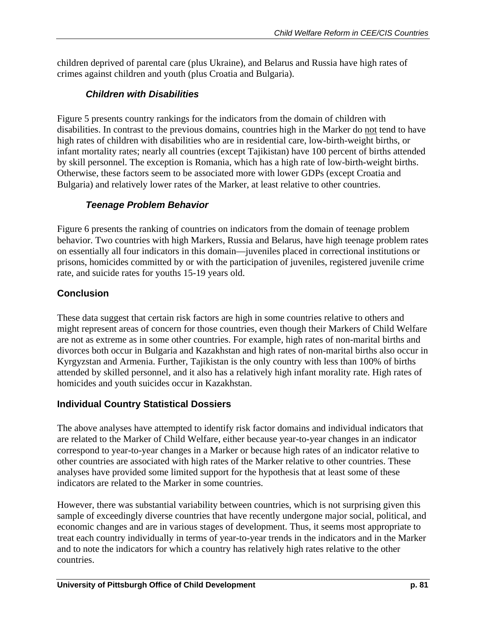children deprived of parental care (plus Ukraine), and Belarus and Russia have high rates of crimes against children and youth (plus Croatia and Bulgaria).

# *Children with Disabilities*

Figure 5 presents country rankings for the indicators from the domain of children with disabilities. In contrast to the previous domains, countries high in the Marker do not tend to have high rates of children with disabilities who are in residential care, low-birth-weight births, or infant mortality rates; nearly all countries (except Tajikistan) have 100 percent of births attended by skill personnel. The exception is Romania, which has a high rate of low-birth-weight births. Otherwise, these factors seem to be associated more with lower GDPs (except Croatia and Bulgaria) and relatively lower rates of the Marker, at least relative to other countries.

# *Teenage Problem Behavior*

Figure 6 presents the ranking of countries on indicators from the domain of teenage problem behavior. Two countries with high Markers, Russia and Belarus, have high teenage problem rates on essentially all four indicators in this domain—juveniles placed in correctional institutions or prisons, homicides committed by or with the participation of juveniles, registered juvenile crime rate, and suicide rates for youths 15-19 years old.

# **Conclusion**

These data suggest that certain risk factors are high in some countries relative to others and might represent areas of concern for those countries, even though their Markers of Child Welfare are not as extreme as in some other countries. For example, high rates of non-marital births and divorces both occur in Bulgaria and Kazakhstan and high rates of non-marital births also occur in Kyrgyzstan and Armenia. Further, Tajikistan is the only country with less than 100% of births attended by skilled personnel, and it also has a relatively high infant morality rate. High rates of homicides and youth suicides occur in Kazakhstan.

# **Individual Country Statistical Dossiers**

The above analyses have attempted to identify risk factor domains and individual indicators that are related to the Marker of Child Welfare, either because year-to-year changes in an indicator correspond to year-to-year changes in a Marker or because high rates of an indicator relative to other countries are associated with high rates of the Marker relative to other countries. These analyses have provided some limited support for the hypothesis that at least some of these indicators are related to the Marker in some countries.

However, there was substantial variability between countries, which is not surprising given this sample of exceedingly diverse countries that have recently undergone major social, political, and economic changes and are in various stages of development. Thus, it seems most appropriate to treat each country individually in terms of year-to-year trends in the indicators and in the Marker and to note the indicators for which a country has relatively high rates relative to the other countries.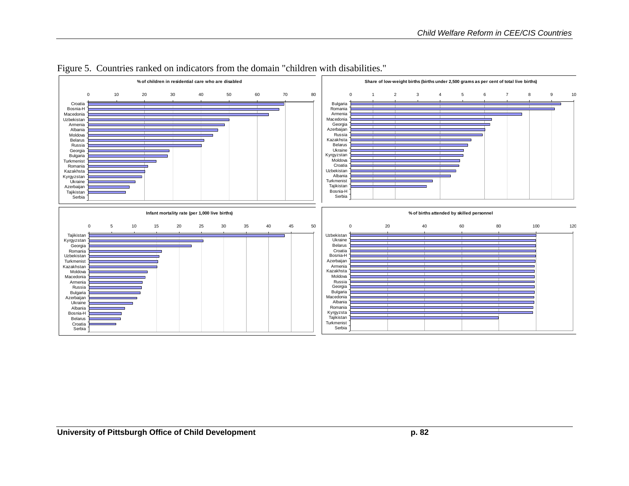

#### Figure 5. Countries ranked on indicators from the domain "children with disabilities."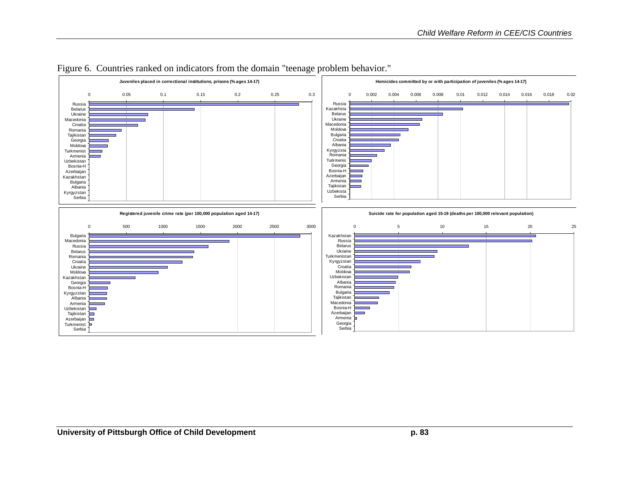

#### Figure 6. Countries ranked on indicators from the domain "teenage problem behavior."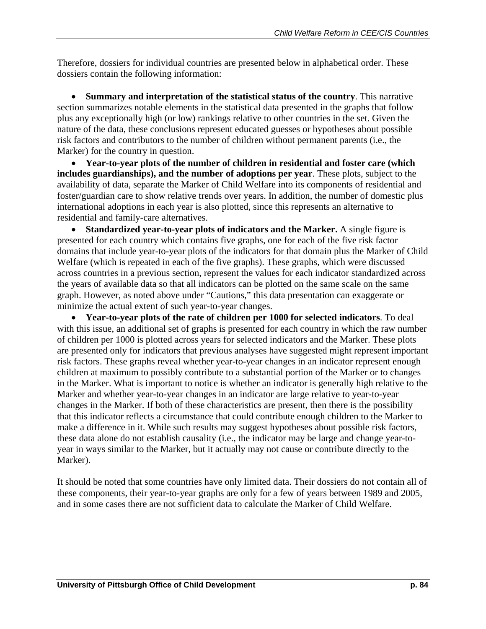Therefore, dossiers for individual countries are presented below in alphabetical order. These dossiers contain the following information:

• **Summary and interpretation of the statistical status of the country**. This narrative section summarizes notable elements in the statistical data presented in the graphs that follow plus any exceptionally high (or low) rankings relative to other countries in the set. Given the nature of the data, these conclusions represent educated guesses or hypotheses about possible risk factors and contributors to the number of children without permanent parents (i.e., the Marker) for the country in question.

• **Year-to-year plots of the number of children in residential and foster care (which includes guardianships), and the number of adoptions per year**. These plots, subject to the availability of data, separate the Marker of Child Welfare into its components of residential and foster/guardian care to show relative trends over years. In addition, the number of domestic plus international adoptions in each year is also plotted, since this represents an alternative to residential and family-care alternatives.

• **Standardized year-to-year plots of indicators and the Marker.** A single figure is presented for each country which contains five graphs, one for each of the five risk factor domains that include year-to-year plots of the indicators for that domain plus the Marker of Child Welfare (which is repeated in each of the five graphs). These graphs, which were discussed across countries in a previous section, represent the values for each indicator standardized across the years of available data so that all indicators can be plotted on the same scale on the same graph. However, as noted above under "Cautions," this data presentation can exaggerate or minimize the actual extent of such year-to-year changes.

• **Year-to-year plots of the rate of children per 1000 for selected indicators**. To deal with this issue, an additional set of graphs is presented for each country in which the raw number of children per 1000 is plotted across years for selected indicators and the Marker. These plots are presented only for indicators that previous analyses have suggested might represent important risk factors. These graphs reveal whether year-to-year changes in an indicator represent enough children at maximum to possibly contribute to a substantial portion of the Marker or to changes in the Marker. What is important to notice is whether an indicator is generally high relative to the Marker and whether year-to-year changes in an indicator are large relative to year-to-year changes in the Marker. If both of these characteristics are present, then there is the possibility that this indicator reflects a circumstance that could contribute enough children to the Marker to make a difference in it. While such results may suggest hypotheses about possible risk factors, these data alone do not establish causality (i.e., the indicator may be large and change year-toyear in ways similar to the Marker, but it actually may not cause or contribute directly to the Marker).

It should be noted that some countries have only limited data. Their dossiers do not contain all of these components, their year-to-year graphs are only for a few of years between 1989 and 2005, and in some cases there are not sufficient data to calculate the Marker of Child Welfare.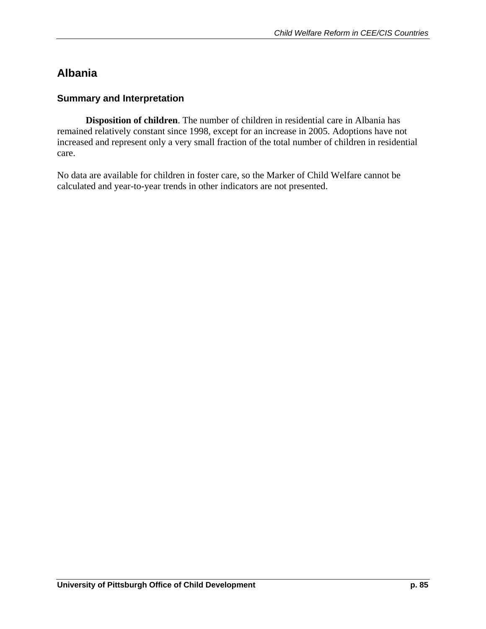# **Albania**

## **Summary and Interpretation**

**Disposition of children**. The number of children in residential care in Albania has remained relatively constant since 1998, except for an increase in 2005. Adoptions have not increased and represent only a very small fraction of the total number of children in residential care.

No data are available for children in foster care, so the Marker of Child Welfare cannot be calculated and year-to-year trends in other indicators are not presented.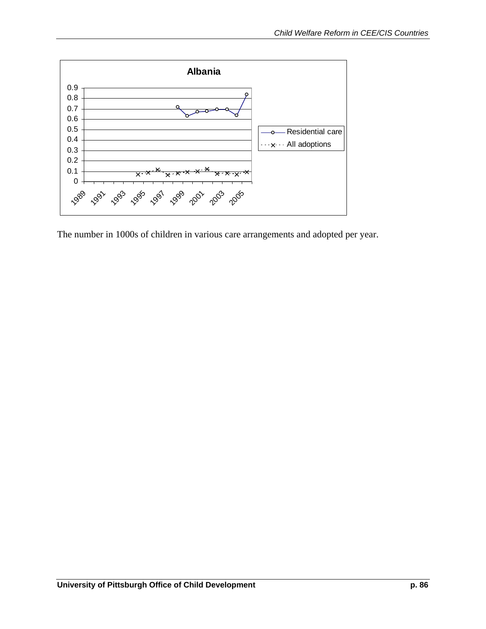

The number in 1000s of children in various care arrangements and adopted per year.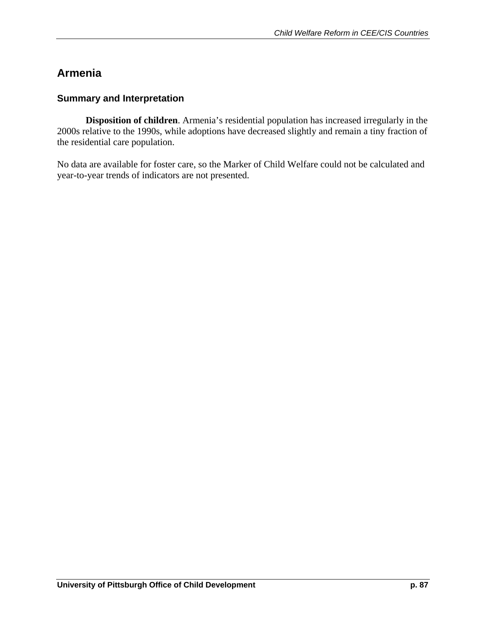# **Armenia**

### **Summary and Interpretation**

**Disposition of children**. Armenia's residential population has increased irregularly in the 2000s relative to the 1990s, while adoptions have decreased slightly and remain a tiny fraction of the residential care population.

No data are available for foster care, so the Marker of Child Welfare could not be calculated and year-to-year trends of indicators are not presented.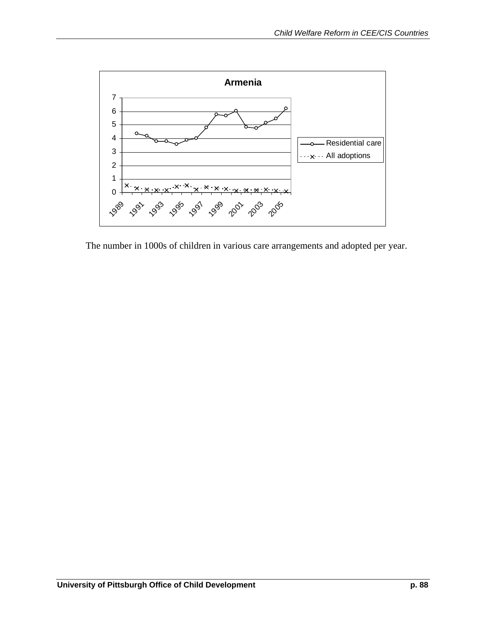

The number in 1000s of children in various care arrangements and adopted per year.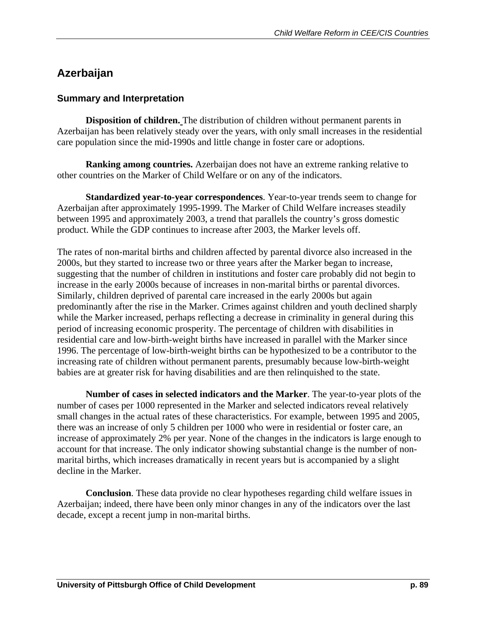# **Azerbaijan**

### **Summary and Interpretation**

 **Disposition of children.** The distribution of children without permanent parents in Azerbaijan has been relatively steady over the years, with only small increases in the residential care population since the mid-1990s and little change in foster care or adoptions.

 **Ranking among countries.** Azerbaijan does not have an extreme ranking relative to other countries on the Marker of Child Welfare or on any of the indicators.

**Standardized year-to-year correspondences**. Year-to-year trends seem to change for Azerbaijan after approximately 1995-1999. The Marker of Child Welfare increases steadily between 1995 and approximately 2003, a trend that parallels the country's gross domestic product. While the GDP continues to increase after 2003, the Marker levels off.

The rates of non-marital births and children affected by parental divorce also increased in the 2000s, but they started to increase two or three years after the Marker began to increase, suggesting that the number of children in institutions and foster care probably did not begin to increase in the early 2000s because of increases in non-marital births or parental divorces. Similarly, children deprived of parental care increased in the early 2000s but again predominantly after the rise in the Marker. Crimes against children and youth declined sharply while the Marker increased, perhaps reflecting a decrease in criminality in general during this period of increasing economic prosperity. The percentage of children with disabilities in residential care and low-birth-weight births have increased in parallel with the Marker since 1996. The percentage of low-birth-weight births can be hypothesized to be a contributor to the increasing rate of children without permanent parents, presumably because low-birth-weight babies are at greater risk for having disabilities and are then relinquished to the state.

**Number of cases in selected indicators and the Marker**. The year-to-year plots of the number of cases per 1000 represented in the Marker and selected indicators reveal relatively small changes in the actual rates of these characteristics. For example, between 1995 and 2005, there was an increase of only 5 children per 1000 who were in residential or foster care, an increase of approximately 2% per year. None of the changes in the indicators is large enough to account for that increase. The only indicator showing substantial change is the number of nonmarital births, which increases dramatically in recent years but is accompanied by a slight decline in the Marker.

**Conclusion**. These data provide no clear hypotheses regarding child welfare issues in Azerbaijan; indeed, there have been only minor changes in any of the indicators over the last decade, except a recent jump in non-marital births.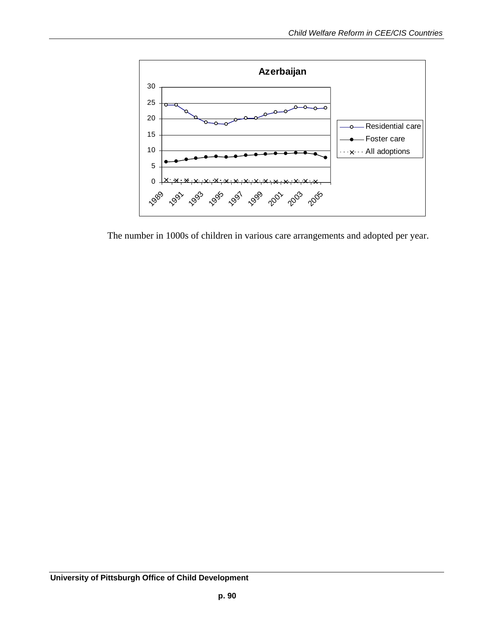

The number in 1000s of children in various care arrangements and adopted per year.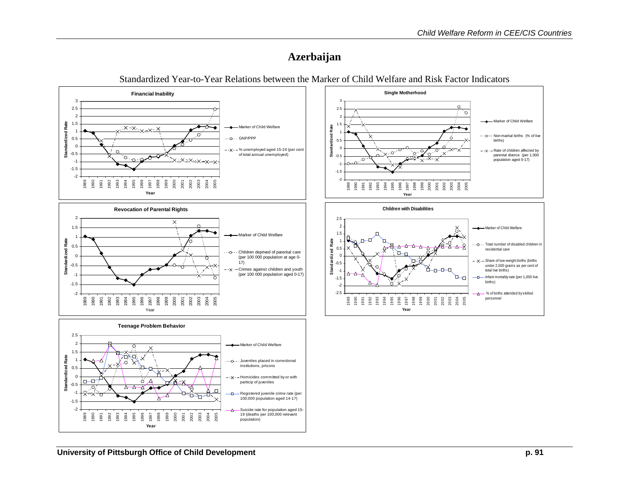# **Azerbaijan**



Standardized Year-to-Year Relations between the Marker of Child Welfare and Risk Factor Indicators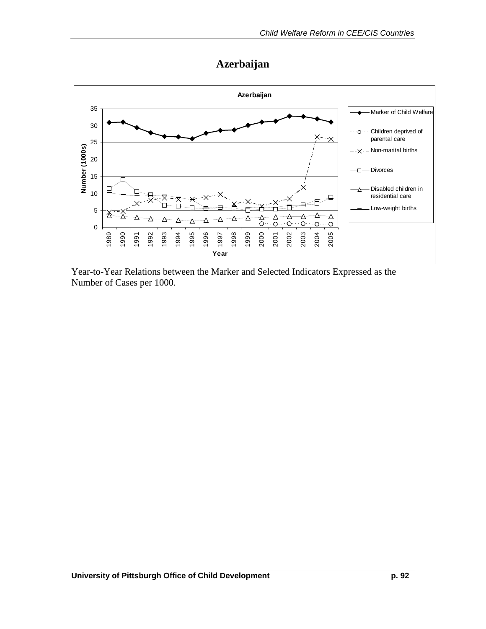# **Azerbaijan**



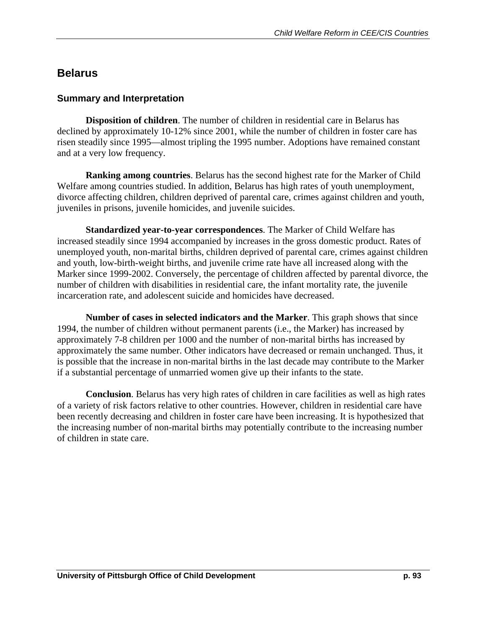# **Belarus**

## **Summary and Interpretation**

**Disposition of children**. The number of children in residential care in Belarus has declined by approximately 10-12% since 2001, while the number of children in foster care has risen steadily since 1995—almost tripling the 1995 number. Adoptions have remained constant and at a very low frequency.

**Ranking among countries**. Belarus has the second highest rate for the Marker of Child Welfare among countries studied. In addition, Belarus has high rates of youth unemployment, divorce affecting children, children deprived of parental care, crimes against children and youth, juveniles in prisons, juvenile homicides, and juvenile suicides.

**Standardized year-to-year correspondences**. The Marker of Child Welfare has increased steadily since 1994 accompanied by increases in the gross domestic product. Rates of unemployed youth, non-marital births, children deprived of parental care, crimes against children and youth, low-birth-weight births, and juvenile crime rate have all increased along with the Marker since 1999-2002. Conversely, the percentage of children affected by parental divorce, the number of children with disabilities in residential care, the infant mortality rate, the juvenile incarceration rate, and adolescent suicide and homicides have decreased.

**Number of cases in selected indicators and the Marker**. This graph shows that since 1994, the number of children without permanent parents (i.e., the Marker) has increased by approximately 7-8 children per 1000 and the number of non-marital births has increased by approximately the same number. Other indicators have decreased or remain unchanged. Thus, it is possible that the increase in non-marital births in the last decade may contribute to the Marker if a substantial percentage of unmarried women give up their infants to the state.

**Conclusion**. Belarus has very high rates of children in care facilities as well as high rates of a variety of risk factors relative to other countries. However, children in residential care have been recently decreasing and children in foster care have been increasing. It is hypothesized that the increasing number of non-marital births may potentially contribute to the increasing number of children in state care.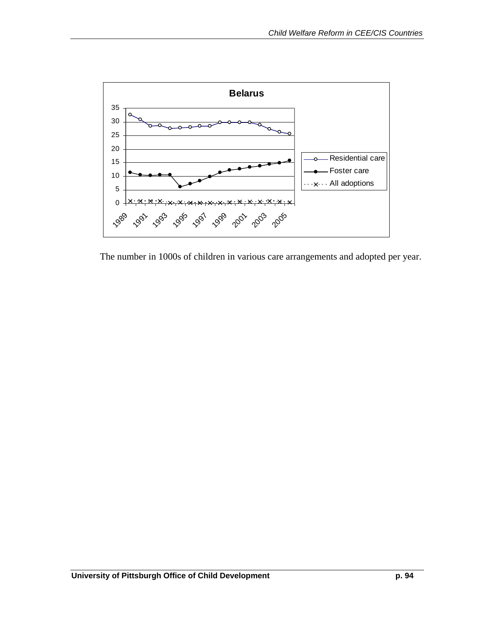

The number in 1000s of children in various care arrangements and adopted per year.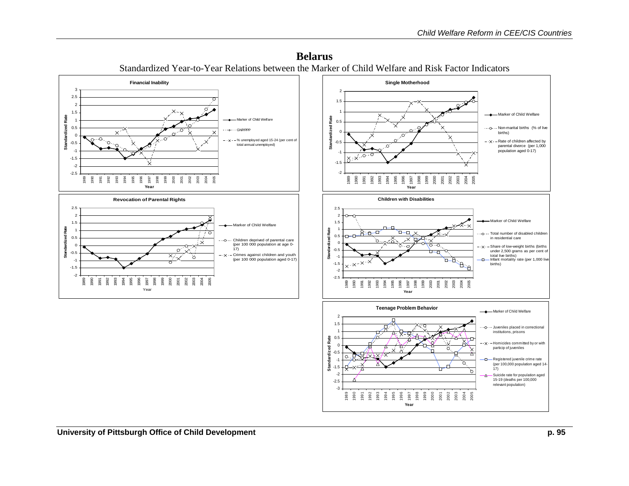

**Year**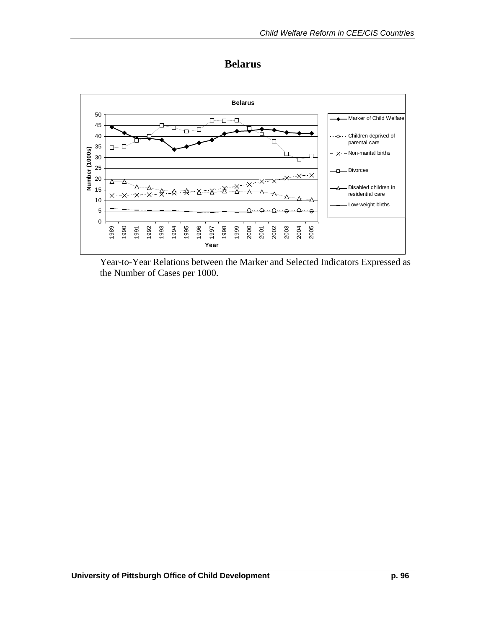

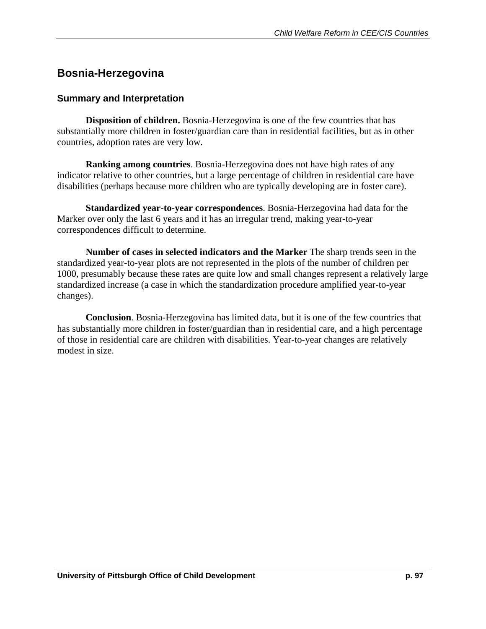## **Bosnia-Herzegovina**

#### **Summary and Interpretation**

 **Disposition of children.** Bosnia-Herzegovina is one of the few countries that has substantially more children in foster/guardian care than in residential facilities, but as in other countries, adoption rates are very low.

**Ranking among countries**. Bosnia-Herzegovina does not have high rates of any indicator relative to other countries, but a large percentage of children in residential care have disabilities (perhaps because more children who are typically developing are in foster care).

**Standardized year-to-year correspondences**. Bosnia-Herzegovina had data for the Marker over only the last 6 years and it has an irregular trend, making year-to-year correspondences difficult to determine.

**Number of cases in selected indicators and the Marker** The sharp trends seen in the standardized year-to-year plots are not represented in the plots of the number of children per 1000, presumably because these rates are quite low and small changes represent a relatively large standardized increase (a case in which the standardization procedure amplified year-to-year changes).

**Conclusion**. Bosnia-Herzegovina has limited data, but it is one of the few countries that has substantially more children in foster/guardian than in residential care, and a high percentage of those in residential care are children with disabilities. Year-to-year changes are relatively modest in size.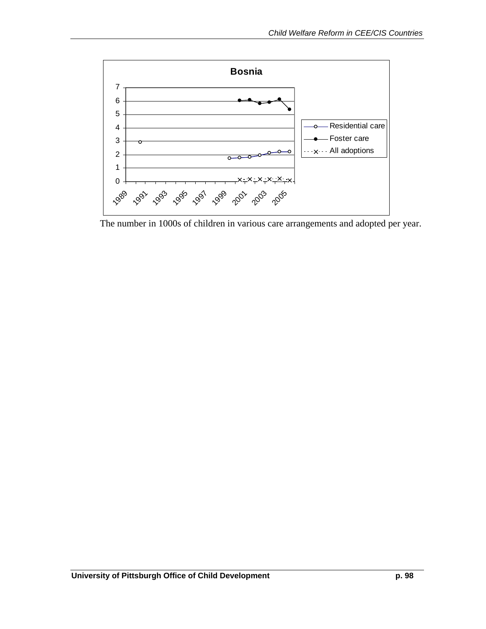

The number in 1000s of children in various care arrangements and adopted per year.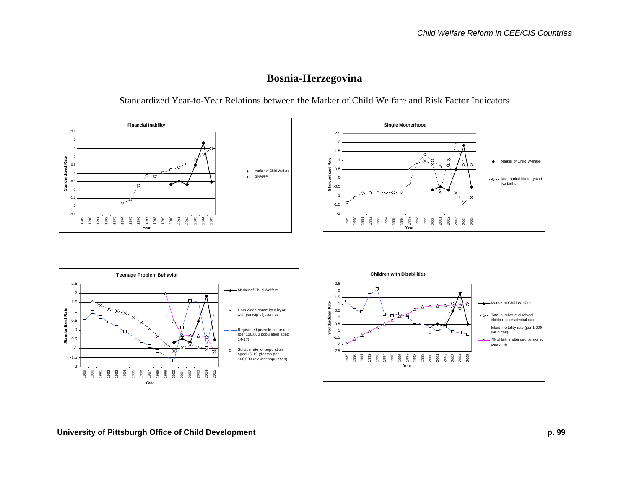

### **Bosnia-Herzegovina**



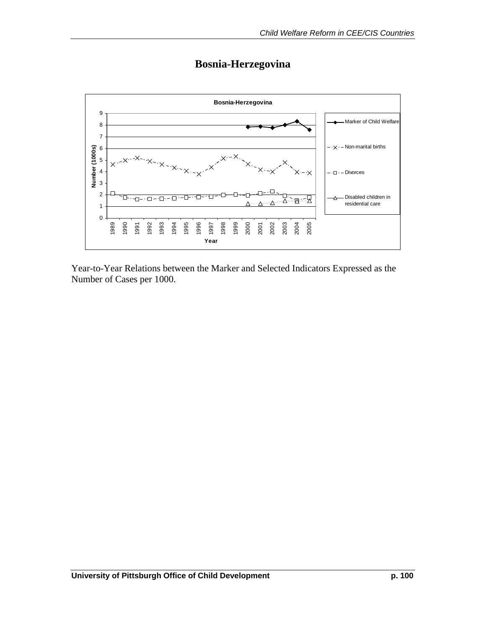

# **Bosnia-Herzegovina**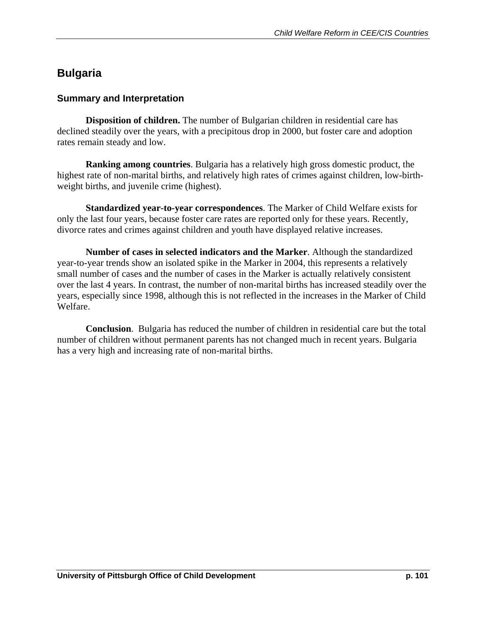# **Bulgaria**

### **Summary and Interpretation**

 **Disposition of children.** The number of Bulgarian children in residential care has declined steadily over the years, with a precipitous drop in 2000, but foster care and adoption rates remain steady and low.

**Ranking among countries**. Bulgaria has a relatively high gross domestic product, the highest rate of non-marital births, and relatively high rates of crimes against children, low-birthweight births, and juvenile crime (highest).

**Standardized year-to-year correspondences**. The Marker of Child Welfare exists for only the last four years, because foster care rates are reported only for these years. Recently, divorce rates and crimes against children and youth have displayed relative increases.

**Number of cases in selected indicators and the Marker**. Although the standardized year-to-year trends show an isolated spike in the Marker in 2004, this represents a relatively small number of cases and the number of cases in the Marker is actually relatively consistent over the last 4 years. In contrast, the number of non-marital births has increased steadily over the years, especially since 1998, although this is not reflected in the increases in the Marker of Child Welfare.

**Conclusion**. Bulgaria has reduced the number of children in residential care but the total number of children without permanent parents has not changed much in recent years. Bulgaria has a very high and increasing rate of non-marital births.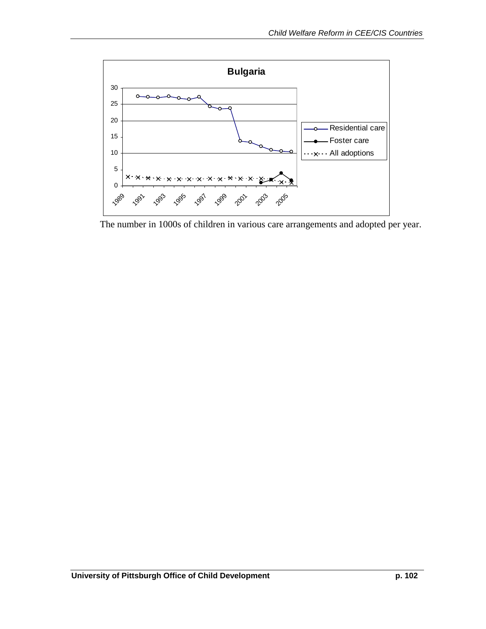

The number in 1000s of children in various care arrangements and adopted per year.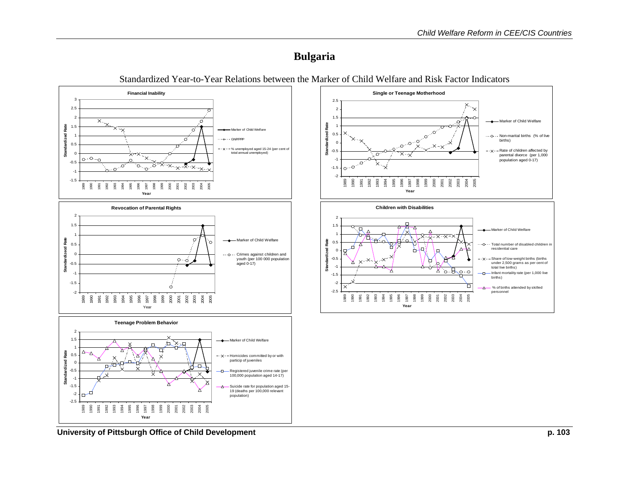### **Bulgaria**



Standardized Year-to-Year Relations between the Marker of Child Welfare and Risk Factor Indicators

**University of Pittsburgh Office of Child Development p. 103**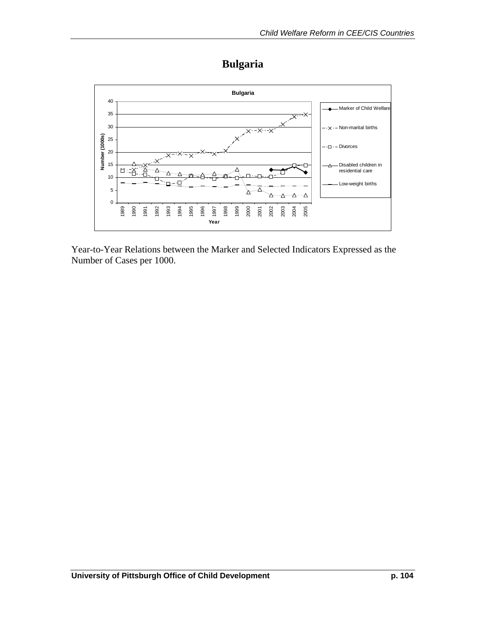# **Bulgaria**

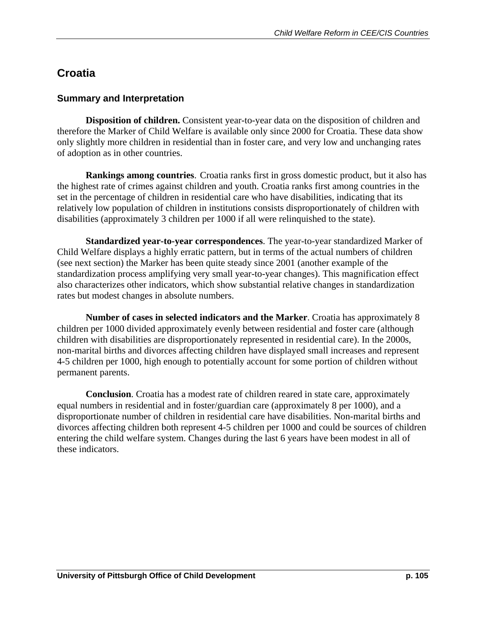## **Croatia**

### **Summary and Interpretation**

 **Disposition of children.** Consistent year-to-year data on the disposition of children and therefore the Marker of Child Welfare is available only since 2000 for Croatia. These data show only slightly more children in residential than in foster care, and very low and unchanging rates of adoption as in other countries.

**Rankings among countries**. Croatia ranks first in gross domestic product, but it also has the highest rate of crimes against children and youth. Croatia ranks first among countries in the set in the percentage of children in residential care who have disabilities, indicating that its relatively low population of children in institutions consists disproportionately of children with disabilities (approximately 3 children per 1000 if all were relinquished to the state).

**Standardized year-to-year correspondences**. The year-to-year standardized Marker of Child Welfare displays a highly erratic pattern, but in terms of the actual numbers of children (see next section) the Marker has been quite steady since 2001 (another example of the standardization process amplifying very small year-to-year changes). This magnification effect also characterizes other indicators, which show substantial relative changes in standardization rates but modest changes in absolute numbers.

**Number of cases in selected indicators and the Marker**. Croatia has approximately 8 children per 1000 divided approximately evenly between residential and foster care (although children with disabilities are disproportionately represented in residential care). In the 2000s, non-marital births and divorces affecting children have displayed small increases and represent 4-5 children per 1000, high enough to potentially account for some portion of children without permanent parents.

**Conclusion**. Croatia has a modest rate of children reared in state care, approximately equal numbers in residential and in foster/guardian care (approximately 8 per 1000), and a disproportionate number of children in residential care have disabilities. Non-marital births and divorces affecting children both represent 4-5 children per 1000 and could be sources of children entering the child welfare system. Changes during the last 6 years have been modest in all of these indicators.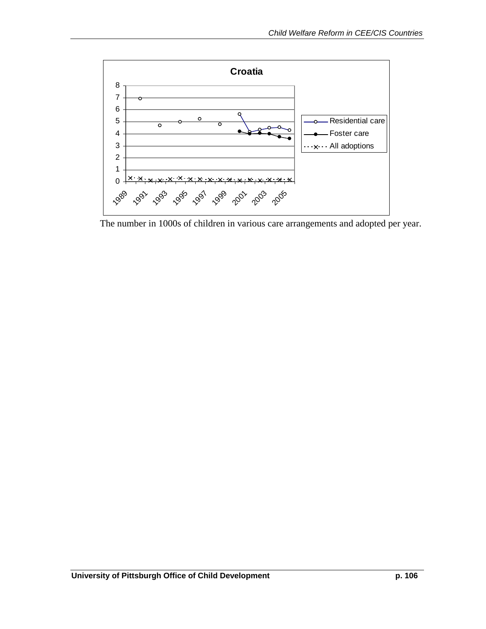

The number in 1000s of children in various care arrangements and adopted per year.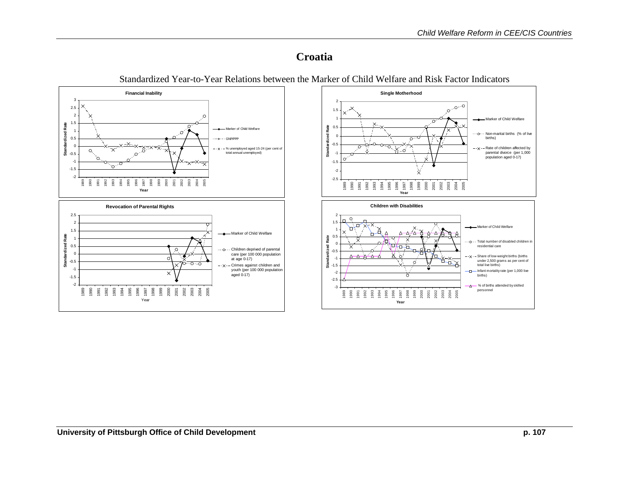### **Croatia**

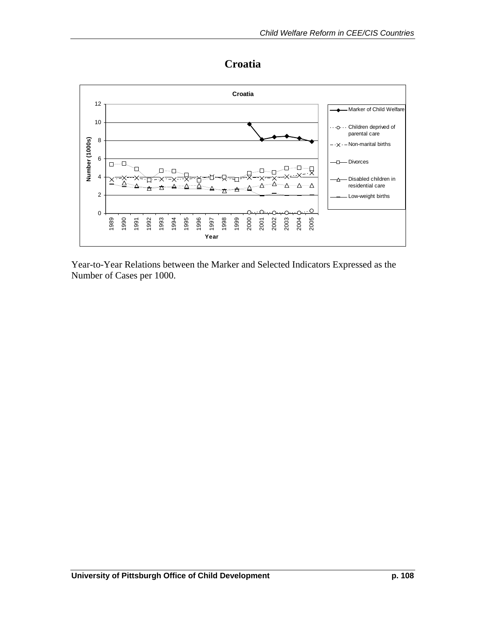

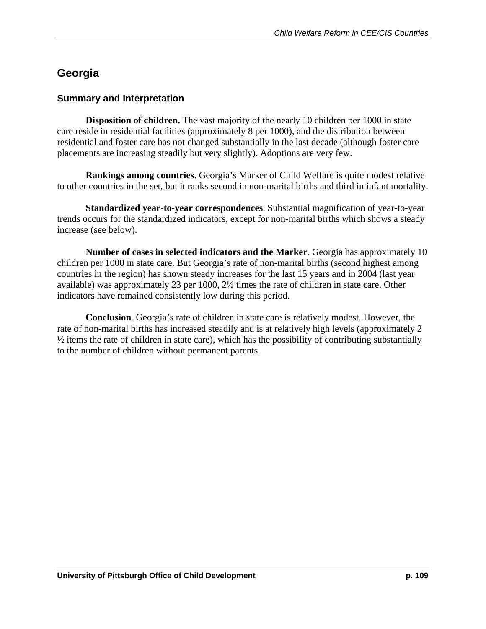## **Georgia**

#### **Summary and Interpretation**

**Disposition of children.** The vast majority of the nearly 10 children per 1000 in state care reside in residential facilities (approximately 8 per 1000), and the distribution between residential and foster care has not changed substantially in the last decade (although foster care placements are increasing steadily but very slightly). Adoptions are very few.

 **Rankings among countries**. Georgia's Marker of Child Welfare is quite modest relative to other countries in the set, but it ranks second in non-marital births and third in infant mortality.

**Standardized year-to-year correspondences**. Substantial magnification of year-to-year trends occurs for the standardized indicators, except for non-marital births which shows a steady increase (see below).

**Number of cases in selected indicators and the Marker**. Georgia has approximately 10 children per 1000 in state care. But Georgia's rate of non-marital births (second highest among countries in the region) has shown steady increases for the last 15 years and in 2004 (last year available) was approximately 23 per 1000, 2½ times the rate of children in state care. Other indicators have remained consistently low during this period.

**Conclusion**. Georgia's rate of children in state care is relatively modest. However, the rate of non-marital births has increased steadily and is at relatively high levels (approximately 2 ½ items the rate of children in state care), which has the possibility of contributing substantially to the number of children without permanent parents.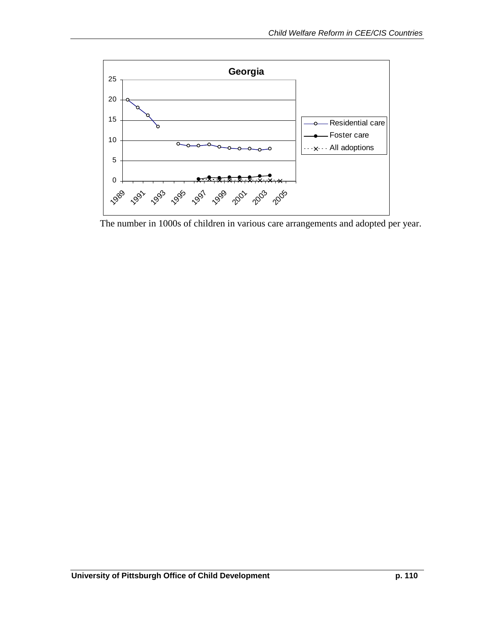

The number in 1000s of children in various care arrangements and adopted per year.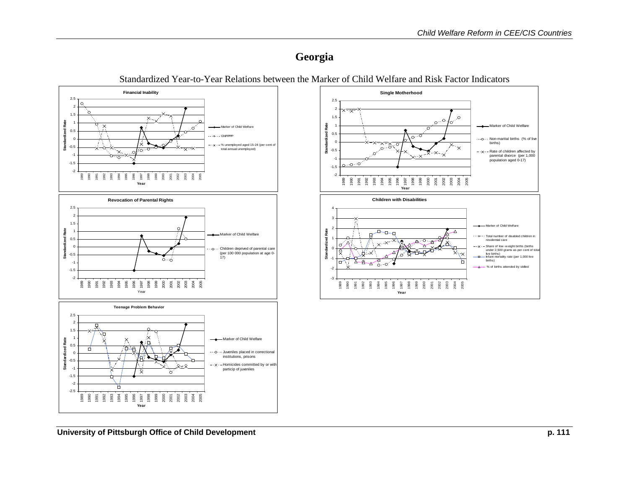### **Georgia**

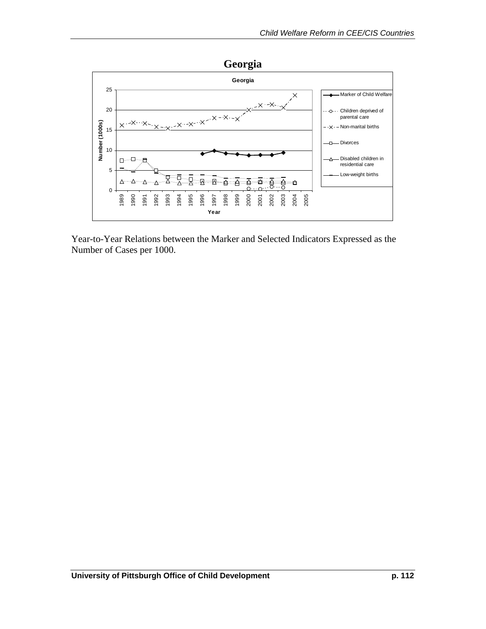

Year-to-Year Relations between the Marker and Selected Indicators Expressed as the Number of Cases per 1000.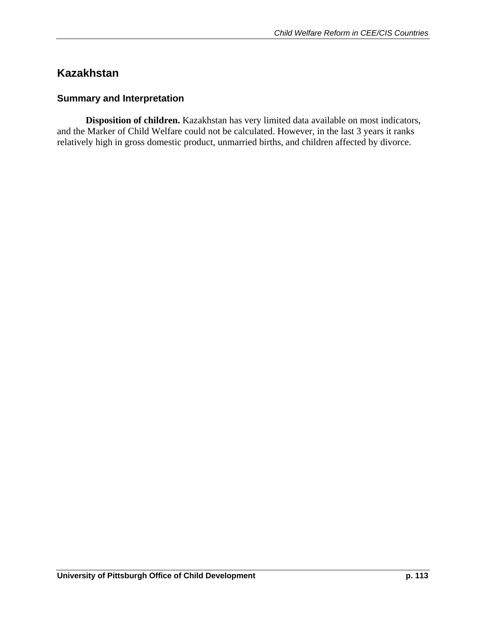## **Kazakhstan**

#### **Summary and Interpretation**

 **Disposition of children.** Kazakhstan has very limited data available on most indicators, and the Marker of Child Welfare could not be calculated. However, in the last 3 years it ranks relatively high in gross domestic product, unmarried births, and children affected by divorce.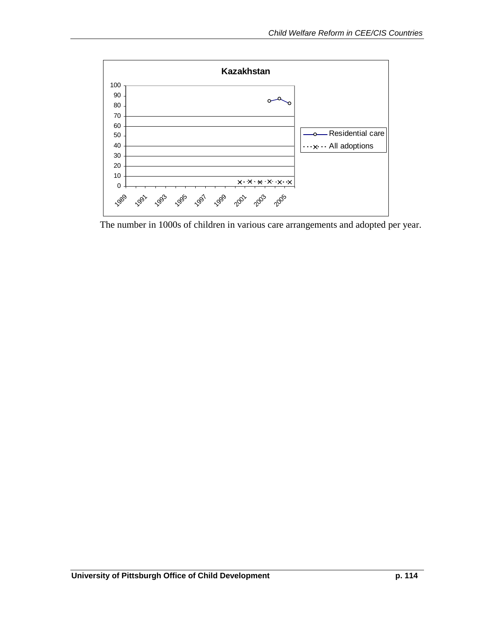

The number in 1000s of children in various care arrangements and adopted per year.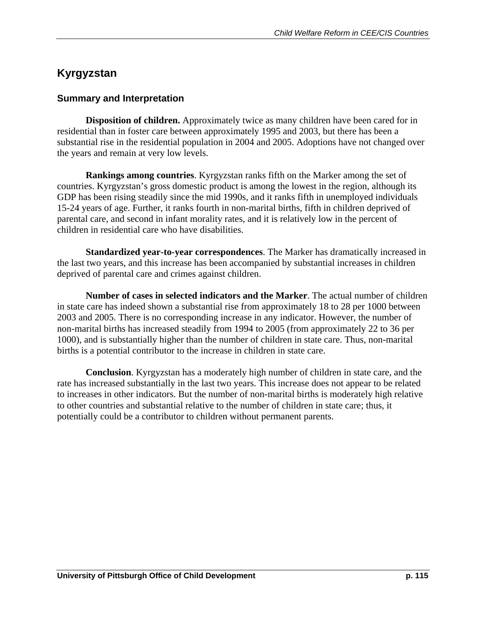## **Kyrgyzstan**

#### **Summary and Interpretation**

 **Disposition of children.** Approximately twice as many children have been cared for in residential than in foster care between approximately 1995 and 2003, but there has been a substantial rise in the residential population in 2004 and 2005. Adoptions have not changed over the years and remain at very low levels.

**Rankings among countries**. Kyrgyzstan ranks fifth on the Marker among the set of countries. Kyrgyzstan's gross domestic product is among the lowest in the region, although its GDP has been rising steadily since the mid 1990s, and it ranks fifth in unemployed individuals 15-24 years of age. Further, it ranks fourth in non-marital births, fifth in children deprived of parental care, and second in infant morality rates, and it is relatively low in the percent of children in residential care who have disabilities.

**Standardized year-to-year correspondences**. The Marker has dramatically increased in the last two years, and this increase has been accompanied by substantial increases in children deprived of parental care and crimes against children.

**Number of cases in selected indicators and the Marker**. The actual number of children in state care has indeed shown a substantial rise from approximately 18 to 28 per 1000 between 2003 and 2005. There is no corresponding increase in any indicator. However, the number of non-marital births has increased steadily from 1994 to 2005 (from approximately 22 to 36 per 1000), and is substantially higher than the number of children in state care. Thus, non-marital births is a potential contributor to the increase in children in state care.

 **Conclusion**. Kyrgyzstan has a moderately high number of children in state care, and the rate has increased substantially in the last two years. This increase does not appear to be related to increases in other indicators. But the number of non-marital births is moderately high relative to other countries and substantial relative to the number of children in state care; thus, it potentially could be a contributor to children without permanent parents.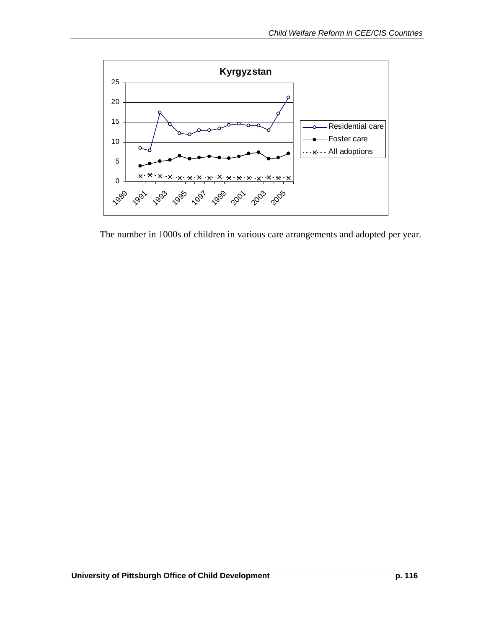

The number in 1000s of children in various care arrangements and adopted per year.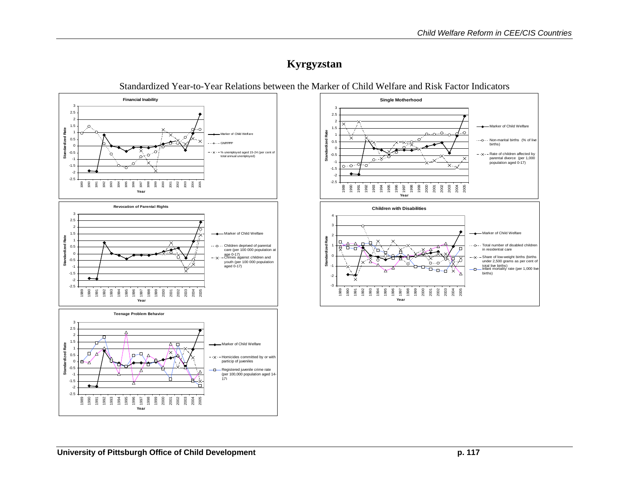## **Kyrgyzstan**

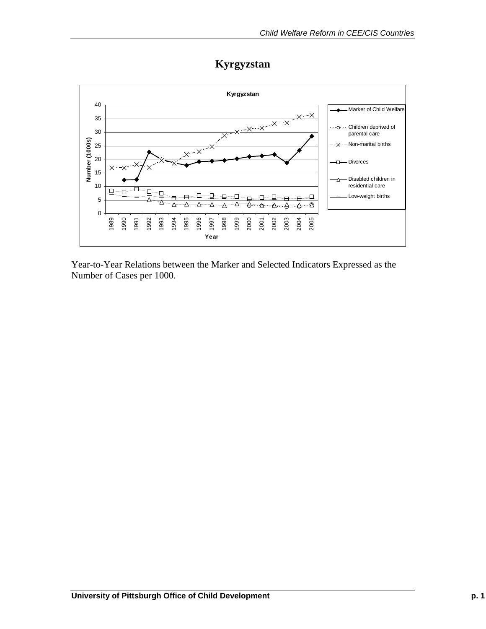# **Kyrgyzstan**

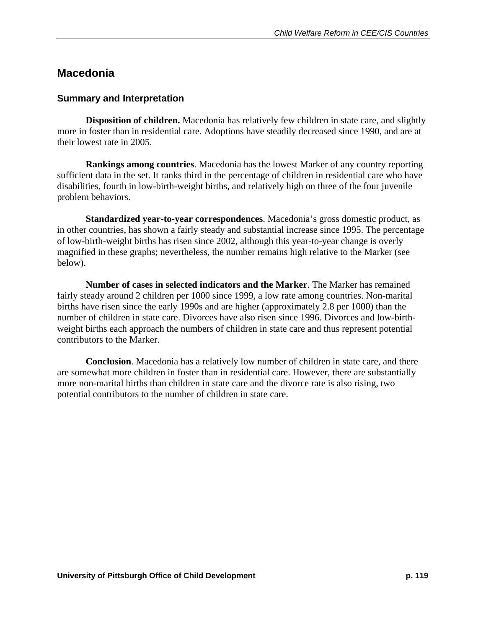### **Macedonia**

#### **Summary and Interpretation**

**Disposition of children.** Macedonia has relatively few children in state care, and slightly more in foster than in residential care. Adoptions have steadily decreased since 1990, and are at their lowest rate in 2005.

**Rankings among countries**. Macedonia has the lowest Marker of any country reporting sufficient data in the set. It ranks third in the percentage of children in residential care who have disabilities, fourth in low-birth-weight births, and relatively high on three of the four juvenile problem behaviors.

**Standardized year-to-year correspondences**. Macedonia's gross domestic product, as in other countries, has shown a fairly steady and substantial increase since 1995. The percentage of low-birth-weight births has risen since 2002, although this year-to-year change is overly magnified in these graphs; nevertheless, the number remains high relative to the Marker (see below).

**Number of cases in selected indicators and the Marker**. The Marker has remained fairly steady around 2 children per 1000 since 1999, a low rate among countries. Non-marital births have risen since the early 1990s and are higher (approximately 2.8 per 1000) than the number of children in state care. Divorces have also risen since 1996. Divorces and low-birthweight births each approach the numbers of children in state care and thus represent potential contributors to the Marker.

**Conclusion**. Macedonia has a relatively low number of children in state care, and there are somewhat more children in foster than in residential care. However, there are substantially more non-marital births than children in state care and the divorce rate is also rising, two potential contributors to the number of children in state care.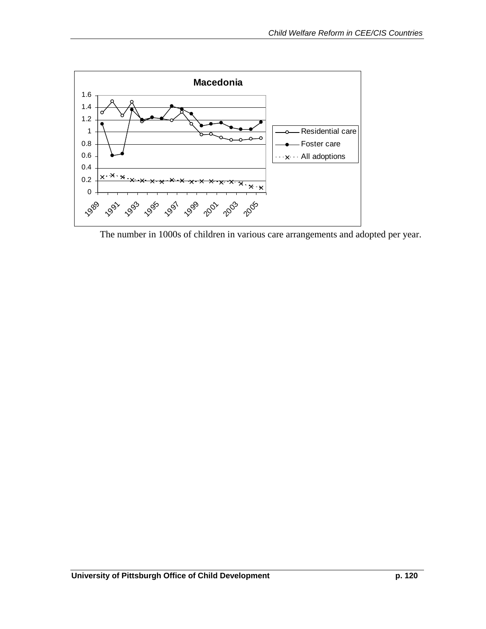

The number in 1000s of children in various care arrangements and adopted per year.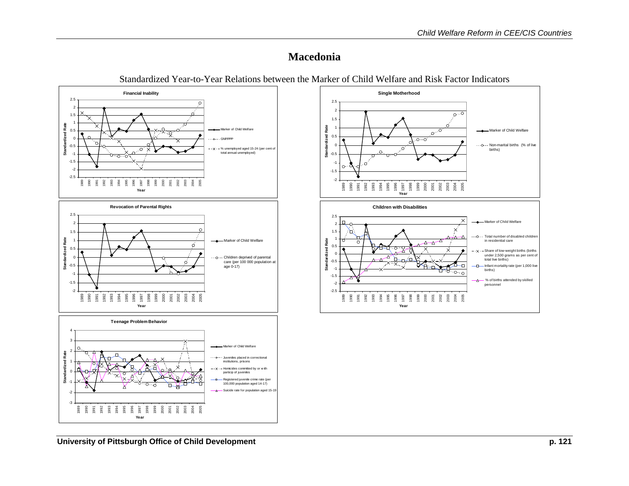### **Macedonia**

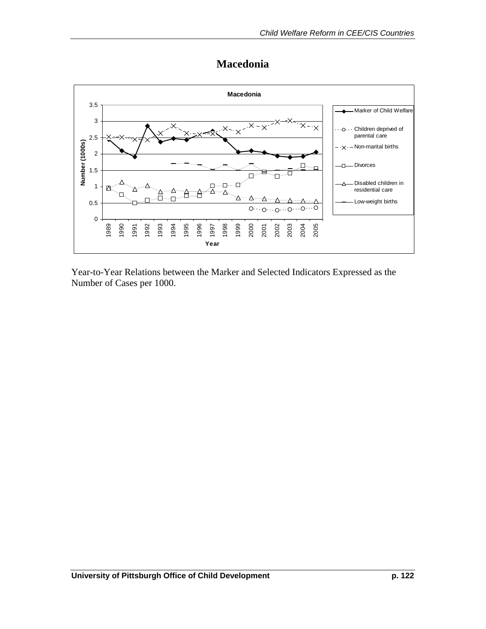### **Macedonia**

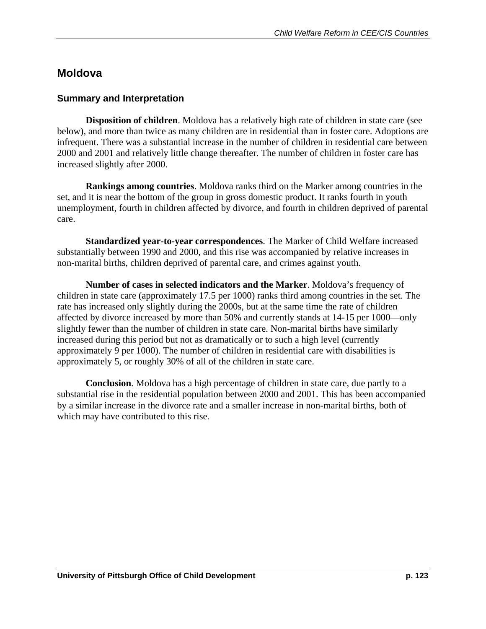### **Moldova**

#### **Summary and Interpretation**

 **Disposition of children**. Moldova has a relatively high rate of children in state care (see below), and more than twice as many children are in residential than in foster care. Adoptions are infrequent. There was a substantial increase in the number of children in residential care between 2000 and 2001 and relatively little change thereafter. The number of children in foster care has increased slightly after 2000.

**Rankings among countries**. Moldova ranks third on the Marker among countries in the set, and it is near the bottom of the group in gross domestic product. It ranks fourth in youth unemployment, fourth in children affected by divorce, and fourth in children deprived of parental care.

**Standardized year-to-year correspondences**. The Marker of Child Welfare increased substantially between 1990 and 2000, and this rise was accompanied by relative increases in non-marital births, children deprived of parental care, and crimes against youth.

 **Number of cases in selected indicators and the Marker**. Moldova's frequency of children in state care (approximately 17.5 per 1000) ranks third among countries in the set. The rate has increased only slightly during the 2000s, but at the same time the rate of children affected by divorce increased by more than 50% and currently stands at 14-15 per 1000—only slightly fewer than the number of children in state care. Non-marital births have similarly increased during this period but not as dramatically or to such a high level (currently approximately 9 per 1000). The number of children in residential care with disabilities is approximately 5, or roughly 30% of all of the children in state care.

**Conclusion**. Moldova has a high percentage of children in state care, due partly to a substantial rise in the residential population between 2000 and 2001. This has been accompanied by a similar increase in the divorce rate and a smaller increase in non-marital births, both of which may have contributed to this rise.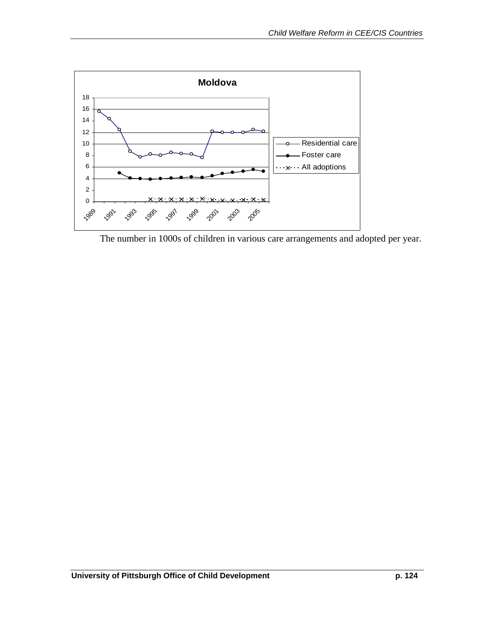

The number in 1000s of children in various care arrangements and adopted per year.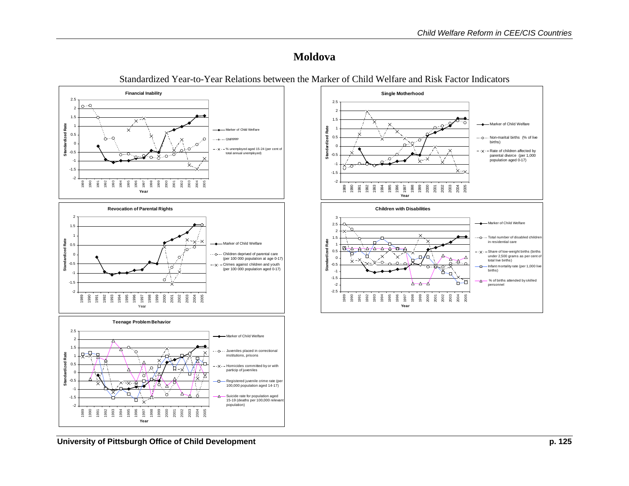#### **Moldova**

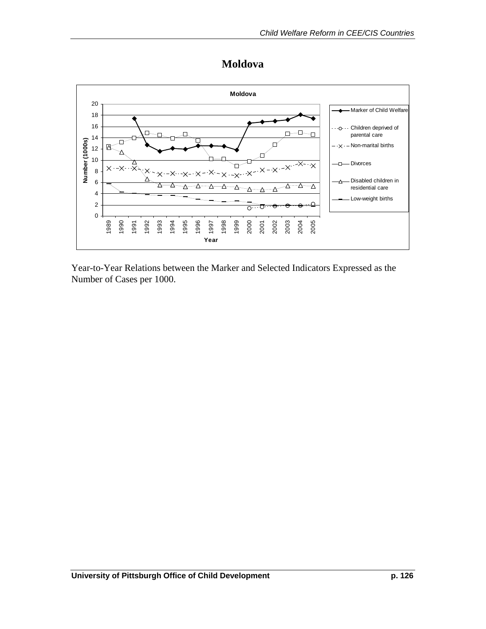

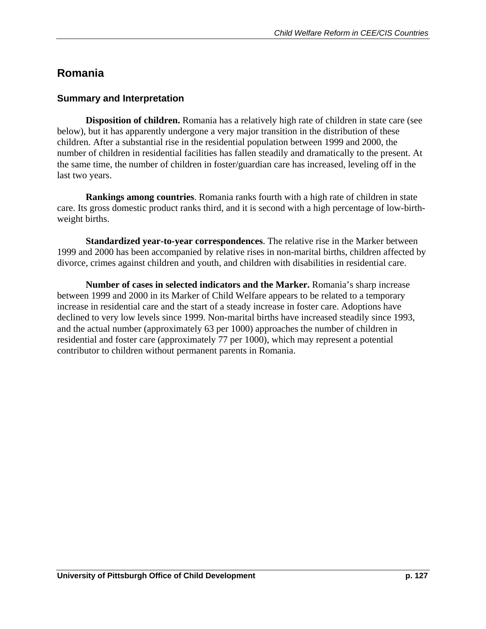## **Romania**

### **Summary and Interpretation**

 **Disposition of children.** Romania has a relatively high rate of children in state care (see below), but it has apparently undergone a very major transition in the distribution of these children. After a substantial rise in the residential population between 1999 and 2000, the number of children in residential facilities has fallen steadily and dramatically to the present. At the same time, the number of children in foster/guardian care has increased, leveling off in the last two years.

**Rankings among countries**. Romania ranks fourth with a high rate of children in state care. Its gross domestic product ranks third, and it is second with a high percentage of low-birthweight births.

 **Standardized year-to-year correspondences**. The relative rise in the Marker between 1999 and 2000 has been accompanied by relative rises in non-marital births, children affected by divorce, crimes against children and youth, and children with disabilities in residential care.

 **Number of cases in selected indicators and the Marker.** Romania's sharp increase between 1999 and 2000 in its Marker of Child Welfare appears to be related to a temporary increase in residential care and the start of a steady increase in foster care. Adoptions have declined to very low levels since 1999. Non-marital births have increased steadily since 1993, and the actual number (approximately 63 per 1000) approaches the number of children in residential and foster care (approximately 77 per 1000), which may represent a potential contributor to children without permanent parents in Romania.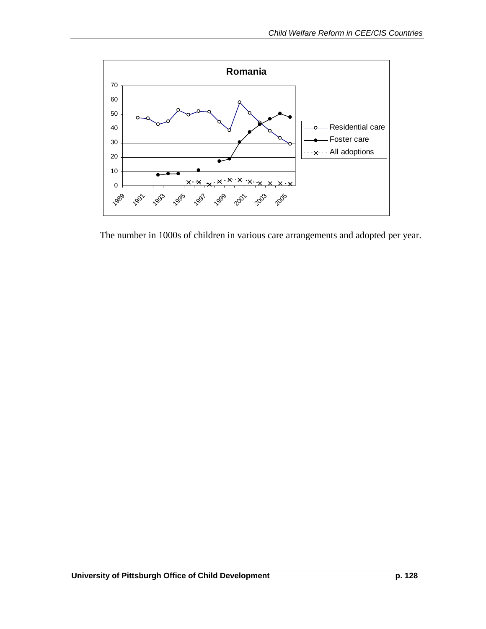

The number in 1000s of children in various care arrangements and adopted per year.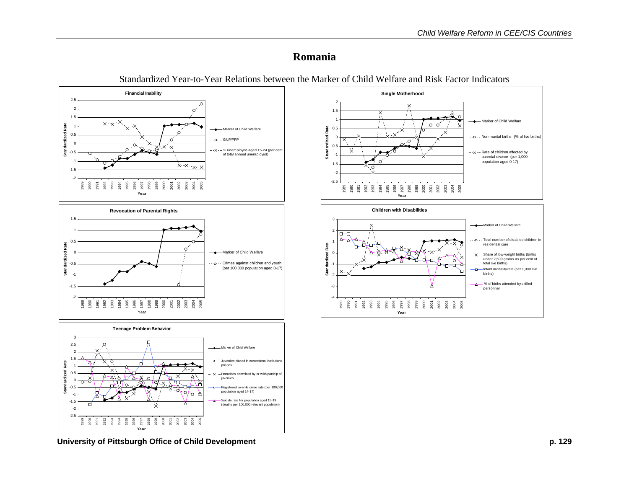#### **Romania**



Standardized Year-to-Year Relations between the Marker of Child Welfare and Risk Factor Indicators

University of Pittsburgh Office of Child Development **p. 129 p. 129**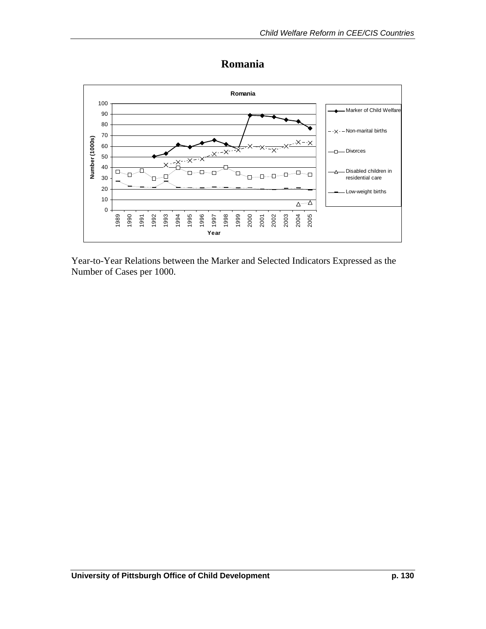### **Romania**

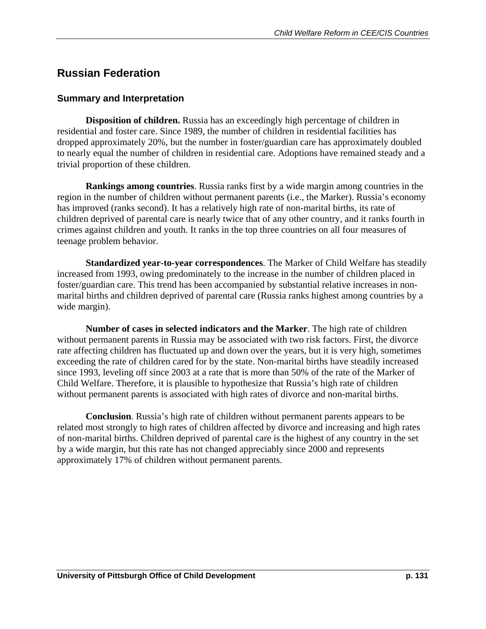## **Russian Federation**

#### **Summary and Interpretation**

 **Disposition of children.** Russia has an exceedingly high percentage of children in residential and foster care. Since 1989, the number of children in residential facilities has dropped approximately 20%, but the number in foster/guardian care has approximately doubled to nearly equal the number of children in residential care. Adoptions have remained steady and a trivial proportion of these children.

**Rankings among countries**. Russia ranks first by a wide margin among countries in the region in the number of children without permanent parents (i.e., the Marker). Russia's economy has improved (ranks second). It has a relatively high rate of non-marital births, its rate of children deprived of parental care is nearly twice that of any other country, and it ranks fourth in crimes against children and youth. It ranks in the top three countries on all four measures of teenage problem behavior.

**Standardized year-to-year correspondences**. The Marker of Child Welfare has steadily increased from 1993, owing predominately to the increase in the number of children placed in foster/guardian care. This trend has been accompanied by substantial relative increases in nonmarital births and children deprived of parental care (Russia ranks highest among countries by a wide margin).

**Number of cases in selected indicators and the Marker**. The high rate of children without permanent parents in Russia may be associated with two risk factors. First, the divorce rate affecting children has fluctuated up and down over the years, but it is very high, sometimes exceeding the rate of children cared for by the state. Non-marital births have steadily increased since 1993, leveling off since 2003 at a rate that is more than 50% of the rate of the Marker of Child Welfare. Therefore, it is plausible to hypothesize that Russia's high rate of children without permanent parents is associated with high rates of divorce and non-marital births.

**Conclusion**. Russia's high rate of children without permanent parents appears to be related most strongly to high rates of children affected by divorce and increasing and high rates of non-marital births. Children deprived of parental care is the highest of any country in the set by a wide margin, but this rate has not changed appreciably since 2000 and represents approximately 17% of children without permanent parents.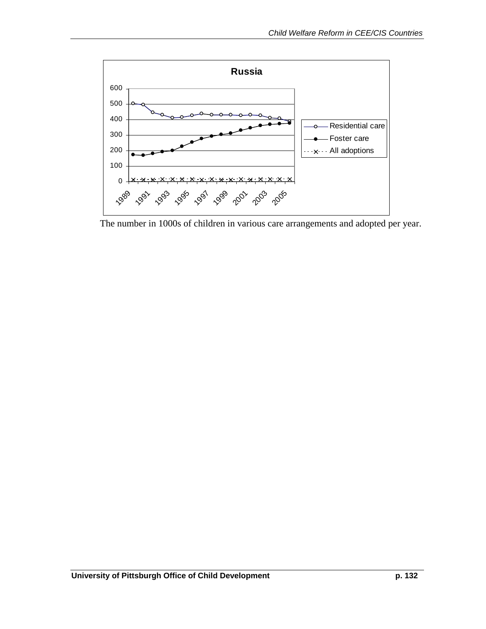

The number in 1000s of children in various care arrangements and adopted per year.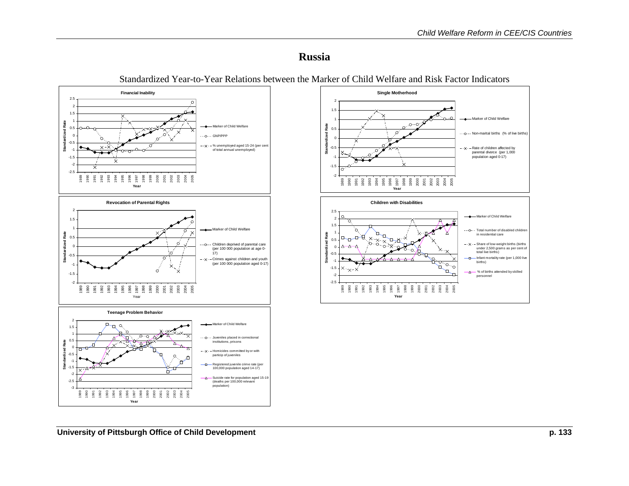- Marker of Child Welfare  $\cdot$   $\circ$   $\cdot$  Non-marital births (% of live births)  $\cdots$   $\vee$   $\cdots$  Rate of children affected by parental divorce (per 1,000 population aged 0-17)

#### **Russia**



Standardized Year-to-Year Relations between the Marker of Child Welfare and Risk Factor Indicators

-2 $-1$ . -1-0.5

 $\cap$ 

 $\Omega$ 11.52

**Standardized Rate**

Standa

Pate



**Single Motherhood**

 $\varphi$ 

 $0 \cdot 0$ 

ΪX.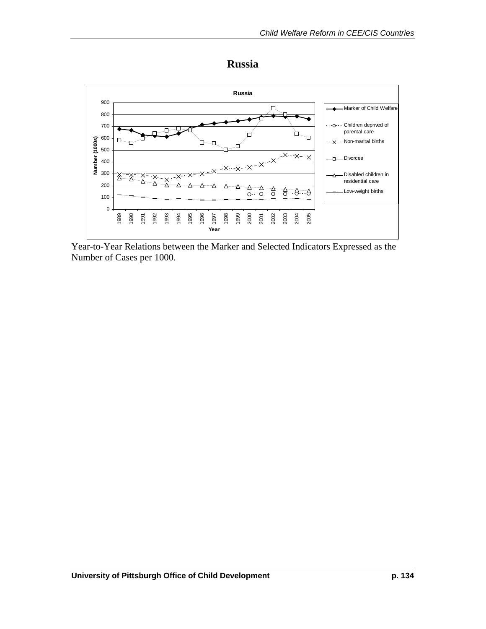

**Russia** 

Year-to-Year Relations between the Marker and Selected Indicators Expressed as the Number of Cases per 1000.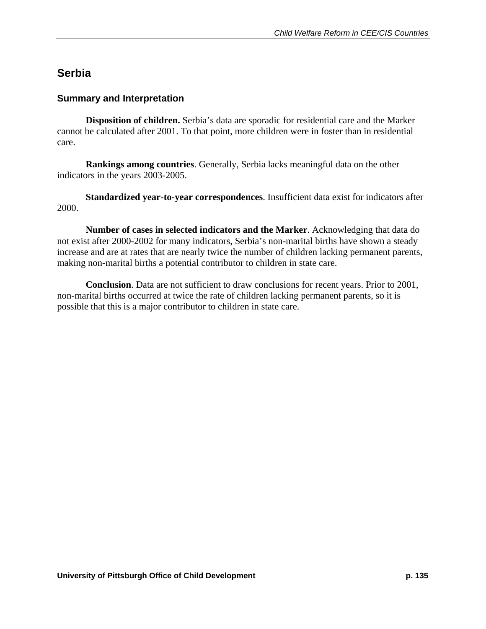### **Serbia**

#### **Summary and Interpretation**

 **Disposition of children.** Serbia's data are sporadic for residential care and the Marker cannot be calculated after 2001. To that point, more children were in foster than in residential care.

**Rankings among countries**. Generally, Serbia lacks meaningful data on the other indicators in the years 2003-2005.

**Standardized year-to-year correspondences**. Insufficient data exist for indicators after 2000.

**Number of cases in selected indicators and the Marker**. Acknowledging that data do not exist after 2000-2002 for many indicators, Serbia's non-marital births have shown a steady increase and are at rates that are nearly twice the number of children lacking permanent parents, making non-marital births a potential contributor to children in state care.

**Conclusion**. Data are not sufficient to draw conclusions for recent years. Prior to 2001, non-marital births occurred at twice the rate of children lacking permanent parents, so it is possible that this is a major contributor to children in state care.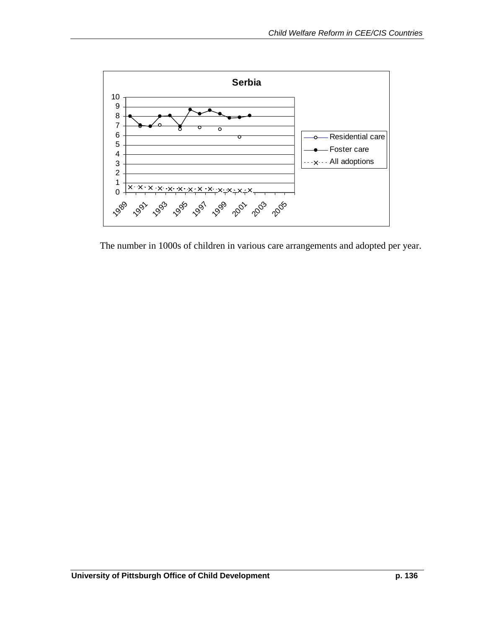

The number in 1000s of children in various care arrangements and adopted per year.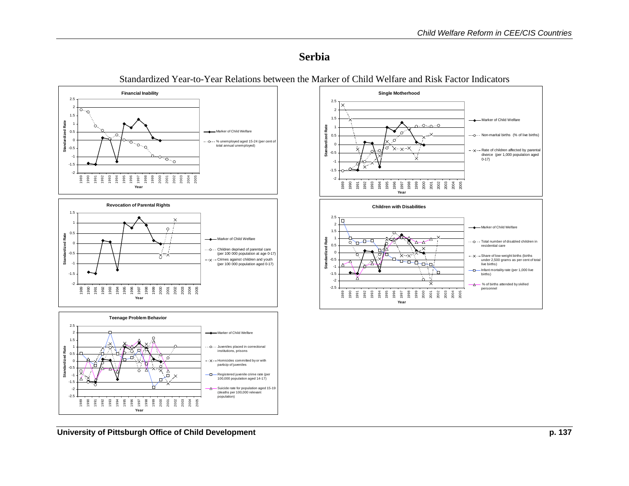#### **Serbia**



Standardized Year-to-Year Relations between the Marker of Child Welfare and Risk Factor Indicators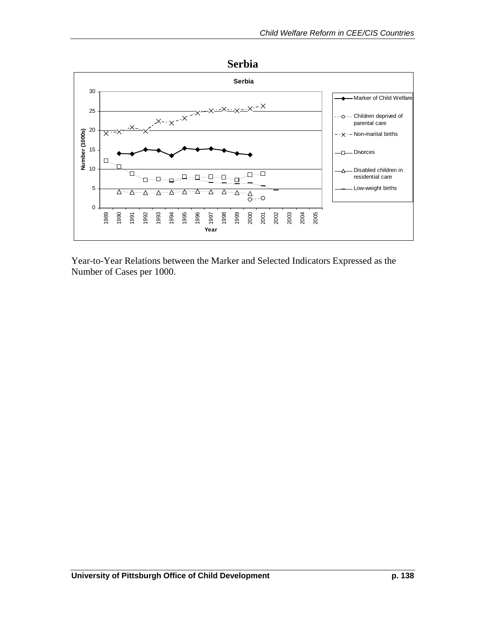

Year-to-Year Relations between the Marker and Selected Indicators Expressed as the Number of Cases per 1000.

**Serbia**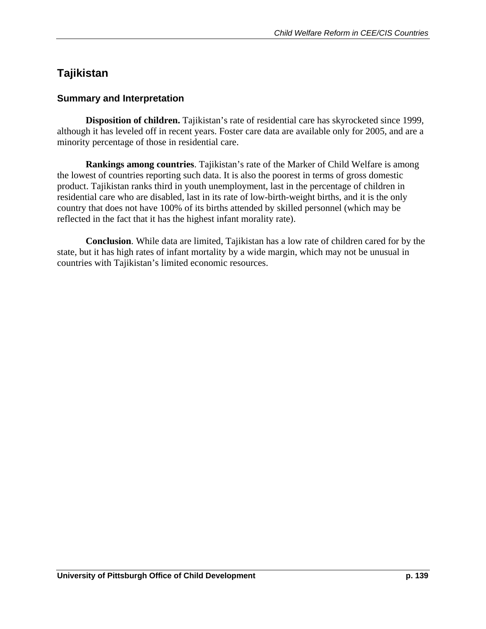# **Tajikistan**

#### **Summary and Interpretation**

 **Disposition of children.** Tajikistan's rate of residential care has skyrocketed since 1999, although it has leveled off in recent years. Foster care data are available only for 2005, and are a minority percentage of those in residential care.

**Rankings among countries**. Tajikistan's rate of the Marker of Child Welfare is among the lowest of countries reporting such data. It is also the poorest in terms of gross domestic product. Tajikistan ranks third in youth unemployment, last in the percentage of children in residential care who are disabled, last in its rate of low-birth-weight births, and it is the only country that does not have 100% of its births attended by skilled personnel (which may be reflected in the fact that it has the highest infant morality rate).

**Conclusion**. While data are limited, Tajikistan has a low rate of children cared for by the state, but it has high rates of infant mortality by a wide margin, which may not be unusual in countries with Tajikistan's limited economic resources.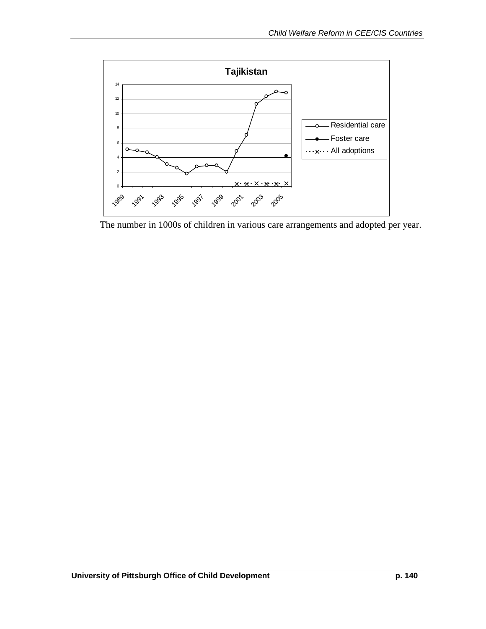

The number in 1000s of children in various care arrangements and adopted per year.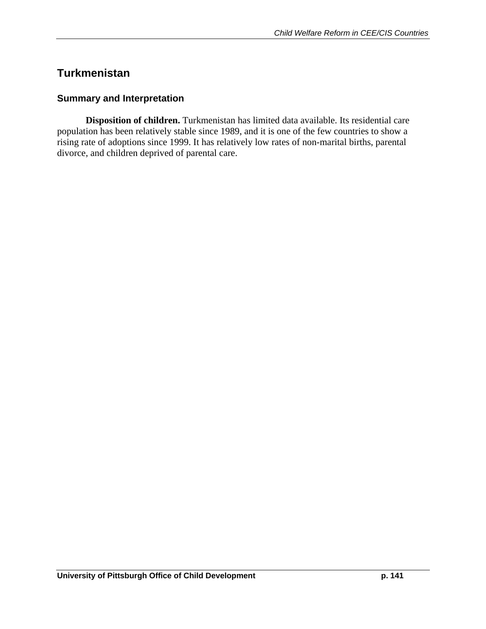### **Turkmenistan**

#### **Summary and Interpretation**

 **Disposition of children.** Turkmenistan has limited data available. Its residential care population has been relatively stable since 1989, and it is one of the few countries to show a rising rate of adoptions since 1999. It has relatively low rates of non-marital births, parental divorce, and children deprived of parental care.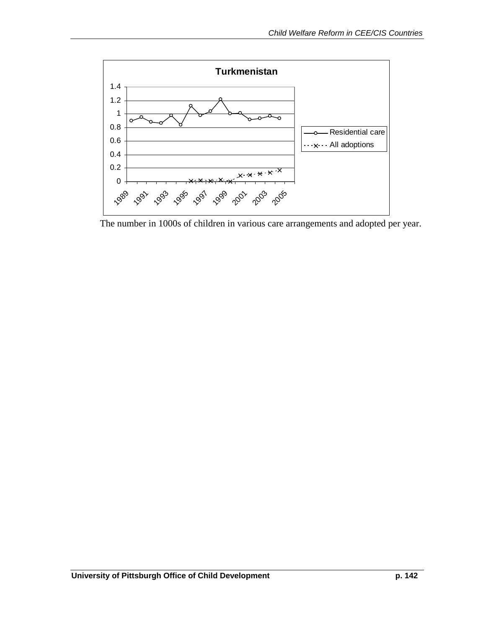

The number in 1000s of children in various care arrangements and adopted per year.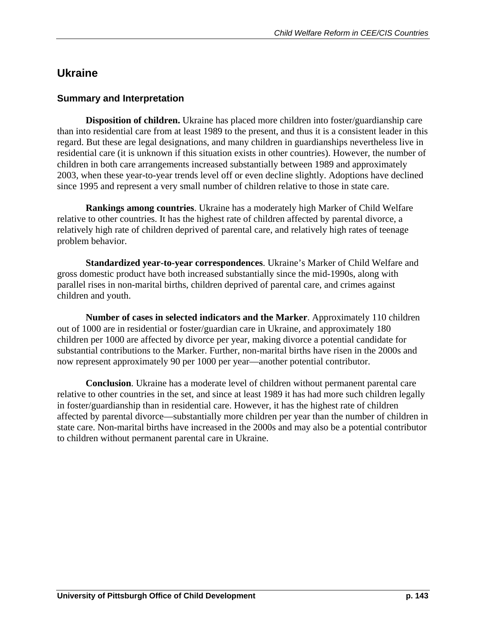## **Ukraine**

#### **Summary and Interpretation**

 **Disposition of children.** Ukraine has placed more children into foster/guardianship care than into residential care from at least 1989 to the present, and thus it is a consistent leader in this regard. But these are legal designations, and many children in guardianships nevertheless live in residential care (it is unknown if this situation exists in other countries). However, the number of children in both care arrangements increased substantially between 1989 and approximately 2003, when these year-to-year trends level off or even decline slightly. Adoptions have declined since 1995 and represent a very small number of children relative to those in state care.

**Rankings among countries**. Ukraine has a moderately high Marker of Child Welfare relative to other countries. It has the highest rate of children affected by parental divorce, a relatively high rate of children deprived of parental care, and relatively high rates of teenage problem behavior.

**Standardized year-to-year correspondences**. Ukraine's Marker of Child Welfare and gross domestic product have both increased substantially since the mid-1990s, along with parallel rises in non-marital births, children deprived of parental care, and crimes against children and youth.

**Number of cases in selected indicators and the Marker**. Approximately 110 children out of 1000 are in residential or foster/guardian care in Ukraine, and approximately 180 children per 1000 are affected by divorce per year, making divorce a potential candidate for substantial contributions to the Marker. Further, non-marital births have risen in the 2000s and now represent approximately 90 per 1000 per year—another potential contributor.

**Conclusion**. Ukraine has a moderate level of children without permanent parental care relative to other countries in the set, and since at least 1989 it has had more such children legally in foster/guardianship than in residential care. However, it has the highest rate of children affected by parental divorce—substantially more children per year than the number of children in state care. Non-marital births have increased in the 2000s and may also be a potential contributor to children without permanent parental care in Ukraine.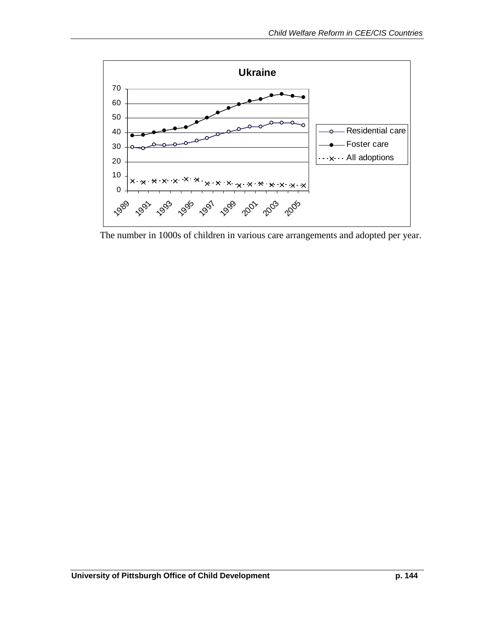

The number in 1000s of children in various care arrangements and adopted per year.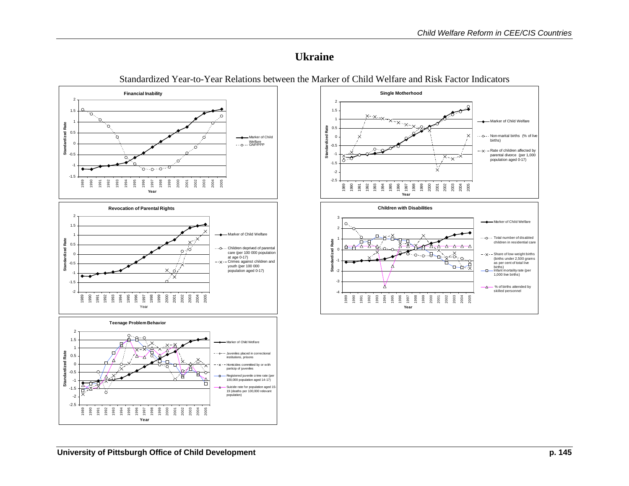Marker of Child Welfare Non-marital births (% of live

Marker of Child Welfare Total number of disabled children in residential care- Share of low-weight births (births under 2,500 grams as per cent of total live births)<br>Infant mortality rate (per 1,000 live births)  $\Delta$  % of births attended by skilled personnel

births)  $-\times -$  Rate of children affected by parental divorce (per 1,000 population aged 0-17)

.Q

1998

ទី ១ ខី ខី ខី ខី ខី ខី<br>ខី ខី ខី ខី ខី ខី ខី ខី

 $x \rightarrow x \rightarrow x$ 

 $\lambda$   $\Lambda$   $\Lambda$ 

"⊔−ਧ

 $\cdot x$ 

 $\blacksquare$ 

 $\mathcal{X}_{\infty}$ 

Þ

#### **Ukraine**



Standardized Year-to-Year Relations between the Marker of Child Welfare and Risk Factor Indicators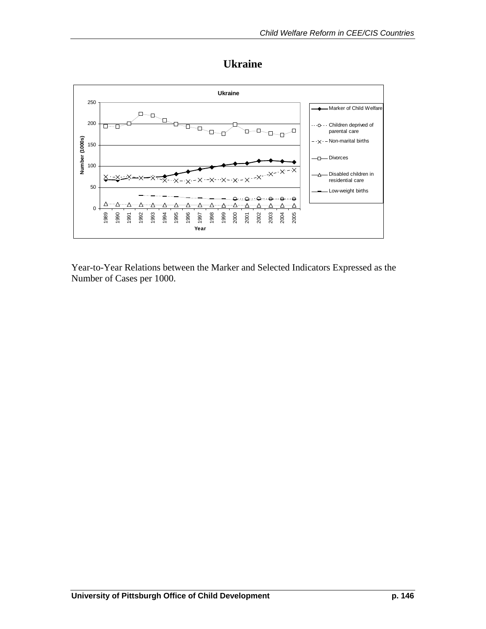



Year-to-Year Relations between the Marker and Selected Indicators Expressed as the Number of Cases per 1000.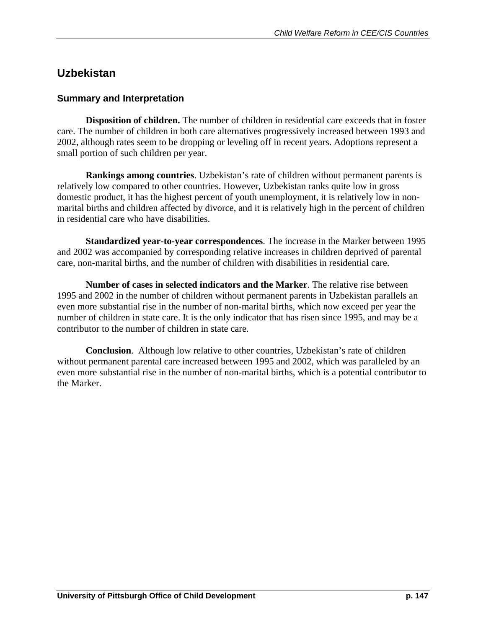### **Uzbekistan**

#### **Summary and Interpretation**

**Disposition of children.** The number of children in residential care exceeds that in foster care. The number of children in both care alternatives progressively increased between 1993 and 2002, although rates seem to be dropping or leveling off in recent years. Adoptions represent a small portion of such children per year.

**Rankings among countries**. Uzbekistan's rate of children without permanent parents is relatively low compared to other countries. However, Uzbekistan ranks quite low in gross domestic product, it has the highest percent of youth unemployment, it is relatively low in nonmarital births and children affected by divorce, and it is relatively high in the percent of children in residential care who have disabilities.

**Standardized year-to-year correspondences**. The increase in the Marker between 1995 and 2002 was accompanied by corresponding relative increases in children deprived of parental care, non-marital births, and the number of children with disabilities in residential care.

**Number of cases in selected indicators and the Marker**. The relative rise between 1995 and 2002 in the number of children without permanent parents in Uzbekistan parallels an even more substantial rise in the number of non-marital births, which now exceed per year the number of children in state care. It is the only indicator that has risen since 1995, and may be a contributor to the number of children in state care.

 **Conclusion**. Although low relative to other countries, Uzbekistan's rate of children without permanent parental care increased between 1995 and 2002, which was paralleled by an even more substantial rise in the number of non-marital births, which is a potential contributor to the Marker.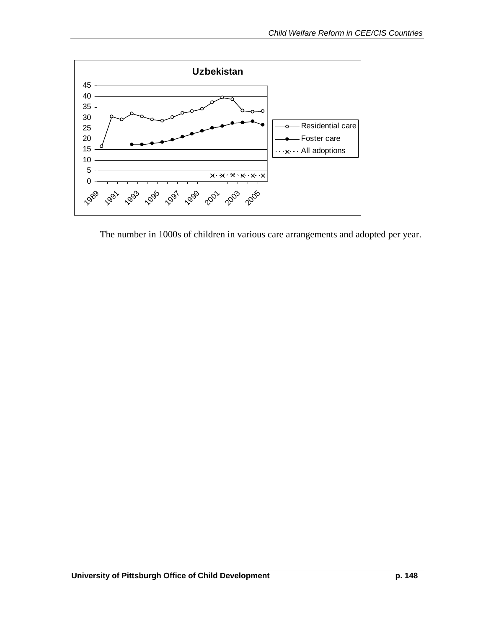

The number in 1000s of children in various care arrangements and adopted per year.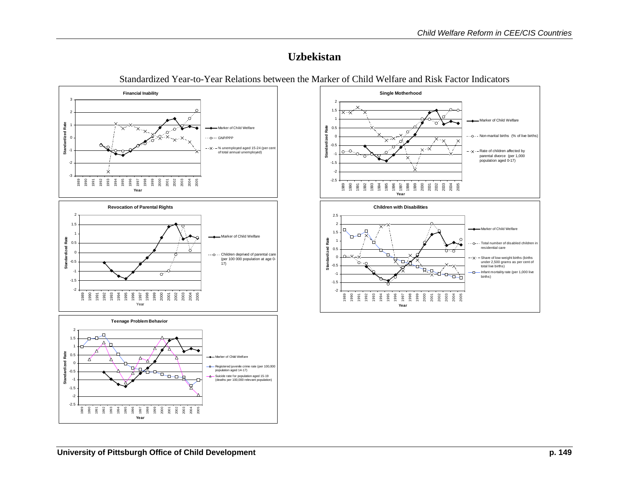### **Uzbekistan**



Standardized Year-to-Year Relations between the Marker of Child Welfare and Risk Factor Indicators